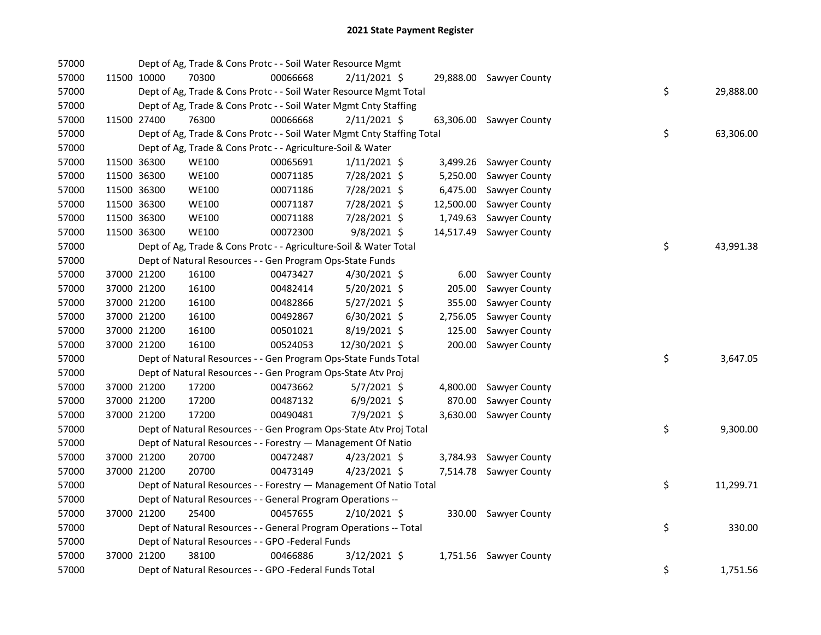| 57000 |             | Dept of Ag, Trade & Cons Protc - - Soil Water Resource Mgmt            |          |                |           |                         |    |           |
|-------|-------------|------------------------------------------------------------------------|----------|----------------|-----------|-------------------------|----|-----------|
| 57000 | 11500 10000 | 70300                                                                  | 00066668 | 2/11/2021 \$   |           | 29,888.00 Sawyer County |    |           |
| 57000 |             | Dept of Ag, Trade & Cons Protc - - Soil Water Resource Mgmt Total      |          |                |           |                         | \$ | 29,888.00 |
| 57000 |             | Dept of Ag, Trade & Cons Protc - - Soil Water Mgmt Cnty Staffing       |          |                |           |                         |    |           |
| 57000 | 11500 27400 | 76300                                                                  | 00066668 | $2/11/2021$ \$ |           | 63,306.00 Sawyer County |    |           |
| 57000 |             | Dept of Ag, Trade & Cons Protc - - Soil Water Mgmt Cnty Staffing Total |          |                |           |                         | \$ | 63,306.00 |
| 57000 |             | Dept of Ag, Trade & Cons Protc - - Agriculture-Soil & Water            |          |                |           |                         |    |           |
| 57000 | 11500 36300 | <b>WE100</b>                                                           | 00065691 | $1/11/2021$ \$ |           | 3,499.26 Sawyer County  |    |           |
| 57000 | 11500 36300 | <b>WE100</b>                                                           | 00071185 | 7/28/2021 \$   | 5,250.00  | Sawyer County           |    |           |
| 57000 | 11500 36300 | <b>WE100</b>                                                           | 00071186 | 7/28/2021 \$   | 6,475.00  | Sawyer County           |    |           |
| 57000 | 11500 36300 | <b>WE100</b>                                                           | 00071187 | 7/28/2021 \$   | 12,500.00 | Sawyer County           |    |           |
| 57000 | 11500 36300 | <b>WE100</b>                                                           | 00071188 | 7/28/2021 \$   | 1,749.63  | Sawyer County           |    |           |
| 57000 | 11500 36300 | <b>WE100</b>                                                           | 00072300 | $9/8/2021$ \$  | 14,517.49 | Sawyer County           |    |           |
| 57000 |             | Dept of Ag, Trade & Cons Protc - - Agriculture-Soil & Water Total      |          |                |           |                         | \$ | 43,991.38 |
| 57000 |             | Dept of Natural Resources - - Gen Program Ops-State Funds              |          |                |           |                         |    |           |
| 57000 | 37000 21200 | 16100                                                                  | 00473427 | 4/30/2021 \$   | 6.00      | Sawyer County           |    |           |
| 57000 | 37000 21200 | 16100                                                                  | 00482414 | 5/20/2021 \$   | 205.00    | Sawyer County           |    |           |
| 57000 | 37000 21200 | 16100                                                                  | 00482866 | $5/27/2021$ \$ | 355.00    | Sawyer County           |    |           |
| 57000 | 37000 21200 | 16100                                                                  | 00492867 | $6/30/2021$ \$ | 2,756.05  | Sawyer County           |    |           |
| 57000 | 37000 21200 | 16100                                                                  | 00501021 | 8/19/2021 \$   | 125.00    | Sawyer County           |    |           |
| 57000 | 37000 21200 | 16100                                                                  | 00524053 | 12/30/2021 \$  | 200.00    | Sawyer County           |    |           |
| 57000 |             | Dept of Natural Resources - - Gen Program Ops-State Funds Total        |          |                |           |                         | \$ | 3,647.05  |
| 57000 |             | Dept of Natural Resources - - Gen Program Ops-State Atv Proj           |          |                |           |                         |    |           |
| 57000 | 37000 21200 | 17200                                                                  | 00473662 | $5/7/2021$ \$  | 4,800.00  | Sawyer County           |    |           |
| 57000 | 37000 21200 | 17200                                                                  | 00487132 | $6/9/2021$ \$  | 870.00    | Sawyer County           |    |           |
| 57000 | 37000 21200 | 17200                                                                  | 00490481 | 7/9/2021 \$    |           | 3,630.00 Sawyer County  |    |           |
| 57000 |             | Dept of Natural Resources - - Gen Program Ops-State Atv Proj Total     |          |                |           |                         | \$ | 9,300.00  |
| 57000 |             | Dept of Natural Resources - - Forestry - Management Of Natio           |          |                |           |                         |    |           |
| 57000 | 37000 21200 | 20700                                                                  | 00472487 | $4/23/2021$ \$ |           | 3,784.93 Sawyer County  |    |           |
| 57000 | 37000 21200 | 20700                                                                  | 00473149 | $4/23/2021$ \$ |           | 7,514.78 Sawyer County  |    |           |
| 57000 |             | Dept of Natural Resources - - Forestry - Management Of Natio Total     |          |                |           |                         | \$ | 11,299.71 |
| 57000 |             | Dept of Natural Resources - - General Program Operations --            |          |                |           |                         |    |           |
| 57000 | 37000 21200 | 25400                                                                  | 00457655 | 2/10/2021 \$   |           | 330.00 Sawyer County    |    |           |
| 57000 |             | Dept of Natural Resources - - General Program Operations -- Total      |          |                |           |                         | \$ | 330.00    |
| 57000 |             | Dept of Natural Resources - - GPO -Federal Funds                       |          |                |           |                         |    |           |
| 57000 | 37000 21200 | 38100                                                                  | 00466886 | $3/12/2021$ \$ |           | 1,751.56 Sawyer County  |    |           |
| 57000 |             | Dept of Natural Resources - - GPO -Federal Funds Total                 |          |                |           |                         | \$ | 1,751.56  |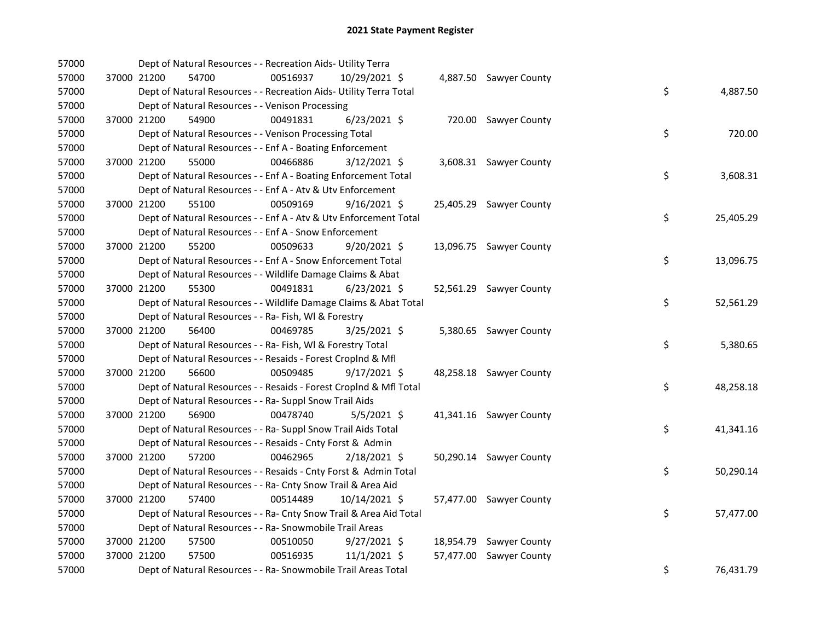| 57000 |             | Dept of Natural Resources - - Recreation Aids- Utility Terra       |          |                |                         |    |           |
|-------|-------------|--------------------------------------------------------------------|----------|----------------|-------------------------|----|-----------|
| 57000 | 37000 21200 | 54700                                                              | 00516937 | 10/29/2021 \$  | 4,887.50 Sawyer County  |    |           |
| 57000 |             | Dept of Natural Resources - - Recreation Aids- Utility Terra Total |          |                |                         | \$ | 4,887.50  |
| 57000 |             | Dept of Natural Resources - - Venison Processing                   |          |                |                         |    |           |
| 57000 | 37000 21200 | 54900                                                              | 00491831 | $6/23/2021$ \$ | 720.00 Sawyer County    |    |           |
| 57000 |             | Dept of Natural Resources - - Venison Processing Total             |          |                |                         | \$ | 720.00    |
| 57000 |             | Dept of Natural Resources - - Enf A - Boating Enforcement          |          |                |                         |    |           |
| 57000 | 37000 21200 | 55000                                                              | 00466886 | $3/12/2021$ \$ | 3,608.31 Sawyer County  |    |           |
| 57000 |             | Dept of Natural Resources - - Enf A - Boating Enforcement Total    |          |                |                         | \$ | 3,608.31  |
| 57000 |             | Dept of Natural Resources - - Enf A - Atv & Utv Enforcement        |          |                |                         |    |           |
| 57000 | 37000 21200 | 55100                                                              | 00509169 | $9/16/2021$ \$ | 25,405.29 Sawyer County |    |           |
| 57000 |             | Dept of Natural Resources - - Enf A - Atv & Utv Enforcement Total  |          |                |                         | \$ | 25,405.29 |
| 57000 |             | Dept of Natural Resources - - Enf A - Snow Enforcement             |          |                |                         |    |           |
| 57000 | 37000 21200 | 55200                                                              | 00509633 | 9/20/2021 \$   | 13,096.75 Sawyer County |    |           |
| 57000 |             | Dept of Natural Resources - - Enf A - Snow Enforcement Total       |          |                |                         | \$ | 13,096.75 |
| 57000 |             | Dept of Natural Resources - - Wildlife Damage Claims & Abat        |          |                |                         |    |           |
| 57000 | 37000 21200 | 55300                                                              | 00491831 | $6/23/2021$ \$ | 52,561.29 Sawyer County |    |           |
| 57000 |             | Dept of Natural Resources - - Wildlife Damage Claims & Abat Total  |          |                |                         | \$ | 52,561.29 |
| 57000 |             | Dept of Natural Resources - - Ra- Fish, WI & Forestry              |          |                |                         |    |           |
| 57000 | 37000 21200 | 56400                                                              | 00469785 | 3/25/2021 \$   | 5,380.65 Sawyer County  |    |           |
| 57000 |             | Dept of Natural Resources - - Ra- Fish, WI & Forestry Total        |          |                |                         | \$ | 5,380.65  |
| 57000 |             | Dept of Natural Resources - - Resaids - Forest Croplnd & Mfl       |          |                |                         |    |           |
| 57000 | 37000 21200 | 56600                                                              | 00509485 | 9/17/2021 \$   | 48,258.18 Sawyer County |    |           |
| 57000 |             | Dept of Natural Resources - - Resaids - Forest CropInd & Mfl Total |          |                |                         | \$ | 48,258.18 |
| 57000 |             | Dept of Natural Resources - - Ra- Suppl Snow Trail Aids            |          |                |                         |    |           |
| 57000 | 37000 21200 | 56900                                                              | 00478740 | $5/5/2021$ \$  | 41,341.16 Sawyer County |    |           |
| 57000 |             | Dept of Natural Resources - - Ra- Suppl Snow Trail Aids Total      |          |                |                         | \$ | 41,341.16 |
| 57000 |             | Dept of Natural Resources - - Resaids - Cnty Forst & Admin         |          |                |                         |    |           |
| 57000 |             | 37000 21200<br>57200                                               | 00462965 | $2/18/2021$ \$ | 50,290.14 Sawyer County |    |           |
| 57000 |             | Dept of Natural Resources - - Resaids - Cnty Forst & Admin Total   |          |                |                         | \$ | 50,290.14 |
| 57000 |             | Dept of Natural Resources - - Ra- Cnty Snow Trail & Area Aid       |          |                |                         |    |           |
| 57000 | 37000 21200 | 57400                                                              | 00514489 | 10/14/2021 \$  | 57,477.00 Sawyer County |    |           |
| 57000 |             | Dept of Natural Resources - - Ra- Cnty Snow Trail & Area Aid Total |          |                |                         | \$ | 57,477.00 |
| 57000 |             | Dept of Natural Resources - - Ra- Snowmobile Trail Areas           |          |                |                         |    |           |
| 57000 | 37000 21200 | 57500                                                              | 00510050 | $9/27/2021$ \$ | 18,954.79 Sawyer County |    |           |
| 57000 | 37000 21200 | 57500                                                              | 00516935 | $11/1/2021$ \$ | 57,477.00 Sawyer County |    |           |
| 57000 |             | Dept of Natural Resources - - Ra- Snowmobile Trail Areas Total     |          |                |                         | \$ | 76,431.79 |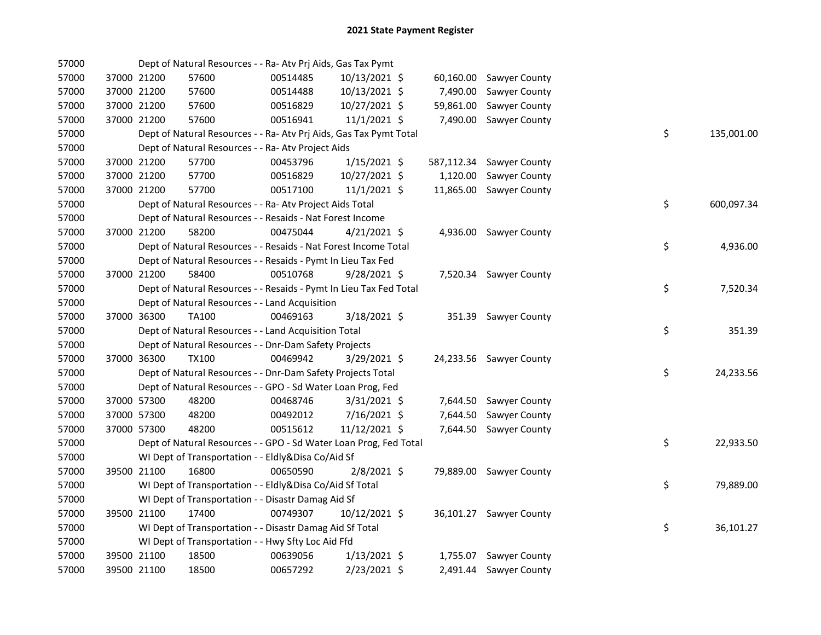| 57000 |             | Dept of Natural Resources - - Ra- Atv Prj Aids, Gas Tax Pymt       |          |                |           |                          |    |            |
|-------|-------------|--------------------------------------------------------------------|----------|----------------|-----------|--------------------------|----|------------|
| 57000 | 37000 21200 | 57600                                                              | 00514485 | 10/13/2021 \$  |           | 60,160.00 Sawyer County  |    |            |
| 57000 | 37000 21200 | 57600                                                              | 00514488 | 10/13/2021 \$  | 7,490.00  | <b>Sawyer County</b>     |    |            |
| 57000 | 37000 21200 | 57600                                                              | 00516829 | 10/27/2021 \$  | 59,861.00 | Sawyer County            |    |            |
| 57000 | 37000 21200 | 57600                                                              | 00516941 | 11/1/2021 \$   | 7,490.00  | Sawyer County            |    |            |
| 57000 |             | Dept of Natural Resources - - Ra- Atv Prj Aids, Gas Tax Pymt Total |          |                |           |                          | \$ | 135,001.00 |
| 57000 |             | Dept of Natural Resources - - Ra- Atv Project Aids                 |          |                |           |                          |    |            |
| 57000 | 37000 21200 | 57700                                                              | 00453796 | $1/15/2021$ \$ |           | 587,112.34 Sawyer County |    |            |
| 57000 | 37000 21200 | 57700                                                              | 00516829 | 10/27/2021 \$  | 1,120.00  | Sawyer County            |    |            |
| 57000 | 37000 21200 | 57700                                                              | 00517100 | $11/1/2021$ \$ | 11,865.00 | Sawyer County            |    |            |
| 57000 |             | Dept of Natural Resources - - Ra- Atv Project Aids Total           |          |                |           |                          | \$ | 600,097.34 |
| 57000 |             | Dept of Natural Resources - - Resaids - Nat Forest Income          |          |                |           |                          |    |            |
| 57000 | 37000 21200 | 58200                                                              | 00475044 | 4/21/2021 \$   |           | 4,936.00 Sawyer County   |    |            |
| 57000 |             | Dept of Natural Resources - - Resaids - Nat Forest Income Total    |          |                |           |                          | \$ | 4,936.00   |
| 57000 |             | Dept of Natural Resources - - Resaids - Pymt In Lieu Tax Fed       |          |                |           |                          |    |            |
| 57000 | 37000 21200 | 58400                                                              | 00510768 | 9/28/2021 \$   |           | 7,520.34 Sawyer County   |    |            |
| 57000 |             | Dept of Natural Resources - - Resaids - Pymt In Lieu Tax Fed Total |          |                |           |                          | \$ | 7,520.34   |
| 57000 |             | Dept of Natural Resources - - Land Acquisition                     |          |                |           |                          |    |            |
| 57000 | 37000 36300 | TA100                                                              | 00469163 | $3/18/2021$ \$ |           | 351.39 Sawyer County     |    |            |
| 57000 |             | Dept of Natural Resources - - Land Acquisition Total               |          |                |           |                          | \$ | 351.39     |
| 57000 |             | Dept of Natural Resources - - Dnr-Dam Safety Projects              |          |                |           |                          |    |            |
| 57000 | 37000 36300 | <b>TX100</b>                                                       | 00469942 | 3/29/2021 \$   |           | 24,233.56 Sawyer County  |    |            |
| 57000 |             | Dept of Natural Resources - - Dnr-Dam Safety Projects Total        |          |                |           |                          | \$ | 24,233.56  |
| 57000 |             | Dept of Natural Resources - - GPO - Sd Water Loan Prog, Fed        |          |                |           |                          |    |            |
| 57000 | 37000 57300 | 48200                                                              | 00468746 | $3/31/2021$ \$ |           | 7,644.50 Sawyer County   |    |            |
| 57000 | 37000 57300 | 48200                                                              | 00492012 | 7/16/2021 \$   | 7,644.50  | <b>Sawyer County</b>     |    |            |
| 57000 | 37000 57300 | 48200                                                              | 00515612 | 11/12/2021 \$  |           | 7,644.50 Sawyer County   |    |            |
| 57000 |             | Dept of Natural Resources - - GPO - Sd Water Loan Prog, Fed Total  |          |                |           |                          | \$ | 22,933.50  |
| 57000 |             | WI Dept of Transportation - - Eldly&Disa Co/Aid Sf                 |          |                |           |                          |    |            |
| 57000 | 39500 21100 | 16800                                                              | 00650590 | $2/8/2021$ \$  |           | 79,889.00 Sawyer County  |    |            |
| 57000 |             | WI Dept of Transportation - - Eldly&Disa Co/Aid Sf Total           |          |                |           |                          | \$ | 79,889.00  |
| 57000 |             | WI Dept of Transportation - - Disastr Damag Aid Sf                 |          |                |           |                          |    |            |
| 57000 | 39500 21100 | 17400                                                              | 00749307 | 10/12/2021 \$  |           | 36,101.27 Sawyer County  |    |            |
| 57000 |             | WI Dept of Transportation - - Disastr Damag Aid Sf Total           |          |                |           |                          | \$ | 36,101.27  |
| 57000 |             | WI Dept of Transportation - - Hwy Sfty Loc Aid Ffd                 |          |                |           |                          |    |            |
| 57000 | 39500 21100 | 18500                                                              | 00639056 | $1/13/2021$ \$ |           | 1,755.07 Sawyer County   |    |            |
| 57000 | 39500 21100 | 18500                                                              | 00657292 | 2/23/2021 \$   |           | 2,491.44 Sawyer County   |    |            |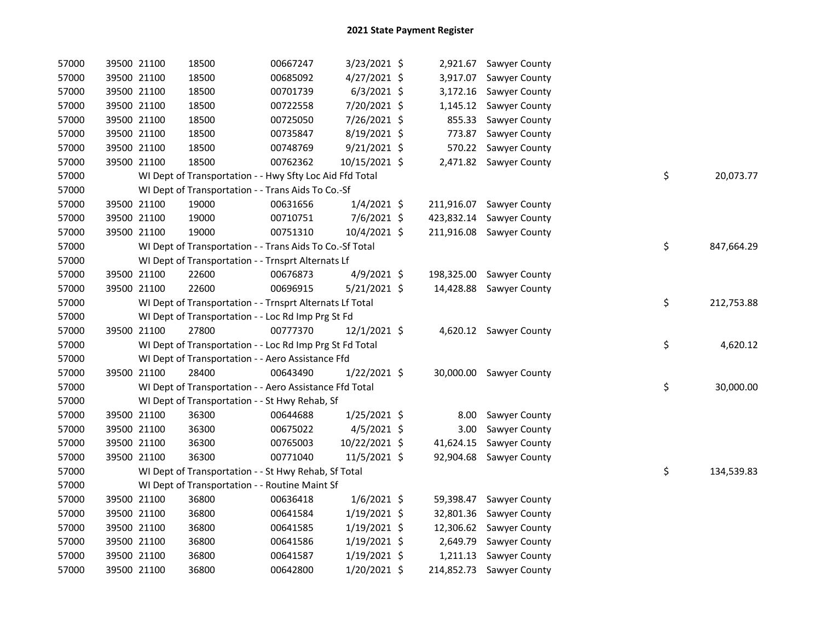| 57000 |             | 39500 21100 | 18500                                                    | 00667247 | 3/23/2021 \$   |            | 2,921.67 Sawyer County   |    |            |
|-------|-------------|-------------|----------------------------------------------------------|----------|----------------|------------|--------------------------|----|------------|
| 57000 |             | 39500 21100 | 18500                                                    | 00685092 | 4/27/2021 \$   |            | 3,917.07 Sawyer County   |    |            |
| 57000 |             | 39500 21100 | 18500                                                    | 00701739 | $6/3/2021$ \$  | 3,172.16   | Sawyer County            |    |            |
| 57000 |             | 39500 21100 | 18500                                                    | 00722558 | 7/20/2021 \$   |            | 1,145.12 Sawyer County   |    |            |
| 57000 |             | 39500 21100 | 18500                                                    | 00725050 | 7/26/2021 \$   | 855.33     | Sawyer County            |    |            |
| 57000 |             | 39500 21100 | 18500                                                    | 00735847 | 8/19/2021 \$   | 773.87     | Sawyer County            |    |            |
| 57000 |             | 39500 21100 | 18500                                                    | 00748769 | $9/21/2021$ \$ | 570.22     | Sawyer County            |    |            |
| 57000 |             | 39500 21100 | 18500                                                    | 00762362 | 10/15/2021 \$  |            | 2,471.82 Sawyer County   |    |            |
| 57000 |             |             | WI Dept of Transportation - - Hwy Sfty Loc Aid Ffd Total |          |                |            |                          | \$ | 20,073.77  |
| 57000 |             |             | WI Dept of Transportation - - Trans Aids To Co.-Sf       |          |                |            |                          |    |            |
| 57000 |             | 39500 21100 | 19000                                                    | 00631656 | $1/4/2021$ \$  | 211,916.07 | <b>Sawyer County</b>     |    |            |
| 57000 |             | 39500 21100 | 19000                                                    | 00710751 | 7/6/2021 \$    | 423,832.14 | Sawyer County            |    |            |
| 57000 |             | 39500 21100 | 19000                                                    | 00751310 | 10/4/2021 \$   | 211,916.08 | Sawyer County            |    |            |
| 57000 |             |             | WI Dept of Transportation - - Trans Aids To Co.-Sf Total |          |                |            |                          | \$ | 847,664.29 |
| 57000 |             |             | WI Dept of Transportation - - Trnsprt Alternats Lf       |          |                |            |                          |    |            |
| 57000 |             | 39500 21100 | 22600                                                    | 00676873 | $4/9/2021$ \$  | 198,325.00 | Sawyer County            |    |            |
| 57000 |             | 39500 21100 | 22600                                                    | 00696915 | $5/21/2021$ \$ | 14,428.88  | Sawyer County            |    |            |
| 57000 |             |             | WI Dept of Transportation - - Trnsprt Alternats Lf Total |          |                |            |                          | \$ | 212,753.88 |
| 57000 |             |             | WI Dept of Transportation - - Loc Rd Imp Prg St Fd       |          |                |            |                          |    |            |
| 57000 |             | 39500 21100 | 27800                                                    | 00777370 | 12/1/2021 \$   |            | 4,620.12 Sawyer County   |    |            |
| 57000 |             |             | WI Dept of Transportation - - Loc Rd Imp Prg St Fd Total |          |                |            |                          | \$ | 4,620.12   |
| 57000 |             |             | WI Dept of Transportation - - Aero Assistance Ffd        |          |                |            |                          |    |            |
| 57000 |             | 39500 21100 | 28400                                                    | 00643490 | $1/22/2021$ \$ |            | 30,000.00 Sawyer County  |    |            |
| 57000 |             |             | WI Dept of Transportation - - Aero Assistance Ffd Total  |          |                |            |                          | \$ | 30,000.00  |
| 57000 |             |             | WI Dept of Transportation - - St Hwy Rehab, Sf           |          |                |            |                          |    |            |
| 57000 |             | 39500 21100 | 36300                                                    | 00644688 | $1/25/2021$ \$ | 8.00       | Sawyer County            |    |            |
| 57000 |             | 39500 21100 | 36300                                                    | 00675022 | 4/5/2021 \$    | 3.00       | Sawyer County            |    |            |
| 57000 | 39500 21100 |             | 36300                                                    | 00765003 | 10/22/2021 \$  | 41,624.15  | Sawyer County            |    |            |
| 57000 |             | 39500 21100 | 36300                                                    | 00771040 | $11/5/2021$ \$ | 92,904.68  | <b>Sawyer County</b>     |    |            |
| 57000 |             |             | WI Dept of Transportation - - St Hwy Rehab, Sf Total     |          |                |            |                          | \$ | 134,539.83 |
| 57000 |             |             | WI Dept of Transportation - - Routine Maint Sf           |          |                |            |                          |    |            |
| 57000 |             | 39500 21100 | 36800                                                    | 00636418 | $1/6/2021$ \$  | 59,398.47  | Sawyer County            |    |            |
| 57000 |             | 39500 21100 | 36800                                                    | 00641584 | $1/19/2021$ \$ | 32,801.36  | <b>Sawyer County</b>     |    |            |
| 57000 |             | 39500 21100 | 36800                                                    | 00641585 | $1/19/2021$ \$ |            | 12,306.62 Sawyer County  |    |            |
| 57000 |             | 39500 21100 | 36800                                                    | 00641586 | $1/19/2021$ \$ | 2,649.79   | <b>Sawyer County</b>     |    |            |
| 57000 |             | 39500 21100 | 36800                                                    | 00641587 | $1/19/2021$ \$ | 1,211.13   | Sawyer County            |    |            |
| 57000 |             | 39500 21100 | 36800                                                    | 00642800 | 1/20/2021 \$   |            | 214,852.73 Sawyer County |    |            |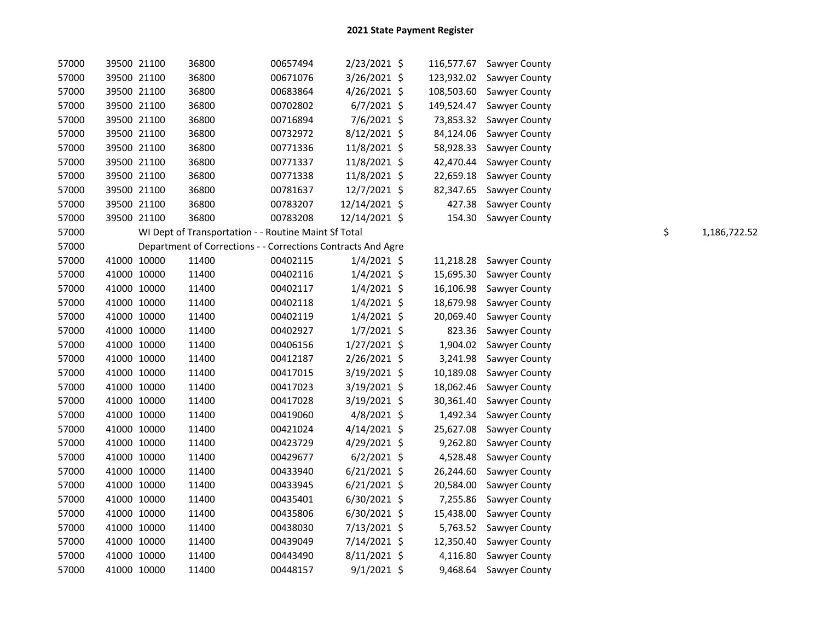| 57000 |             | 39500 21100 | 36800 | 00657494                                             | 2/23/2021 \$                                                 |            | 116,577.67 Sawyer County |    |              |
|-------|-------------|-------------|-------|------------------------------------------------------|--------------------------------------------------------------|------------|--------------------------|----|--------------|
| 57000 |             | 39500 21100 | 36800 | 00671076                                             | 3/26/2021 \$                                                 | 123,932.02 | Sawyer County            |    |              |
| 57000 |             | 39500 21100 | 36800 | 00683864                                             | $4/26/2021$ \$                                               | 108,503.60 | Sawyer County            |    |              |
| 57000 |             | 39500 21100 | 36800 | 00702802                                             | $6/7/2021$ \$                                                | 149,524.47 | Sawyer County            |    |              |
| 57000 |             | 39500 21100 | 36800 | 00716894                                             | 7/6/2021 \$                                                  | 73,853.32  | Sawyer County            |    |              |
| 57000 | 39500 21100 |             | 36800 | 00732972                                             | $8/12/2021$ \$                                               | 84,124.06  | Sawyer County            |    |              |
| 57000 | 39500 21100 |             | 36800 | 00771336                                             | 11/8/2021 \$                                                 | 58,928.33  | Sawyer County            |    |              |
| 57000 |             | 39500 21100 | 36800 | 00771337                                             | 11/8/2021 \$                                                 | 42,470.44  | Sawyer County            |    |              |
| 57000 |             | 39500 21100 | 36800 | 00771338                                             | 11/8/2021 \$                                                 | 22,659.18  | Sawyer County            |    |              |
| 57000 |             | 39500 21100 | 36800 | 00781637                                             | 12/7/2021 \$                                                 | 82,347.65  | Sawyer County            |    |              |
| 57000 |             | 39500 21100 | 36800 | 00783207                                             | 12/14/2021 \$                                                | 427.38     | Sawyer County            |    |              |
| 57000 | 39500 21100 |             | 36800 | 00783208                                             | 12/14/2021 \$                                                | 154.30     | Sawyer County            |    |              |
| 57000 |             |             |       | WI Dept of Transportation - - Routine Maint Sf Total |                                                              |            |                          | \$ | 1,186,722.52 |
| 57000 |             |             |       |                                                      | Department of Corrections - - Corrections Contracts And Agre |            |                          |    |              |
| 57000 | 41000 10000 |             | 11400 | 00402115                                             | $1/4/2021$ \$                                                | 11,218.28  | Sawyer County            |    |              |
| 57000 | 41000 10000 |             | 11400 | 00402116                                             | $1/4/2021$ \$                                                | 15,695.30  | Sawyer County            |    |              |
| 57000 | 41000 10000 |             | 11400 | 00402117                                             | $1/4/2021$ \$                                                | 16,106.98  | Sawyer County            |    |              |
| 57000 | 41000 10000 |             | 11400 | 00402118                                             | $1/4/2021$ \$                                                | 18,679.98  | Sawyer County            |    |              |
| 57000 | 41000 10000 |             | 11400 | 00402119                                             | $1/4/2021$ \$                                                | 20,069.40  | Sawyer County            |    |              |
| 57000 | 41000 10000 |             | 11400 | 00402927                                             | $1/7/2021$ \$                                                | 823.36     | Sawyer County            |    |              |
| 57000 | 41000 10000 |             | 11400 | 00406156                                             | $1/27/2021$ \$                                               | 1,904.02   | Sawyer County            |    |              |
| 57000 | 41000 10000 |             | 11400 | 00412187                                             | 2/26/2021 \$                                                 | 3,241.98   | Sawyer County            |    |              |
| 57000 | 41000 10000 |             | 11400 | 00417015                                             | 3/19/2021 \$                                                 | 10,189.08  | Sawyer County            |    |              |
| 57000 | 41000 10000 |             | 11400 | 00417023                                             | 3/19/2021 \$                                                 | 18,062.46  | Sawyer County            |    |              |
| 57000 | 41000 10000 |             | 11400 | 00417028                                             | 3/19/2021 \$                                                 | 30,361.40  | Sawyer County            |    |              |
| 57000 | 41000 10000 |             | 11400 | 00419060                                             | 4/8/2021 \$                                                  | 1,492.34   | Sawyer County            |    |              |
| 57000 | 41000 10000 |             | 11400 | 00421024                                             | $4/14/2021$ \$                                               | 25,627.08  | Sawyer County            |    |              |
| 57000 | 41000 10000 |             | 11400 | 00423729                                             | 4/29/2021 \$                                                 | 9,262.80   | Sawyer County            |    |              |
| 57000 | 41000 10000 |             | 11400 | 00429677                                             | $6/2/2021$ \$                                                | 4,528.48   | Sawyer County            |    |              |
| 57000 | 41000 10000 |             | 11400 | 00433940                                             | $6/21/2021$ \$                                               | 26,244.60  | Sawyer County            |    |              |
| 57000 | 41000 10000 |             | 11400 | 00433945                                             | $6/21/2021$ \$                                               | 20,584.00  | Sawyer County            |    |              |
| 57000 | 41000 10000 |             | 11400 | 00435401                                             | $6/30/2021$ \$                                               | 7,255.86   | Sawyer County            |    |              |
| 57000 | 41000 10000 |             | 11400 | 00435806                                             | $6/30/2021$ \$                                               | 15,438.00  | Sawyer County            |    |              |
| 57000 | 41000 10000 |             | 11400 | 00438030                                             | 7/13/2021 \$                                                 | 5,763.52   | Sawyer County            |    |              |
| 57000 | 41000 10000 |             | 11400 | 00439049                                             | 7/14/2021 \$                                                 | 12,350.40  | Sawyer County            |    |              |
| 57000 | 41000 10000 |             | 11400 | 00443490                                             | $8/11/2021$ \$                                               | 4,116.80   | Sawyer County            |    |              |
| 57000 | 41000 10000 |             | 11400 | 00448157                                             | $9/1/2021$ \$                                                |            | 9,468.64 Sawyer County   |    |              |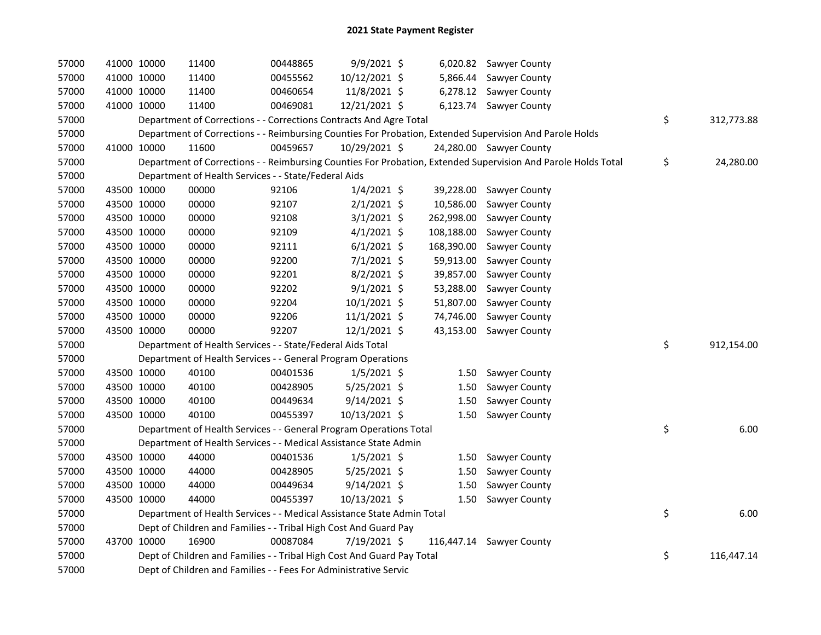| 57000 | 41000 10000 | 11400                                                                  | 00448865 | 9/9/2021 \$    |            | 6,020.82 Sawyer County                                                                                        |                  |
|-------|-------------|------------------------------------------------------------------------|----------|----------------|------------|---------------------------------------------------------------------------------------------------------------|------------------|
| 57000 | 41000 10000 | 11400                                                                  | 00455562 | 10/12/2021 \$  |            | 5,866.44 Sawyer County                                                                                        |                  |
| 57000 | 41000 10000 | 11400                                                                  | 00460654 | 11/8/2021 \$   |            | 6,278.12 Sawyer County                                                                                        |                  |
| 57000 | 41000 10000 | 11400                                                                  | 00469081 | 12/21/2021 \$  |            | 6,123.74 Sawyer County                                                                                        |                  |
| 57000 |             | Department of Corrections - - Corrections Contracts And Agre Total     |          |                |            |                                                                                                               | \$<br>312,773.88 |
| 57000 |             |                                                                        |          |                |            | Department of Corrections - - Reimbursing Counties For Probation, Extended Supervision And Parole Holds       |                  |
| 57000 | 41000 10000 | 11600                                                                  | 00459657 | 10/29/2021 \$  |            | 24,280.00 Sawyer County                                                                                       |                  |
| 57000 |             |                                                                        |          |                |            | Department of Corrections - - Reimbursing Counties For Probation, Extended Supervision And Parole Holds Total | \$<br>24,280.00  |
| 57000 |             | Department of Health Services - - State/Federal Aids                   |          |                |            |                                                                                                               |                  |
| 57000 | 43500 10000 | 00000                                                                  | 92106    | $1/4/2021$ \$  |            | 39,228.00 Sawyer County                                                                                       |                  |
| 57000 | 43500 10000 | 00000                                                                  | 92107    | $2/1/2021$ \$  | 10,586.00  | Sawyer County                                                                                                 |                  |
| 57000 | 43500 10000 | 00000                                                                  | 92108    | $3/1/2021$ \$  | 262,998.00 | Sawyer County                                                                                                 |                  |
| 57000 | 43500 10000 | 00000                                                                  | 92109    | $4/1/2021$ \$  | 108,188.00 | Sawyer County                                                                                                 |                  |
| 57000 | 43500 10000 | 00000                                                                  | 92111    | $6/1/2021$ \$  | 168,390.00 | Sawyer County                                                                                                 |                  |
| 57000 | 43500 10000 | 00000                                                                  | 92200    | $7/1/2021$ \$  | 59,913.00  | Sawyer County                                                                                                 |                  |
| 57000 | 43500 10000 | 00000                                                                  | 92201    | 8/2/2021 \$    | 39,857.00  | Sawyer County                                                                                                 |                  |
| 57000 | 43500 10000 | 00000                                                                  | 92202    | $9/1/2021$ \$  | 53,288.00  | Sawyer County                                                                                                 |                  |
| 57000 | 43500 10000 | 00000                                                                  | 92204    | 10/1/2021 \$   | 51,807.00  | Sawyer County                                                                                                 |                  |
| 57000 | 43500 10000 | 00000                                                                  | 92206    | 11/1/2021 \$   | 74,746.00  | Sawyer County                                                                                                 |                  |
| 57000 | 43500 10000 | 00000                                                                  | 92207    | 12/1/2021 \$   | 43,153.00  | Sawyer County                                                                                                 |                  |
| 57000 |             | Department of Health Services - - State/Federal Aids Total             |          |                |            |                                                                                                               | \$<br>912,154.00 |
| 57000 |             | Department of Health Services - - General Program Operations           |          |                |            |                                                                                                               |                  |
| 57000 | 43500 10000 | 40100                                                                  | 00401536 | $1/5/2021$ \$  | 1.50       | Sawyer County                                                                                                 |                  |
| 57000 | 43500 10000 | 40100                                                                  | 00428905 | 5/25/2021 \$   | 1.50       | Sawyer County                                                                                                 |                  |
| 57000 | 43500 10000 | 40100                                                                  | 00449634 | $9/14/2021$ \$ | 1.50       | Sawyer County                                                                                                 |                  |
| 57000 | 43500 10000 | 40100                                                                  | 00455397 | 10/13/2021 \$  | 1.50       | Sawyer County                                                                                                 |                  |
| 57000 |             | Department of Health Services - - General Program Operations Total     |          |                |            |                                                                                                               | \$<br>6.00       |
| 57000 |             | Department of Health Services - - Medical Assistance State Admin       |          |                |            |                                                                                                               |                  |
| 57000 | 43500 10000 | 44000                                                                  | 00401536 | $1/5/2021$ \$  | 1.50       | Sawyer County                                                                                                 |                  |
| 57000 | 43500 10000 | 44000                                                                  | 00428905 | $5/25/2021$ \$ | 1.50       | Sawyer County                                                                                                 |                  |
| 57000 | 43500 10000 | 44000                                                                  | 00449634 | $9/14/2021$ \$ | 1.50       | Sawyer County                                                                                                 |                  |
| 57000 | 43500 10000 | 44000                                                                  | 00455397 | 10/13/2021 \$  | 1.50       | Sawyer County                                                                                                 |                  |
| 57000 |             | Department of Health Services - - Medical Assistance State Admin Total |          |                |            |                                                                                                               | \$<br>6.00       |
| 57000 |             | Dept of Children and Families - - Tribal High Cost And Guard Pay       |          |                |            |                                                                                                               |                  |
| 57000 | 43700 10000 | 16900                                                                  | 00087084 | 7/19/2021 \$   |            | 116,447.14 Sawyer County                                                                                      |                  |
| 57000 |             | Dept of Children and Families - - Tribal High Cost And Guard Pay Total |          |                |            |                                                                                                               | \$<br>116,447.14 |
| 57000 |             | Dept of Children and Families - - Fees For Administrative Servic       |          |                |            |                                                                                                               |                  |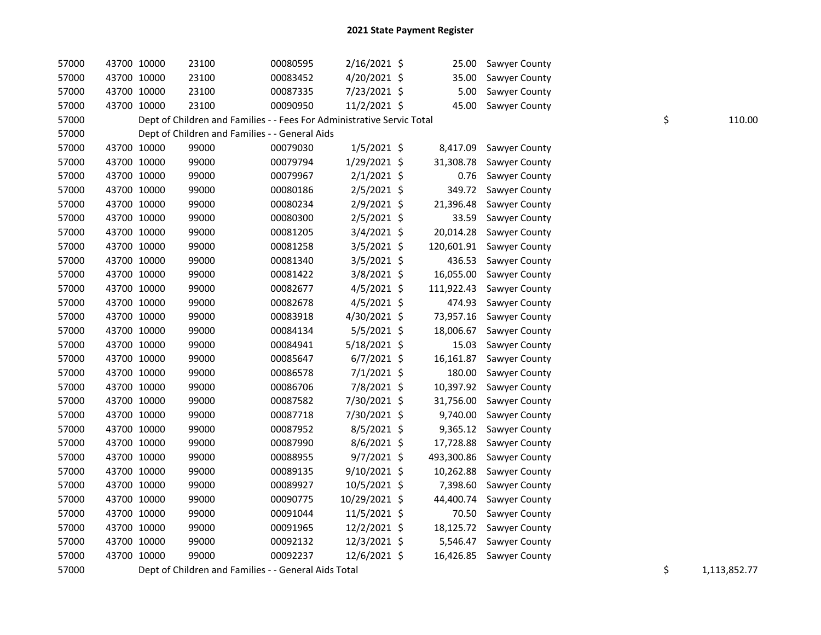| 57000 |             | 43700 10000 | 23100                                                                  | 00080595 | 2/16/2021 \$   | 25.00      | Sawyer County |    |              |
|-------|-------------|-------------|------------------------------------------------------------------------|----------|----------------|------------|---------------|----|--------------|
| 57000 |             | 43700 10000 | 23100                                                                  | 00083452 | 4/20/2021 \$   | 35.00      | Sawyer County |    |              |
| 57000 | 43700 10000 |             | 23100                                                                  | 00087335 | 7/23/2021 \$   | 5.00       | Sawyer County |    |              |
| 57000 | 43700 10000 |             | 23100                                                                  | 00090950 | 11/2/2021 \$   | 45.00      | Sawyer County |    |              |
| 57000 |             |             | Dept of Children and Families - - Fees For Administrative Servic Total |          |                |            |               | \$ | 110.00       |
| 57000 |             |             | Dept of Children and Families - - General Aids                         |          |                |            |               |    |              |
| 57000 |             | 43700 10000 | 99000                                                                  | 00079030 | $1/5/2021$ \$  | 8,417.09   | Sawyer County |    |              |
| 57000 |             | 43700 10000 | 99000                                                                  | 00079794 | 1/29/2021 \$   | 31,308.78  | Sawyer County |    |              |
| 57000 |             | 43700 10000 | 99000                                                                  | 00079967 | $2/1/2021$ \$  | 0.76       | Sawyer County |    |              |
| 57000 |             | 43700 10000 | 99000                                                                  | 00080186 | $2/5/2021$ \$  | 349.72     | Sawyer County |    |              |
| 57000 |             | 43700 10000 | 99000                                                                  | 00080234 | 2/9/2021 \$    | 21,396.48  | Sawyer County |    |              |
| 57000 |             | 43700 10000 | 99000                                                                  | 00080300 | $2/5/2021$ \$  | 33.59      | Sawyer County |    |              |
| 57000 | 43700 10000 |             | 99000                                                                  | 00081205 | 3/4/2021 \$    | 20,014.28  | Sawyer County |    |              |
| 57000 | 43700 10000 |             | 99000                                                                  | 00081258 | 3/5/2021 \$    | 120,601.91 | Sawyer County |    |              |
| 57000 |             | 43700 10000 | 99000                                                                  | 00081340 | 3/5/2021 \$    | 436.53     | Sawyer County |    |              |
| 57000 |             | 43700 10000 | 99000                                                                  | 00081422 | 3/8/2021 \$    | 16,055.00  | Sawyer County |    |              |
| 57000 |             | 43700 10000 | 99000                                                                  | 00082677 | 4/5/2021 \$    | 111,922.43 | Sawyer County |    |              |
| 57000 |             | 43700 10000 | 99000                                                                  | 00082678 | $4/5/2021$ \$  | 474.93     | Sawyer County |    |              |
| 57000 |             | 43700 10000 | 99000                                                                  | 00083918 | 4/30/2021 \$   | 73,957.16  | Sawyer County |    |              |
| 57000 | 43700 10000 |             | 99000                                                                  | 00084134 | 5/5/2021 \$    | 18,006.67  | Sawyer County |    |              |
| 57000 | 43700 10000 |             | 99000                                                                  | 00084941 | 5/18/2021 \$   | 15.03      | Sawyer County |    |              |
| 57000 | 43700 10000 |             | 99000                                                                  | 00085647 | $6/7/2021$ \$  | 16,161.87  | Sawyer County |    |              |
| 57000 | 43700 10000 |             | 99000                                                                  | 00086578 | $7/1/2021$ \$  | 180.00     | Sawyer County |    |              |
| 57000 | 43700 10000 |             | 99000                                                                  | 00086706 | 7/8/2021 \$    | 10,397.92  | Sawyer County |    |              |
| 57000 |             | 43700 10000 | 99000                                                                  | 00087582 | 7/30/2021 \$   | 31,756.00  | Sawyer County |    |              |
| 57000 |             | 43700 10000 | 99000                                                                  | 00087718 | 7/30/2021 \$   | 9,740.00   | Sawyer County |    |              |
| 57000 | 43700 10000 |             | 99000                                                                  | 00087952 | $8/5/2021$ \$  | 9,365.12   | Sawyer County |    |              |
| 57000 | 43700 10000 |             | 99000                                                                  | 00087990 | $8/6/2021$ \$  | 17,728.88  | Sawyer County |    |              |
| 57000 | 43700 10000 |             | 99000                                                                  | 00088955 | 9/7/2021 \$    | 493,300.86 | Sawyer County |    |              |
| 57000 | 43700 10000 |             | 99000                                                                  | 00089135 | $9/10/2021$ \$ | 10,262.88  | Sawyer County |    |              |
| 57000 | 43700 10000 |             | 99000                                                                  | 00089927 | 10/5/2021 \$   | 7,398.60   | Sawyer County |    |              |
| 57000 | 43700 10000 |             | 99000                                                                  | 00090775 | 10/29/2021 \$  | 44,400.74  | Sawyer County |    |              |
| 57000 | 43700 10000 |             | 99000                                                                  | 00091044 | 11/5/2021 \$   | 70.50      | Sawyer County |    |              |
| 57000 |             | 43700 10000 | 99000                                                                  | 00091965 | 12/2/2021 \$   | 18,125.72  | Sawyer County |    |              |
| 57000 |             | 43700 10000 | 99000                                                                  | 00092132 | 12/3/2021 \$   | 5,546.47   | Sawyer County |    |              |
| 57000 | 43700 10000 |             | 99000                                                                  | 00092237 | 12/6/2021 \$   | 16,426.85  | Sawyer County |    |              |
| 57000 |             |             | Dept of Children and Families - - General Aids Total                   |          |                |            |               | \$ | 1,113,852.77 |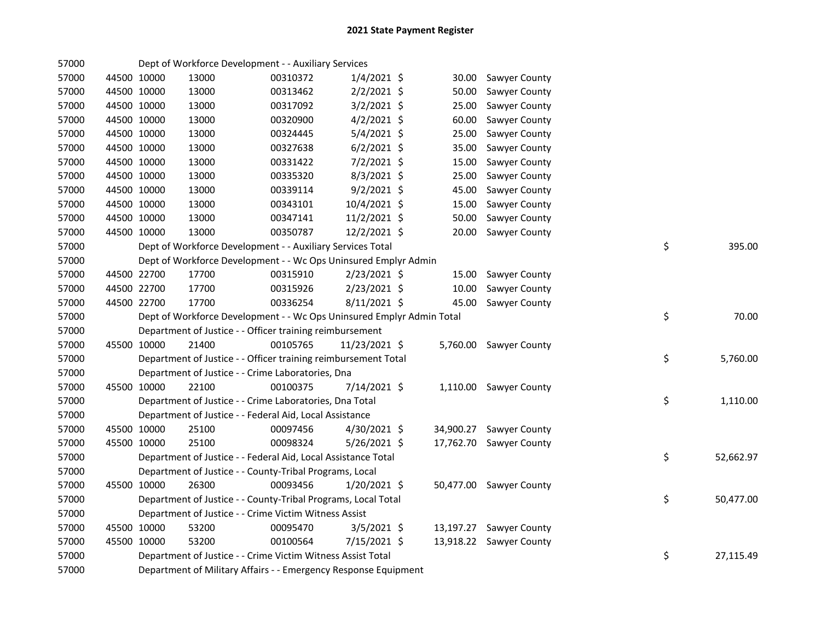| 57000 |             |       | Dept of Workforce Development - - Auxiliary Services                  |                |           |                         |    |           |
|-------|-------------|-------|-----------------------------------------------------------------------|----------------|-----------|-------------------------|----|-----------|
| 57000 | 44500 10000 | 13000 | 00310372                                                              | $1/4/2021$ \$  | 30.00     | Sawyer County           |    |           |
| 57000 | 44500 10000 | 13000 | 00313462                                                              | $2/2/2021$ \$  | 50.00     | Sawyer County           |    |           |
| 57000 | 44500 10000 | 13000 | 00317092                                                              | $3/2/2021$ \$  | 25.00     | Sawyer County           |    |           |
| 57000 | 44500 10000 | 13000 | 00320900                                                              | $4/2/2021$ \$  | 60.00     | Sawyer County           |    |           |
| 57000 | 44500 10000 | 13000 | 00324445                                                              | 5/4/2021 \$    | 25.00     | Sawyer County           |    |           |
| 57000 | 44500 10000 | 13000 | 00327638                                                              | $6/2/2021$ \$  | 35.00     | Sawyer County           |    |           |
| 57000 | 44500 10000 | 13000 | 00331422                                                              | 7/2/2021 \$    | 15.00     | Sawyer County           |    |           |
| 57000 | 44500 10000 | 13000 | 00335320                                                              | $8/3/2021$ \$  | 25.00     | Sawyer County           |    |           |
| 57000 | 44500 10000 | 13000 | 00339114                                                              | $9/2/2021$ \$  | 45.00     | Sawyer County           |    |           |
| 57000 | 44500 10000 | 13000 | 00343101                                                              | 10/4/2021 \$   | 15.00     | Sawyer County           |    |           |
| 57000 | 44500 10000 | 13000 | 00347141                                                              | $11/2/2021$ \$ | 50.00     | Sawyer County           |    |           |
| 57000 | 44500 10000 | 13000 | 00350787                                                              | 12/2/2021 \$   | 20.00     | Sawyer County           |    |           |
| 57000 |             |       | Dept of Workforce Development - - Auxiliary Services Total            |                |           |                         | \$ | 395.00    |
| 57000 |             |       | Dept of Workforce Development - - Wc Ops Uninsured Emplyr Admin       |                |           |                         |    |           |
| 57000 | 44500 22700 | 17700 | 00315910                                                              | $2/23/2021$ \$ | 15.00     | Sawyer County           |    |           |
| 57000 | 44500 22700 | 17700 | 00315926                                                              | 2/23/2021 \$   | 10.00     | Sawyer County           |    |           |
| 57000 | 44500 22700 | 17700 | 00336254                                                              | 8/11/2021 \$   | 45.00     | Sawyer County           |    |           |
| 57000 |             |       | Dept of Workforce Development - - Wc Ops Uninsured Emplyr Admin Total |                |           |                         | \$ | 70.00     |
| 57000 |             |       | Department of Justice - - Officer training reimbursement              |                |           |                         |    |           |
| 57000 | 45500 10000 | 21400 | 00105765                                                              | 11/23/2021 \$  |           | 5,760.00 Sawyer County  |    |           |
| 57000 |             |       | Department of Justice - - Officer training reimbursement Total        |                |           |                         | \$ | 5,760.00  |
| 57000 |             |       | Department of Justice - - Crime Laboratories, Dna                     |                |           |                         |    |           |
| 57000 | 45500 10000 | 22100 | 00100375                                                              | 7/14/2021 \$   |           | 1,110.00 Sawyer County  |    |           |
| 57000 |             |       | Department of Justice - - Crime Laboratories, Dna Total               |                |           |                         | \$ | 1,110.00  |
| 57000 |             |       | Department of Justice - - Federal Aid, Local Assistance               |                |           |                         |    |           |
| 57000 | 45500 10000 | 25100 | 00097456                                                              | 4/30/2021 \$   | 34,900.27 | Sawyer County           |    |           |
| 57000 | 45500 10000 | 25100 | 00098324                                                              | $5/26/2021$ \$ | 17,762.70 | <b>Sawyer County</b>    |    |           |
| 57000 |             |       | Department of Justice - - Federal Aid, Local Assistance Total         |                |           |                         | \$ | 52,662.97 |
| 57000 |             |       | Department of Justice - - County-Tribal Programs, Local               |                |           |                         |    |           |
| 57000 | 45500 10000 | 26300 | 00093456                                                              | 1/20/2021 \$   |           | 50,477.00 Sawyer County |    |           |
| 57000 |             |       | Department of Justice - - County-Tribal Programs, Local Total         |                |           |                         | \$ | 50,477.00 |
| 57000 |             |       | Department of Justice - - Crime Victim Witness Assist                 |                |           |                         |    |           |
| 57000 | 45500 10000 | 53200 | 00095470                                                              | $3/5/2021$ \$  | 13,197.27 | <b>Sawyer County</b>    |    |           |
| 57000 | 45500 10000 | 53200 | 00100564                                                              | $7/15/2021$ \$ | 13,918.22 | <b>Sawyer County</b>    |    |           |
| 57000 |             |       | Department of Justice - - Crime Victim Witness Assist Total           |                |           |                         | \$ | 27,115.49 |
| 57000 |             |       | Department of Military Affairs - - Emergency Response Equipment       |                |           |                         |    |           |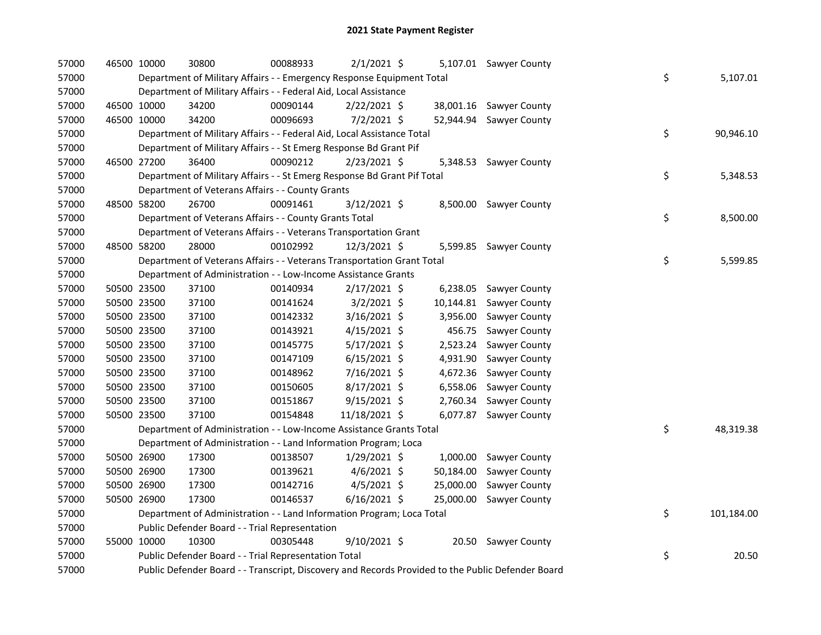| 57000 | 46500 10000 | 30800                                                                                             | 00088933 | $2/1/2021$ \$  |           | 5,107.01 Sawyer County  |    |            |
|-------|-------------|---------------------------------------------------------------------------------------------------|----------|----------------|-----------|-------------------------|----|------------|
| 57000 |             | Department of Military Affairs - - Emergency Response Equipment Total                             |          |                |           |                         | \$ | 5,107.01   |
| 57000 |             | Department of Military Affairs - - Federal Aid, Local Assistance                                  |          |                |           |                         |    |            |
| 57000 | 46500 10000 | 34200                                                                                             | 00090144 | $2/22/2021$ \$ |           | 38,001.16 Sawyer County |    |            |
| 57000 | 46500 10000 | 34200                                                                                             | 00096693 | $7/2/2021$ \$  | 52,944.94 | Sawyer County           |    |            |
| 57000 |             | Department of Military Affairs - - Federal Aid, Local Assistance Total                            |          |                |           |                         | \$ | 90,946.10  |
| 57000 |             | Department of Military Affairs - - St Emerg Response Bd Grant Pif                                 |          |                |           |                         |    |            |
| 57000 | 46500 27200 | 36400                                                                                             | 00090212 | $2/23/2021$ \$ |           | 5,348.53 Sawyer County  |    |            |
| 57000 |             | Department of Military Affairs - - St Emerg Response Bd Grant Pif Total                           |          |                |           |                         | \$ | 5,348.53   |
| 57000 |             | Department of Veterans Affairs - - County Grants                                                  |          |                |           |                         |    |            |
| 57000 | 48500 58200 | 26700                                                                                             | 00091461 | 3/12/2021 \$   |           | 8,500.00 Sawyer County  |    |            |
| 57000 |             | Department of Veterans Affairs - - County Grants Total                                            |          |                |           |                         | \$ | 8,500.00   |
| 57000 |             | Department of Veterans Affairs - - Veterans Transportation Grant                                  |          |                |           |                         |    |            |
| 57000 | 48500 58200 | 28000                                                                                             | 00102992 | $12/3/2021$ \$ |           | 5,599.85 Sawyer County  |    |            |
| 57000 |             | Department of Veterans Affairs - - Veterans Transportation Grant Total                            |          |                |           |                         | \$ | 5,599.85   |
| 57000 |             | Department of Administration - - Low-Income Assistance Grants                                     |          |                |           |                         |    |            |
| 57000 | 50500 23500 | 37100                                                                                             | 00140934 | $2/17/2021$ \$ |           | 6,238.05 Sawyer County  |    |            |
| 57000 | 50500 23500 | 37100                                                                                             | 00141624 | $3/2/2021$ \$  | 10,144.81 | Sawyer County           |    |            |
| 57000 | 50500 23500 | 37100                                                                                             | 00142332 | 3/16/2021 \$   | 3,956.00  | Sawyer County           |    |            |
| 57000 | 50500 23500 | 37100                                                                                             | 00143921 | $4/15/2021$ \$ | 456.75    | Sawyer County           |    |            |
| 57000 | 50500 23500 | 37100                                                                                             | 00145775 | 5/17/2021 \$   | 2,523.24  | Sawyer County           |    |            |
| 57000 | 50500 23500 | 37100                                                                                             | 00147109 | $6/15/2021$ \$ | 4,931.90  | Sawyer County           |    |            |
| 57000 | 50500 23500 | 37100                                                                                             | 00148962 | 7/16/2021 \$   | 4,672.36  | Sawyer County           |    |            |
| 57000 | 50500 23500 | 37100                                                                                             | 00150605 | 8/17/2021 \$   | 6,558.06  | Sawyer County           |    |            |
| 57000 | 50500 23500 | 37100                                                                                             | 00151867 | 9/15/2021 \$   | 2,760.34  | Sawyer County           |    |            |
| 57000 | 50500 23500 | 37100                                                                                             | 00154848 | 11/18/2021 \$  | 6,077.87  | Sawyer County           |    |            |
| 57000 |             | Department of Administration - - Low-Income Assistance Grants Total                               |          |                |           |                         | \$ | 48,319.38  |
| 57000 |             | Department of Administration - - Land Information Program; Loca                                   |          |                |           |                         |    |            |
| 57000 | 50500 26900 | 17300                                                                                             | 00138507 | 1/29/2021 \$   | 1,000.00  | Sawyer County           |    |            |
| 57000 | 50500 26900 | 17300                                                                                             | 00139621 | $4/6/2021$ \$  | 50,184.00 | Sawyer County           |    |            |
| 57000 | 50500 26900 | 17300                                                                                             | 00142716 | $4/5/2021$ \$  | 25,000.00 | Sawyer County           |    |            |
| 57000 | 50500 26900 | 17300                                                                                             | 00146537 | $6/16/2021$ \$ | 25,000.00 | Sawyer County           |    |            |
| 57000 |             | Department of Administration - - Land Information Program; Loca Total                             |          |                |           |                         | \$ | 101,184.00 |
| 57000 |             | Public Defender Board - - Trial Representation                                                    |          |                |           |                         |    |            |
| 57000 | 55000 10000 | 10300                                                                                             | 00305448 | $9/10/2021$ \$ |           | 20.50 Sawyer County     |    |            |
| 57000 |             | Public Defender Board - - Trial Representation Total                                              |          |                |           |                         | \$ | 20.50      |
| 57000 |             | Public Defender Board - - Transcript, Discovery and Records Provided to the Public Defender Board |          |                |           |                         |    |            |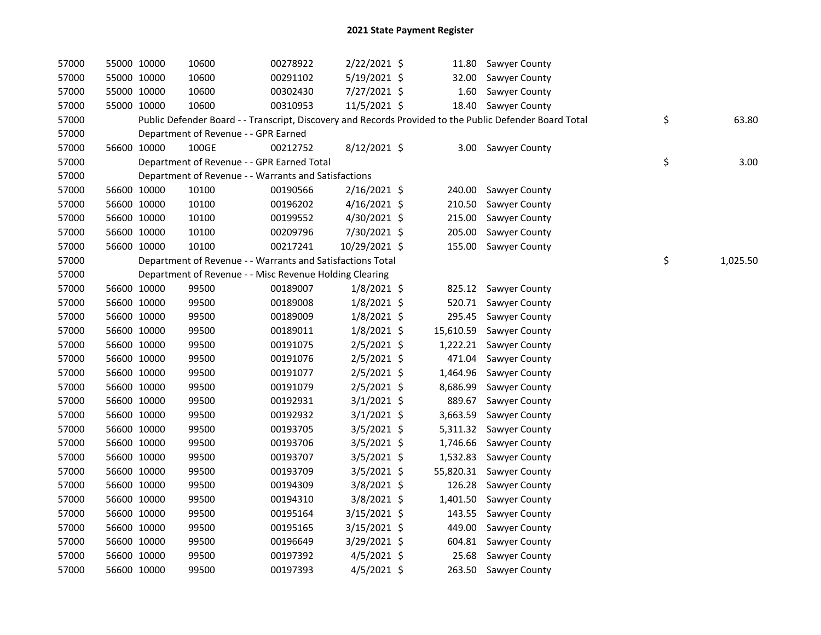| 57000 | 55000 10000 |             | 10600                                                      | 00278922 | 2/22/2021 \$   | 11.80     | <b>Sawyer County</b>                                                                                    |                |
|-------|-------------|-------------|------------------------------------------------------------|----------|----------------|-----------|---------------------------------------------------------------------------------------------------------|----------------|
| 57000 | 55000 10000 |             | 10600                                                      | 00291102 | 5/19/2021 \$   | 32.00     | Sawyer County                                                                                           |                |
| 57000 | 55000 10000 |             | 10600                                                      | 00302430 | 7/27/2021 \$   | 1.60      | Sawyer County                                                                                           |                |
| 57000 | 55000 10000 |             | 10600                                                      | 00310953 | 11/5/2021 \$   |           | 18.40 Sawyer County                                                                                     |                |
| 57000 |             |             |                                                            |          |                |           | Public Defender Board - - Transcript, Discovery and Records Provided to the Public Defender Board Total | \$<br>63.80    |
| 57000 |             |             | Department of Revenue - - GPR Earned                       |          |                |           |                                                                                                         |                |
| 57000 | 56600 10000 |             | 100GE                                                      | 00212752 | 8/12/2021 \$   |           | 3.00 Sawyer County                                                                                      |                |
| 57000 |             |             | Department of Revenue - - GPR Earned Total                 |          |                |           |                                                                                                         | \$<br>3.00     |
| 57000 |             |             | Department of Revenue - - Warrants and Satisfactions       |          |                |           |                                                                                                         |                |
| 57000 |             | 56600 10000 | 10100                                                      | 00190566 | 2/16/2021 \$   | 240.00    | Sawyer County                                                                                           |                |
| 57000 |             | 56600 10000 | 10100                                                      | 00196202 | $4/16/2021$ \$ | 210.50    | Sawyer County                                                                                           |                |
| 57000 | 56600 10000 |             | 10100                                                      | 00199552 | 4/30/2021 \$   | 215.00    | Sawyer County                                                                                           |                |
| 57000 | 56600 10000 |             | 10100                                                      | 00209796 | 7/30/2021 \$   | 205.00    | Sawyer County                                                                                           |                |
| 57000 | 56600 10000 |             | 10100                                                      | 00217241 | 10/29/2021 \$  | 155.00    | Sawyer County                                                                                           |                |
| 57000 |             |             | Department of Revenue - - Warrants and Satisfactions Total |          |                |           |                                                                                                         | \$<br>1,025.50 |
| 57000 |             |             | Department of Revenue - - Misc Revenue Holding Clearing    |          |                |           |                                                                                                         |                |
| 57000 |             | 56600 10000 | 99500                                                      | 00189007 | $1/8/2021$ \$  | 825.12    | Sawyer County                                                                                           |                |
| 57000 |             | 56600 10000 | 99500                                                      | 00189008 | $1/8/2021$ \$  | 520.71    | Sawyer County                                                                                           |                |
| 57000 | 56600 10000 |             | 99500                                                      | 00189009 | $1/8/2021$ \$  | 295.45    | Sawyer County                                                                                           |                |
| 57000 | 56600 10000 |             | 99500                                                      | 00189011 | $1/8/2021$ \$  | 15,610.59 | Sawyer County                                                                                           |                |
| 57000 | 56600 10000 |             | 99500                                                      | 00191075 | 2/5/2021 \$    | 1,222.21  | Sawyer County                                                                                           |                |
| 57000 |             | 56600 10000 | 99500                                                      | 00191076 | 2/5/2021 \$    | 471.04    | Sawyer County                                                                                           |                |
| 57000 | 56600 10000 |             | 99500                                                      | 00191077 | 2/5/2021 \$    | 1,464.96  | Sawyer County                                                                                           |                |
| 57000 | 56600 10000 |             | 99500                                                      | 00191079 | 2/5/2021 \$    | 8,686.99  | Sawyer County                                                                                           |                |
| 57000 | 56600 10000 |             | 99500                                                      | 00192931 | $3/1/2021$ \$  | 889.67    | Sawyer County                                                                                           |                |
| 57000 | 56600 10000 |             | 99500                                                      | 00192932 | $3/1/2021$ \$  | 3,663.59  | Sawyer County                                                                                           |                |
| 57000 | 56600 10000 |             | 99500                                                      | 00193705 | 3/5/2021 \$    | 5,311.32  | Sawyer County                                                                                           |                |
| 57000 | 56600 10000 |             | 99500                                                      | 00193706 | 3/5/2021 \$    | 1,746.66  | Sawyer County                                                                                           |                |
| 57000 | 56600 10000 |             | 99500                                                      | 00193707 | 3/5/2021 \$    | 1,532.83  | Sawyer County                                                                                           |                |
| 57000 | 56600 10000 |             | 99500                                                      | 00193709 | $3/5/2021$ \$  |           | 55,820.31 Sawyer County                                                                                 |                |
| 57000 | 56600 10000 |             | 99500                                                      | 00194309 | 3/8/2021 \$    | 126.28    | Sawyer County                                                                                           |                |
| 57000 | 56600 10000 |             | 99500                                                      | 00194310 | 3/8/2021 \$    | 1,401.50  | Sawyer County                                                                                           |                |
| 57000 | 56600 10000 |             | 99500                                                      | 00195164 | 3/15/2021 \$   | 143.55    | Sawyer County                                                                                           |                |
| 57000 | 56600 10000 |             | 99500                                                      | 00195165 | $3/15/2021$ \$ | 449.00    | Sawyer County                                                                                           |                |
| 57000 |             | 56600 10000 | 99500                                                      | 00196649 | 3/29/2021 \$   | 604.81    | Sawyer County                                                                                           |                |
| 57000 | 56600 10000 |             | 99500                                                      | 00197392 | $4/5/2021$ \$  | 25.68     | Sawyer County                                                                                           |                |
| 57000 |             | 56600 10000 | 99500                                                      | 00197393 | $4/5/2021$ \$  | 263.50    | <b>Sawyer County</b>                                                                                    |                |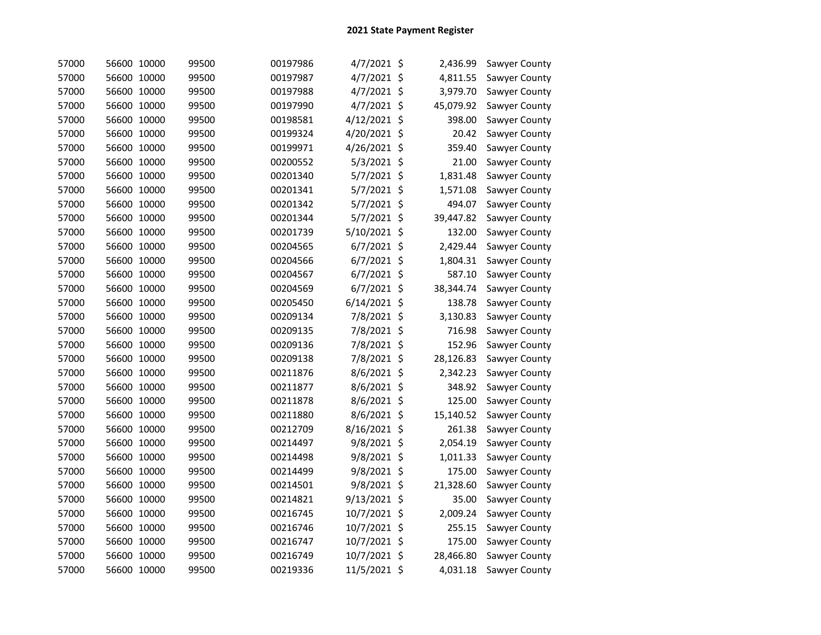| 57000 | 56600 10000 |       | 99500 | 00197986 | 4/7/2021 \$    | 2,436.99       | Sawyer County |
|-------|-------------|-------|-------|----------|----------------|----------------|---------------|
| 57000 | 56600 10000 |       | 99500 | 00197987 | 4/7/2021 \$    | 4,811.55       | Sawyer County |
| 57000 | 56600 10000 |       | 99500 | 00197988 | 4/7/2021 \$    | 3,979.70       | Sawyer County |
| 57000 | 56600 10000 |       | 99500 | 00197990 | 4/7/2021 \$    | 45,079.92      | Sawyer County |
| 57000 | 56600 10000 |       | 99500 | 00198581 | 4/12/2021 \$   | 398.00         | Sawyer County |
| 57000 | 56600 10000 |       | 99500 | 00199324 | 4/20/2021 \$   | 20.42          | Sawyer County |
| 57000 | 56600 10000 |       | 99500 | 00199971 | 4/26/2021 \$   | 359.40         | Sawyer County |
| 57000 | 56600 10000 |       | 99500 | 00200552 | 5/3/2021 \$    | 21.00          | Sawyer County |
| 57000 | 56600 10000 |       | 99500 | 00201340 | 5/7/2021 \$    | 1,831.48       | Sawyer County |
| 57000 | 56600 10000 |       | 99500 | 00201341 | 5/7/2021 \$    | 1,571.08       | Sawyer County |
| 57000 | 56600 10000 |       | 99500 | 00201342 | 5/7/2021 \$    | 494.07         | Sawyer County |
| 57000 | 56600 10000 |       | 99500 | 00201344 | 5/7/2021 \$    | 39,447.82      | Sawyer County |
| 57000 | 56600 10000 |       | 99500 | 00201739 | 5/10/2021 \$   | 132.00         | Sawyer County |
| 57000 | 56600 10000 |       | 99500 | 00204565 | $6/7/2021$ \$  | 2,429.44       | Sawyer County |
| 57000 | 56600 10000 |       | 99500 | 00204566 | $6/7/2021$ \$  | 1,804.31       | Sawyer County |
| 57000 | 56600 10000 |       | 99500 | 00204567 | $6/7/2021$ \$  | 587.10         | Sawyer County |
| 57000 | 56600 10000 |       | 99500 | 00204569 | $6/7/2021$ \$  | 38,344.74      | Sawyer County |
| 57000 | 56600 10000 |       | 99500 | 00205450 | $6/14/2021$ \$ | 138.78         | Sawyer County |
| 57000 | 56600 10000 |       | 99500 | 00209134 | 7/8/2021 \$    | 3,130.83       | Sawyer County |
| 57000 | 56600 10000 |       | 99500 | 00209135 | 7/8/2021 \$    | 716.98         | Sawyer County |
| 57000 | 56600 10000 |       | 99500 | 00209136 | 7/8/2021 \$    | 152.96         | Sawyer County |
| 57000 | 56600 10000 |       | 99500 | 00209138 | 7/8/2021 \$    | 28,126.83      | Sawyer County |
| 57000 | 56600 10000 |       | 99500 | 00211876 | 8/6/2021 \$    | 2,342.23       | Sawyer County |
| 57000 | 56600 10000 |       | 99500 | 00211877 | 8/6/2021 \$    | 348.92         | Sawyer County |
| 57000 | 56600 10000 |       | 99500 | 00211878 | 8/6/2021 \$    | 125.00         | Sawyer County |
| 57000 | 56600       | 10000 | 99500 | 00211880 | 8/6/2021 \$    | 15,140.52      | Sawyer County |
| 57000 | 56600 10000 |       | 99500 | 00212709 | 8/16/2021 \$   | 261.38         | Sawyer County |
| 57000 | 56600 10000 |       | 99500 | 00214497 | 9/8/2021       | \$<br>2,054.19 | Sawyer County |
| 57000 | 56600 10000 |       | 99500 | 00214498 | 9/8/2021 \$    | 1,011.33       | Sawyer County |
| 57000 | 56600 10000 |       | 99500 | 00214499 | 9/8/2021 \$    | 175.00         | Sawyer County |
| 57000 | 56600 10000 |       | 99500 | 00214501 | 9/8/2021 \$    | 21,328.60      | Sawyer County |
| 57000 | 56600 10000 |       | 99500 | 00214821 | 9/13/2021 \$   | 35.00          | Sawyer County |
| 57000 | 56600 10000 |       | 99500 | 00216745 | 10/7/2021 \$   | 2,009.24       | Sawyer County |
| 57000 | 56600 10000 |       | 99500 | 00216746 | 10/7/2021 \$   | 255.15         | Sawyer County |
| 57000 | 56600 10000 |       | 99500 | 00216747 | 10/7/2021 \$   | 175.00         | Sawyer County |
| 57000 | 56600 10000 |       | 99500 | 00216749 | 10/7/2021 \$   | 28,466.80      | Sawyer County |
| 57000 | 56600 10000 |       | 99500 | 00219336 | 11/5/2021 \$   | 4,031.18       | Sawyer County |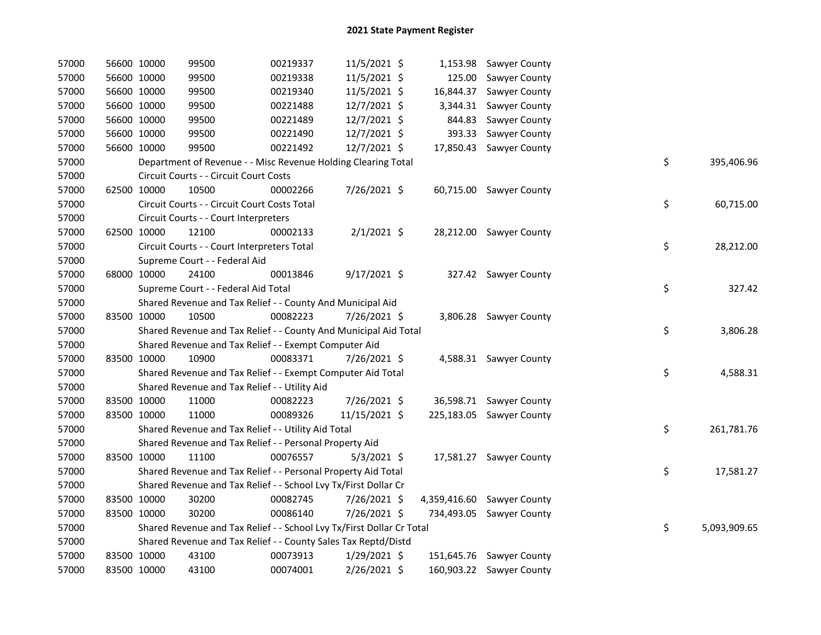| 57000 | 56600 10000 | 99500                                                                 | 00219337 | 11/5/2021 \$   |           | 1,153.98 Sawyer County     |    |              |
|-------|-------------|-----------------------------------------------------------------------|----------|----------------|-----------|----------------------------|----|--------------|
| 57000 | 56600 10000 | 99500                                                                 | 00219338 | 11/5/2021 \$   | 125.00    | Sawyer County              |    |              |
| 57000 | 56600 10000 | 99500                                                                 | 00219340 | 11/5/2021 \$   | 16,844.37 | Sawyer County              |    |              |
| 57000 | 56600 10000 | 99500                                                                 | 00221488 | 12/7/2021 \$   | 3,344.31  | Sawyer County              |    |              |
| 57000 | 56600 10000 | 99500                                                                 | 00221489 | 12/7/2021 \$   | 844.83    | Sawyer County              |    |              |
| 57000 | 56600 10000 | 99500                                                                 | 00221490 | 12/7/2021 \$   | 393.33    | Sawyer County              |    |              |
| 57000 | 56600 10000 | 99500                                                                 | 00221492 | 12/7/2021 \$   | 17,850.43 | Sawyer County              |    |              |
| 57000 |             | Department of Revenue - - Misc Revenue Holding Clearing Total         |          |                |           |                            | \$ | 395,406.96   |
| 57000 |             | Circuit Courts - - Circuit Court Costs                                |          |                |           |                            |    |              |
| 57000 | 62500 10000 | 10500                                                                 | 00002266 | 7/26/2021 \$   |           | 60,715.00 Sawyer County    |    |              |
| 57000 |             | Circuit Courts - - Circuit Court Costs Total                          |          |                |           |                            | \$ | 60,715.00    |
| 57000 |             | Circuit Courts - - Court Interpreters                                 |          |                |           |                            |    |              |
| 57000 | 62500 10000 | 12100                                                                 | 00002133 | $2/1/2021$ \$  |           | 28,212.00 Sawyer County    |    |              |
| 57000 |             | Circuit Courts - - Court Interpreters Total                           |          |                |           |                            | \$ | 28,212.00    |
| 57000 |             | Supreme Court - - Federal Aid                                         |          |                |           |                            |    |              |
| 57000 | 68000 10000 | 24100                                                                 | 00013846 | $9/17/2021$ \$ |           | 327.42 Sawyer County       |    |              |
| 57000 |             | Supreme Court - - Federal Aid Total                                   |          |                |           |                            | \$ | 327.42       |
| 57000 |             | Shared Revenue and Tax Relief - - County And Municipal Aid            |          |                |           |                            |    |              |
| 57000 | 83500 10000 | 10500                                                                 | 00082223 | 7/26/2021 \$   |           | 3,806.28 Sawyer County     |    |              |
| 57000 |             | Shared Revenue and Tax Relief - - County And Municipal Aid Total      |          |                |           |                            | \$ | 3,806.28     |
| 57000 |             | Shared Revenue and Tax Relief - - Exempt Computer Aid                 |          |                |           |                            |    |              |
| 57000 | 83500 10000 | 10900                                                                 | 00083371 | 7/26/2021 \$   |           | 4,588.31 Sawyer County     |    |              |
| 57000 |             | Shared Revenue and Tax Relief - - Exempt Computer Aid Total           |          |                |           |                            | \$ | 4,588.31     |
| 57000 |             | Shared Revenue and Tax Relief - - Utility Aid                         |          |                |           |                            |    |              |
| 57000 | 83500 10000 | 11000                                                                 | 00082223 | 7/26/2021 \$   |           | 36,598.71 Sawyer County    |    |              |
| 57000 | 83500 10000 | 11000                                                                 | 00089326 | 11/15/2021 \$  |           | 225,183.05 Sawyer County   |    |              |
| 57000 |             | Shared Revenue and Tax Relief - - Utility Aid Total                   |          |                |           |                            | \$ | 261,781.76   |
| 57000 |             | Shared Revenue and Tax Relief - - Personal Property Aid               |          |                |           |                            |    |              |
| 57000 | 83500 10000 | 11100                                                                 | 00076557 | $5/3/2021$ \$  |           | 17,581.27 Sawyer County    |    |              |
| 57000 |             | Shared Revenue and Tax Relief - - Personal Property Aid Total         |          |                |           |                            | \$ | 17,581.27    |
| 57000 |             | Shared Revenue and Tax Relief - - School Lvy Tx/First Dollar Cr       |          |                |           |                            |    |              |
| 57000 | 83500 10000 | 30200                                                                 | 00082745 | 7/26/2021 \$   |           | 4,359,416.60 Sawyer County |    |              |
| 57000 | 83500 10000 | 30200                                                                 | 00086140 | 7/26/2021 \$   |           | 734,493.05 Sawyer County   |    |              |
| 57000 |             | Shared Revenue and Tax Relief - - School Lvy Tx/First Dollar Cr Total |          |                |           |                            | \$ | 5,093,909.65 |
| 57000 |             | Shared Revenue and Tax Relief - - County Sales Tax Reptd/Distd        |          |                |           |                            |    |              |
| 57000 | 83500 10000 | 43100                                                                 | 00073913 | $1/29/2021$ \$ |           | 151,645.76 Sawyer County   |    |              |
| 57000 | 83500 10000 | 43100                                                                 | 00074001 | 2/26/2021 \$   |           | 160,903.22 Sawyer County   |    |              |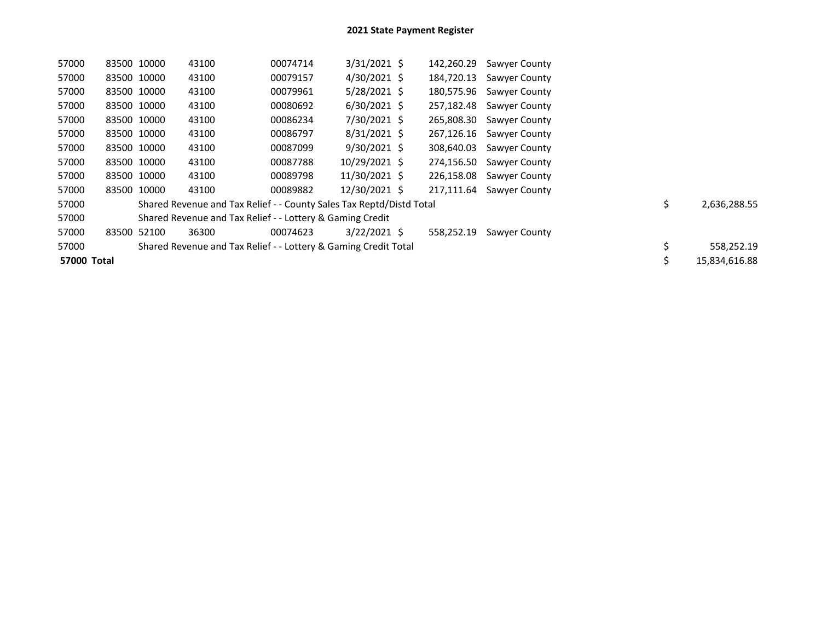| 57000       | 83500 10000 | 43100                                                                | 00074714 | $3/31/2021$ \$ | 142,260.29 | Sawyer County        |    |               |
|-------------|-------------|----------------------------------------------------------------------|----------|----------------|------------|----------------------|----|---------------|
| 57000       | 83500 10000 | 43100                                                                | 00079157 | 4/30/2021 \$   | 184,720.13 | <b>Sawyer County</b> |    |               |
| 57000       | 83500 10000 | 43100                                                                | 00079961 | $5/28/2021$ \$ | 180,575.96 | <b>Sawyer County</b> |    |               |
| 57000       | 83500 10000 | 43100                                                                | 00080692 | $6/30/2021$ \$ | 257,182.48 | Sawyer County        |    |               |
| 57000       | 83500 10000 | 43100                                                                | 00086234 | 7/30/2021 \$   | 265,808.30 | <b>Sawyer County</b> |    |               |
| 57000       | 83500 10000 | 43100                                                                | 00086797 | 8/31/2021 \$   | 267,126.16 | Sawyer County        |    |               |
| 57000       | 83500 10000 | 43100                                                                | 00087099 | 9/30/2021 \$   | 308,640.03 | Sawyer County        |    |               |
| 57000       | 83500 10000 | 43100                                                                | 00087788 | 10/29/2021 \$  | 274,156.50 | <b>Sawyer County</b> |    |               |
| 57000       | 83500 10000 | 43100                                                                | 00089798 | 11/30/2021 \$  | 226,158.08 | Sawyer County        |    |               |
| 57000       | 83500 10000 | 43100                                                                | 00089882 | 12/30/2021 \$  | 217,111.64 | <b>Sawyer County</b> |    |               |
| 57000       |             | Shared Revenue and Tax Relief - - County Sales Tax Reptd/Distd Total |          |                |            |                      | \$ | 2,636,288.55  |
| 57000       |             | Shared Revenue and Tax Relief - - Lottery & Gaming Credit            |          |                |            |                      |    |               |
| 57000       | 83500 52100 | 36300                                                                | 00074623 | $3/22/2021$ \$ | 558,252.19 | Sawyer County        |    |               |
| 57000       |             | Shared Revenue and Tax Relief - - Lottery & Gaming Credit Total      |          |                |            |                      |    | 558,252.19    |
| 57000 Total |             |                                                                      |          |                |            |                      |    | 15,834,616.88 |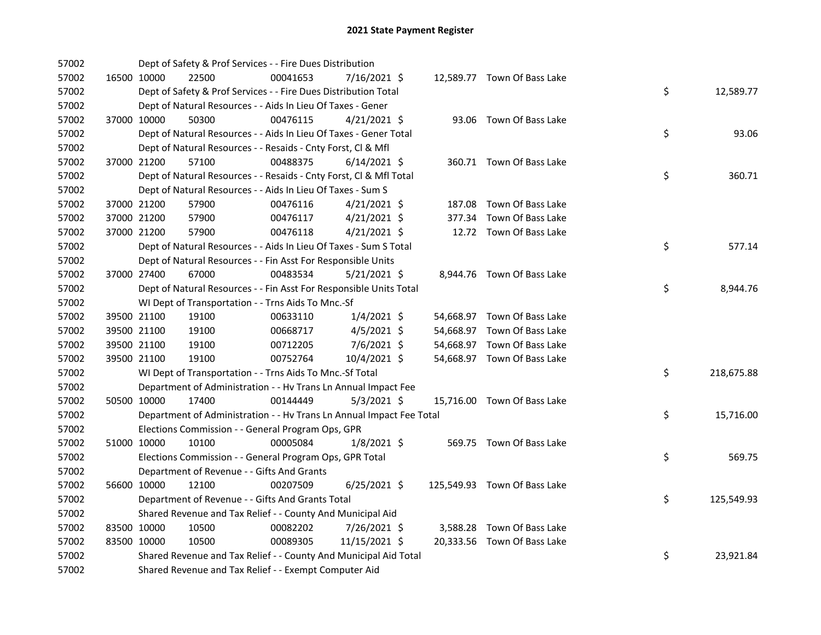| 57002 |             | Dept of Safety & Prof Services - - Fire Dues Distribution            |          |                |        |                              |    |            |
|-------|-------------|----------------------------------------------------------------------|----------|----------------|--------|------------------------------|----|------------|
| 57002 | 16500 10000 | 22500                                                                | 00041653 | 7/16/2021 \$   |        | 12,589.77 Town Of Bass Lake  |    |            |
| 57002 |             | Dept of Safety & Prof Services - - Fire Dues Distribution Total      |          |                |        |                              | \$ | 12,589.77  |
| 57002 |             | Dept of Natural Resources - - Aids In Lieu Of Taxes - Gener          |          |                |        |                              |    |            |
| 57002 | 37000 10000 | 50300                                                                | 00476115 | $4/21/2021$ \$ |        | 93.06 Town Of Bass Lake      |    |            |
| 57002 |             | Dept of Natural Resources - - Aids In Lieu Of Taxes - Gener Total    |          |                |        |                              | \$ | 93.06      |
| 57002 |             | Dept of Natural Resources - - Resaids - Cnty Forst, Cl & Mfl         |          |                |        |                              |    |            |
| 57002 | 37000 21200 | 57100                                                                | 00488375 | $6/14/2021$ \$ |        | 360.71 Town Of Bass Lake     |    |            |
| 57002 |             | Dept of Natural Resources - - Resaids - Cnty Forst, Cl & Mfl Total   |          |                |        |                              | \$ | 360.71     |
| 57002 |             | Dept of Natural Resources - - Aids In Lieu Of Taxes - Sum S          |          |                |        |                              |    |            |
| 57002 | 37000 21200 | 57900                                                                | 00476116 | $4/21/2021$ \$ | 187.08 | Town Of Bass Lake            |    |            |
| 57002 | 37000 21200 | 57900                                                                | 00476117 | $4/21/2021$ \$ | 377.34 | Town Of Bass Lake            |    |            |
| 57002 | 37000 21200 | 57900                                                                | 00476118 | $4/21/2021$ \$ |        | 12.72 Town Of Bass Lake      |    |            |
| 57002 |             | Dept of Natural Resources - - Aids In Lieu Of Taxes - Sum S Total    |          |                |        |                              | \$ | 577.14     |
| 57002 |             | Dept of Natural Resources - - Fin Asst For Responsible Units         |          |                |        |                              |    |            |
| 57002 | 37000 27400 | 67000                                                                | 00483534 | $5/21/2021$ \$ |        | 8,944.76 Town Of Bass Lake   |    |            |
| 57002 |             | Dept of Natural Resources - - Fin Asst For Responsible Units Total   |          |                |        |                              | \$ | 8,944.76   |
| 57002 |             | WI Dept of Transportation - - Trns Aids To Mnc.-Sf                   |          |                |        |                              |    |            |
| 57002 | 39500 21100 | 19100                                                                | 00633110 | $1/4/2021$ \$  |        | 54,668.97 Town Of Bass Lake  |    |            |
| 57002 | 39500 21100 | 19100                                                                | 00668717 | 4/5/2021 \$    |        | 54,668.97 Town Of Bass Lake  |    |            |
| 57002 | 39500 21100 | 19100                                                                | 00712205 | 7/6/2021 \$    |        | 54,668.97 Town Of Bass Lake  |    |            |
| 57002 | 39500 21100 | 19100                                                                | 00752764 | 10/4/2021 \$   |        | 54,668.97 Town Of Bass Lake  |    |            |
| 57002 |             | WI Dept of Transportation - - Trns Aids To Mnc.-Sf Total             |          |                |        |                              | \$ | 218,675.88 |
| 57002 |             | Department of Administration - - Hv Trans Ln Annual Impact Fee       |          |                |        |                              |    |            |
| 57002 | 50500 10000 | 17400                                                                | 00144449 | $5/3/2021$ \$  |        | 15,716.00 Town Of Bass Lake  |    |            |
| 57002 |             | Department of Administration - - Hv Trans Ln Annual Impact Fee Total |          |                |        |                              | \$ | 15,716.00  |
| 57002 |             | Elections Commission - - General Program Ops, GPR                    |          |                |        |                              |    |            |
| 57002 | 51000 10000 | 10100                                                                | 00005084 | $1/8/2021$ \$  |        | 569.75 Town Of Bass Lake     |    |            |
| 57002 |             | Elections Commission - - General Program Ops, GPR Total              |          |                |        |                              | \$ | 569.75     |
| 57002 |             | Department of Revenue - - Gifts And Grants                           |          |                |        |                              |    |            |
| 57002 | 56600 10000 | 12100                                                                | 00207509 | $6/25/2021$ \$ |        | 125,549.93 Town Of Bass Lake |    |            |
| 57002 |             | Department of Revenue - - Gifts And Grants Total                     |          |                |        |                              | \$ | 125,549.93 |
| 57002 |             | Shared Revenue and Tax Relief - - County And Municipal Aid           |          |                |        |                              |    |            |
| 57002 | 83500 10000 | 10500                                                                | 00082202 | 7/26/2021 \$   |        | 3,588.28 Town Of Bass Lake   |    |            |
| 57002 | 83500 10000 | 10500                                                                | 00089305 | 11/15/2021 \$  |        | 20,333.56 Town Of Bass Lake  |    |            |
| 57002 |             | Shared Revenue and Tax Relief - - County And Municipal Aid Total     |          |                |        |                              | \$ | 23,921.84  |
| 57002 |             | Shared Revenue and Tax Relief - - Exempt Computer Aid                |          |                |        |                              |    |            |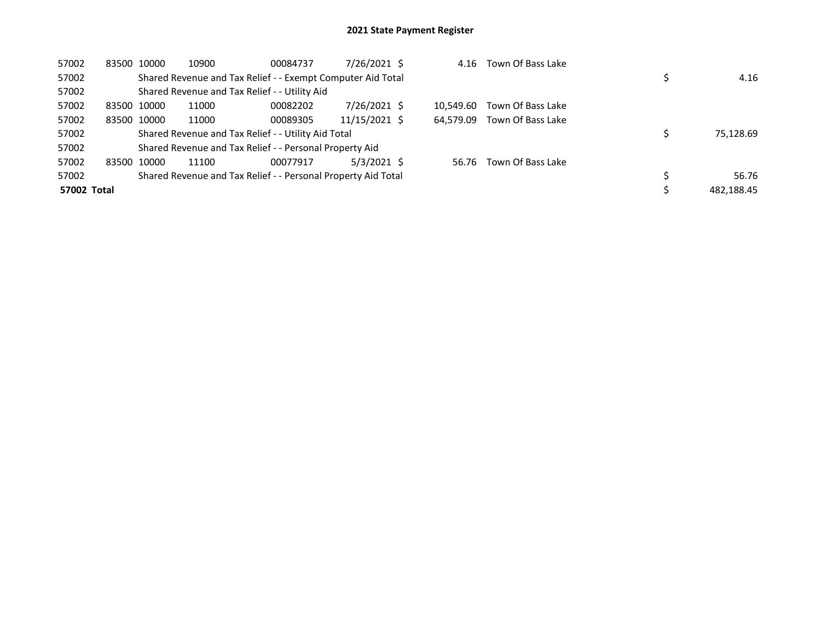| 57002       | 83500 10000 | 10900 | 00084737                                                      | 7/26/2021 \$  | 4.16      | Town Of Bass Lake |            |
|-------------|-------------|-------|---------------------------------------------------------------|---------------|-----------|-------------------|------------|
| 57002       |             |       | Shared Revenue and Tax Relief - - Exempt Computer Aid Total   |               |           |                   | 4.16       |
| 57002       |             |       | Shared Revenue and Tax Relief - - Utility Aid                 |               |           |                   |            |
| 57002       | 83500 10000 | 11000 | 00082202                                                      | 7/26/2021 \$  | 10.549.60 | Town Of Bass Lake |            |
| 57002       | 83500 10000 | 11000 | 00089305                                                      | 11/15/2021 \$ | 64.579.09 | Town Of Bass Lake |            |
| 57002       |             |       | Shared Revenue and Tax Relief - - Utility Aid Total           |               |           |                   | 75,128.69  |
| 57002       |             |       | Shared Revenue and Tax Relief - - Personal Property Aid       |               |           |                   |            |
| 57002       | 83500 10000 | 11100 | 00077917                                                      | 5/3/2021 \$   | 56.76     | Town Of Bass Lake |            |
| 57002       |             |       | Shared Revenue and Tax Relief - - Personal Property Aid Total |               |           |                   | 56.76      |
| 57002 Total |             |       |                                                               |               |           |                   | 482.188.45 |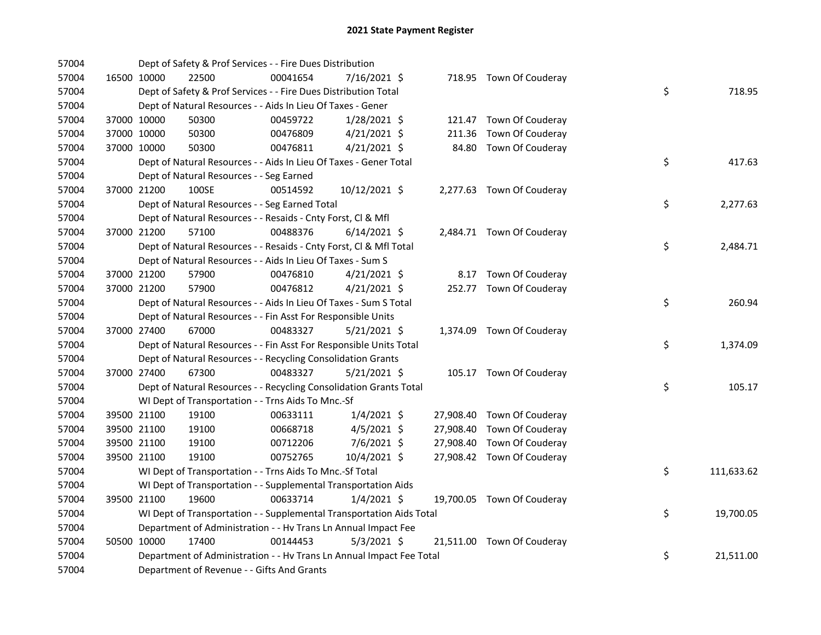| 57004 |             | Dept of Safety & Prof Services - - Fire Dues Distribution            |          |                |  |                            |    |            |
|-------|-------------|----------------------------------------------------------------------|----------|----------------|--|----------------------------|----|------------|
| 57004 | 16500 10000 | 22500                                                                | 00041654 | 7/16/2021 \$   |  | 718.95 Town Of Couderay    |    |            |
| 57004 |             | Dept of Safety & Prof Services - - Fire Dues Distribution Total      |          |                |  |                            | \$ | 718.95     |
| 57004 |             | Dept of Natural Resources - - Aids In Lieu Of Taxes - Gener          |          |                |  |                            |    |            |
| 57004 | 37000 10000 | 50300                                                                | 00459722 | 1/28/2021 \$   |  | 121.47 Town Of Couderay    |    |            |
| 57004 | 37000 10000 | 50300                                                                | 00476809 | $4/21/2021$ \$ |  | 211.36 Town Of Couderay    |    |            |
| 57004 | 37000 10000 | 50300                                                                | 00476811 | $4/21/2021$ \$ |  | 84.80 Town Of Couderay     |    |            |
| 57004 |             | Dept of Natural Resources - - Aids In Lieu Of Taxes - Gener Total    |          |                |  |                            | \$ | 417.63     |
| 57004 |             | Dept of Natural Resources - - Seg Earned                             |          |                |  |                            |    |            |
| 57004 | 37000 21200 | 100SE                                                                | 00514592 | 10/12/2021 \$  |  | 2,277.63 Town Of Couderay  |    |            |
| 57004 |             | Dept of Natural Resources - - Seg Earned Total                       |          |                |  |                            | \$ | 2,277.63   |
| 57004 |             | Dept of Natural Resources - - Resaids - Cnty Forst, Cl & Mfl         |          |                |  |                            |    |            |
| 57004 | 37000 21200 | 57100                                                                | 00488376 | $6/14/2021$ \$ |  | 2,484.71 Town Of Couderay  |    |            |
| 57004 |             | Dept of Natural Resources - - Resaids - Cnty Forst, Cl & Mfl Total   |          |                |  |                            | \$ | 2,484.71   |
| 57004 |             | Dept of Natural Resources - - Aids In Lieu Of Taxes - Sum S          |          |                |  |                            |    |            |
| 57004 | 37000 21200 | 57900                                                                | 00476810 | $4/21/2021$ \$ |  | 8.17 Town Of Couderay      |    |            |
| 57004 | 37000 21200 | 57900                                                                | 00476812 | $4/21/2021$ \$ |  | 252.77 Town Of Couderay    |    |            |
| 57004 |             | Dept of Natural Resources - - Aids In Lieu Of Taxes - Sum S Total    |          |                |  |                            | \$ | 260.94     |
| 57004 |             | Dept of Natural Resources - - Fin Asst For Responsible Units         |          |                |  |                            |    |            |
| 57004 | 37000 27400 | 67000                                                                | 00483327 | $5/21/2021$ \$ |  | 1,374.09 Town Of Couderay  |    |            |
| 57004 |             | Dept of Natural Resources - - Fin Asst For Responsible Units Total   |          |                |  |                            | \$ | 1,374.09   |
| 57004 |             | Dept of Natural Resources - - Recycling Consolidation Grants         |          |                |  |                            |    |            |
| 57004 | 37000 27400 | 67300                                                                | 00483327 | 5/21/2021 \$   |  | 105.17 Town Of Couderay    |    |            |
| 57004 |             | Dept of Natural Resources - - Recycling Consolidation Grants Total   |          |                |  |                            | \$ | 105.17     |
| 57004 |             | WI Dept of Transportation - - Trns Aids To Mnc.-Sf                   |          |                |  |                            |    |            |
| 57004 | 39500 21100 | 19100                                                                | 00633111 | $1/4/2021$ \$  |  | 27,908.40 Town Of Couderay |    |            |
| 57004 | 39500 21100 | 19100                                                                | 00668718 | $4/5/2021$ \$  |  | 27,908.40 Town Of Couderay |    |            |
| 57004 | 39500 21100 | 19100                                                                | 00712206 | 7/6/2021 \$    |  | 27,908.40 Town Of Couderay |    |            |
| 57004 | 39500 21100 | 19100                                                                | 00752765 | 10/4/2021 \$   |  | 27,908.42 Town Of Couderay |    |            |
| 57004 |             | WI Dept of Transportation - - Trns Aids To Mnc.-Sf Total             |          |                |  |                            | \$ | 111,633.62 |
| 57004 |             | WI Dept of Transportation - - Supplemental Transportation Aids       |          |                |  |                            |    |            |
| 57004 | 39500 21100 | 19600                                                                | 00633714 | $1/4/2021$ \$  |  | 19,700.05 Town Of Couderay |    |            |
| 57004 |             | WI Dept of Transportation - - Supplemental Transportation Aids Total |          |                |  |                            | \$ | 19,700.05  |
| 57004 |             | Department of Administration - - Hv Trans Ln Annual Impact Fee       |          |                |  |                            |    |            |
| 57004 | 50500 10000 | 17400                                                                | 00144453 | $5/3/2021$ \$  |  | 21,511.00 Town Of Couderay |    |            |
| 57004 |             | Department of Administration - - Hv Trans Ln Annual Impact Fee Total |          |                |  |                            | \$ | 21,511.00  |
| 57004 |             | Department of Revenue - - Gifts And Grants                           |          |                |  |                            |    |            |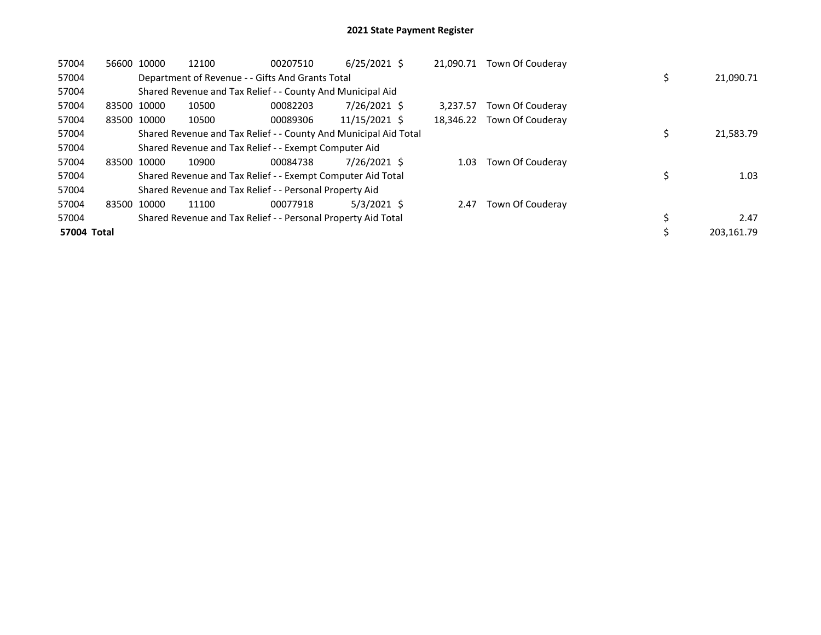| 57004       | 56600       | 10000 | 12100 | 00207510                                                         | $6/25/2021$ \$ | 21.090.71 | Town Of Couderay |            |
|-------------|-------------|-------|-------|------------------------------------------------------------------|----------------|-----------|------------------|------------|
| 57004       |             |       |       | Department of Revenue - - Gifts And Grants Total                 |                |           |                  | 21,090.71  |
| 57004       |             |       |       | Shared Revenue and Tax Relief - - County And Municipal Aid       |                |           |                  |            |
| 57004       | 83500 10000 |       | 10500 | 00082203                                                         | 7/26/2021 \$   | 3.237.57  | Town Of Couderay |            |
| 57004       | 83500 10000 |       | 10500 | 00089306                                                         | 11/15/2021 \$  | 18,346.22 | Town Of Couderay |            |
| 57004       |             |       |       | Shared Revenue and Tax Relief - - County And Municipal Aid Total |                |           |                  | 21,583.79  |
| 57004       |             |       |       | Shared Revenue and Tax Relief - - Exempt Computer Aid            |                |           |                  |            |
| 57004       | 83500 10000 |       | 10900 | 00084738                                                         | 7/26/2021 \$   | 1.03      | Town Of Couderay |            |
| 57004       |             |       |       | Shared Revenue and Tax Relief - - Exempt Computer Aid Total      |                |           |                  | 1.03       |
| 57004       |             |       |       | Shared Revenue and Tax Relief - - Personal Property Aid          |                |           |                  |            |
| 57004       | 83500       | 10000 | 11100 | 00077918                                                         | $5/3/2021$ \$  | 2.47      | Town Of Couderay |            |
| 57004       |             |       |       | Shared Revenue and Tax Relief - - Personal Property Aid Total    |                |           |                  | 2.47       |
| 57004 Total |             |       |       |                                                                  |                |           |                  | 203.161.79 |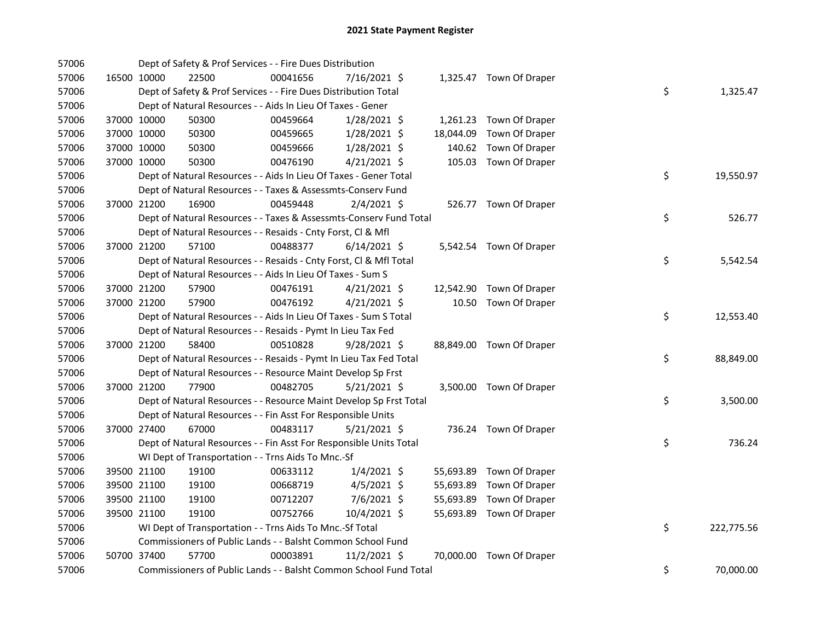| 57006 |             |             | Dept of Safety & Prof Services - - Fire Dues Distribution          |          |                |           |                          |    |            |
|-------|-------------|-------------|--------------------------------------------------------------------|----------|----------------|-----------|--------------------------|----|------------|
| 57006 |             | 16500 10000 | 22500                                                              | 00041656 | 7/16/2021 \$   |           | 1,325.47 Town Of Draper  |    |            |
| 57006 |             |             | Dept of Safety & Prof Services - - Fire Dues Distribution Total    |          |                |           |                          | \$ | 1,325.47   |
| 57006 |             |             | Dept of Natural Resources - - Aids In Lieu Of Taxes - Gener        |          |                |           |                          |    |            |
| 57006 |             | 37000 10000 | 50300                                                              | 00459664 | 1/28/2021 \$   |           | 1,261.23 Town Of Draper  |    |            |
| 57006 |             | 37000 10000 | 50300                                                              | 00459665 | $1/28/2021$ \$ | 18,044.09 | Town Of Draper           |    |            |
| 57006 |             | 37000 10000 | 50300                                                              | 00459666 | 1/28/2021 \$   | 140.62    | Town Of Draper           |    |            |
| 57006 | 37000 10000 |             | 50300                                                              | 00476190 | $4/21/2021$ \$ |           | 105.03 Town Of Draper    |    |            |
| 57006 |             |             | Dept of Natural Resources - - Aids In Lieu Of Taxes - Gener Total  |          |                |           |                          | \$ | 19,550.97  |
| 57006 |             |             | Dept of Natural Resources - - Taxes & Assessmts-Conserv Fund       |          |                |           |                          |    |            |
| 57006 |             | 37000 21200 | 16900                                                              | 00459448 | 2/4/2021 \$    |           | 526.77 Town Of Draper    |    |            |
| 57006 |             |             | Dept of Natural Resources - - Taxes & Assessmts-Conserv Fund Total |          |                |           |                          | \$ | 526.77     |
| 57006 |             |             | Dept of Natural Resources - - Resaids - Cnty Forst, Cl & Mfl       |          |                |           |                          |    |            |
| 57006 |             | 37000 21200 | 57100                                                              | 00488377 | $6/14/2021$ \$ |           | 5,542.54 Town Of Draper  |    |            |
| 57006 |             |             | Dept of Natural Resources - - Resaids - Cnty Forst, Cl & Mfl Total |          |                |           |                          | \$ | 5,542.54   |
| 57006 |             |             | Dept of Natural Resources - - Aids In Lieu Of Taxes - Sum S        |          |                |           |                          |    |            |
| 57006 |             | 37000 21200 | 57900                                                              | 00476191 | $4/21/2021$ \$ |           | 12,542.90 Town Of Draper |    |            |
| 57006 |             | 37000 21200 | 57900                                                              | 00476192 | $4/21/2021$ \$ |           | 10.50 Town Of Draper     |    |            |
| 57006 |             |             | Dept of Natural Resources - - Aids In Lieu Of Taxes - Sum S Total  |          |                |           |                          | \$ | 12,553.40  |
| 57006 |             |             | Dept of Natural Resources - - Resaids - Pymt In Lieu Tax Fed       |          |                |           |                          |    |            |
| 57006 |             | 37000 21200 | 58400                                                              | 00510828 | $9/28/2021$ \$ |           | 88,849.00 Town Of Draper |    |            |
| 57006 |             |             | Dept of Natural Resources - - Resaids - Pymt In Lieu Tax Fed Total |          |                |           |                          | \$ | 88,849.00  |
| 57006 |             |             | Dept of Natural Resources - - Resource Maint Develop Sp Frst       |          |                |           |                          |    |            |
| 57006 |             | 37000 21200 | 77900                                                              | 00482705 | $5/21/2021$ \$ |           | 3,500.00 Town Of Draper  |    |            |
| 57006 |             |             | Dept of Natural Resources - - Resource Maint Develop Sp Frst Total |          |                |           |                          | \$ | 3,500.00   |
| 57006 |             |             | Dept of Natural Resources - - Fin Asst For Responsible Units       |          |                |           |                          |    |            |
| 57006 |             | 37000 27400 | 67000                                                              | 00483117 | $5/21/2021$ \$ |           | 736.24 Town Of Draper    |    |            |
| 57006 |             |             | Dept of Natural Resources - - Fin Asst For Responsible Units Total |          |                |           |                          | \$ | 736.24     |
| 57006 |             |             | WI Dept of Transportation - - Trns Aids To Mnc.-Sf                 |          |                |           |                          |    |            |
| 57006 |             | 39500 21100 | 19100                                                              | 00633112 | $1/4/2021$ \$  |           | 55,693.89 Town Of Draper |    |            |
| 57006 |             | 39500 21100 | 19100                                                              | 00668719 | $4/5/2021$ \$  | 55,693.89 | Town Of Draper           |    |            |
| 57006 |             | 39500 21100 | 19100                                                              | 00712207 | 7/6/2021 \$    | 55,693.89 | Town Of Draper           |    |            |
| 57006 |             | 39500 21100 | 19100                                                              | 00752766 | 10/4/2021 \$   |           | 55,693.89 Town Of Draper |    |            |
| 57006 |             |             | WI Dept of Transportation - - Trns Aids To Mnc.-Sf Total           |          |                |           |                          | \$ | 222,775.56 |
| 57006 |             |             | Commissioners of Public Lands - - Balsht Common School Fund        |          |                |           |                          |    |            |
| 57006 |             | 50700 37400 | 57700                                                              | 00003891 | 11/2/2021 \$   |           | 70,000.00 Town Of Draper |    |            |
| 57006 |             |             | Commissioners of Public Lands - - Balsht Common School Fund Total  |          |                |           |                          | \$ | 70,000.00  |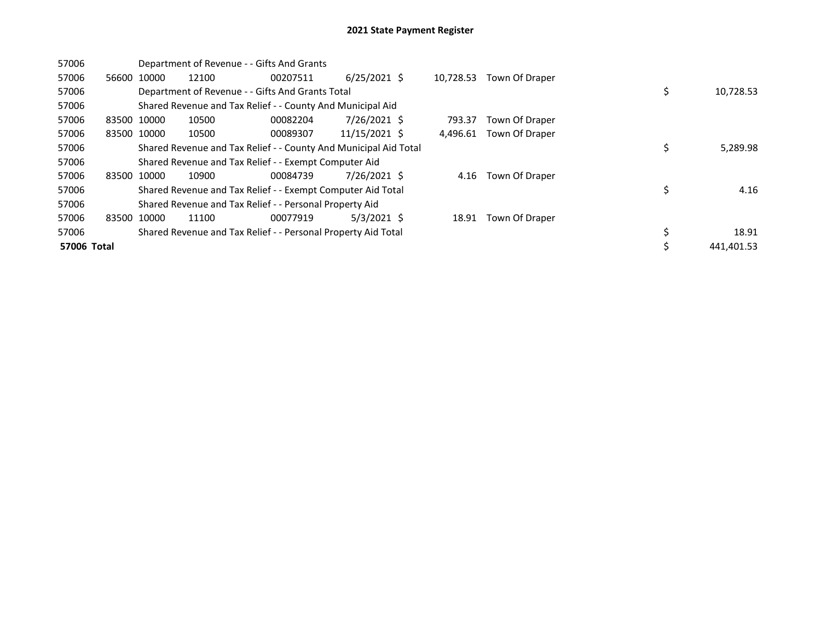| 57006       |             | Department of Revenue - - Gifts And Grants                       |          |                |           |                |    |            |
|-------------|-------------|------------------------------------------------------------------|----------|----------------|-----------|----------------|----|------------|
| 57006       | 56600 10000 | 12100                                                            | 00207511 | $6/25/2021$ \$ | 10,728.53 | Town Of Draper |    |            |
| 57006       |             | Department of Revenue - - Gifts And Grants Total                 |          |                |           |                | \$ | 10,728.53  |
| 57006       |             | Shared Revenue and Tax Relief - - County And Municipal Aid       |          |                |           |                |    |            |
| 57006       | 83500 10000 | 10500                                                            | 00082204 | 7/26/2021 \$   | 793.37    | Town Of Draper |    |            |
| 57006       | 83500 10000 | 10500                                                            | 00089307 | 11/15/2021 \$  | 4,496.61  | Town Of Draper |    |            |
| 57006       |             | Shared Revenue and Tax Relief - - County And Municipal Aid Total |          |                |           |                | \$ | 5,289.98   |
| 57006       |             | Shared Revenue and Tax Relief - - Exempt Computer Aid            |          |                |           |                |    |            |
| 57006       | 83500 10000 | 10900                                                            | 00084739 | $7/26/2021$ \$ | 4.16      | Town Of Draper |    |            |
| 57006       |             | Shared Revenue and Tax Relief - - Exempt Computer Aid Total      |          |                |           |                | \$ | 4.16       |
| 57006       |             | Shared Revenue and Tax Relief - - Personal Property Aid          |          |                |           |                |    |            |
| 57006       | 83500 10000 | 11100                                                            | 00077919 | 5/3/2021 S     | 18.91     | Town Of Draper |    |            |
| 57006       |             | Shared Revenue and Tax Relief - - Personal Property Aid Total    |          |                |           |                | \$ | 18.91      |
| 57006 Total |             |                                                                  |          |                |           |                | Ś  | 441,401.53 |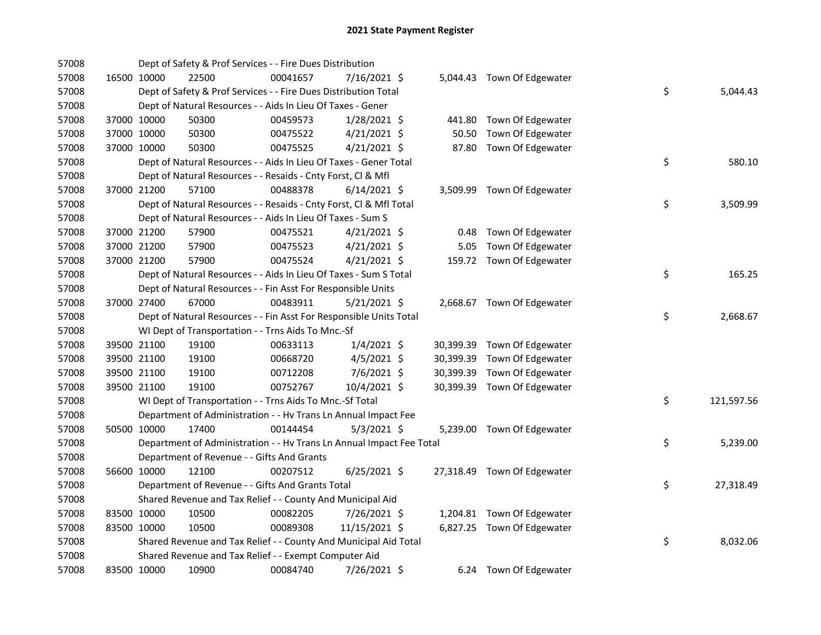| 57008 |             | Dept of Safety & Prof Services - - Fire Dues Distribution            |          |                |       |                             |    |            |
|-------|-------------|----------------------------------------------------------------------|----------|----------------|-------|-----------------------------|----|------------|
| 57008 | 16500 10000 | 22500                                                                | 00041657 | 7/16/2021 \$   |       | 5,044.43 Town Of Edgewater  |    |            |
| 57008 |             | Dept of Safety & Prof Services - - Fire Dues Distribution Total      |          |                |       |                             | \$ | 5,044.43   |
| 57008 |             | Dept of Natural Resources - - Aids In Lieu Of Taxes - Gener          |          |                |       |                             |    |            |
| 57008 | 37000 10000 | 50300                                                                | 00459573 | $1/28/2021$ \$ |       | 441.80 Town Of Edgewater    |    |            |
| 57008 | 37000 10000 | 50300                                                                | 00475522 | $4/21/2021$ \$ | 50.50 | Town Of Edgewater           |    |            |
| 57008 | 37000 10000 | 50300                                                                | 00475525 | $4/21/2021$ \$ |       | 87.80 Town Of Edgewater     |    |            |
| 57008 |             | Dept of Natural Resources - - Aids In Lieu Of Taxes - Gener Total    |          |                |       |                             | \$ | 580.10     |
| 57008 |             | Dept of Natural Resources - - Resaids - Cnty Forst, Cl & Mfl         |          |                |       |                             |    |            |
| 57008 | 37000 21200 | 57100                                                                | 00488378 | $6/14/2021$ \$ |       | 3,509.99 Town Of Edgewater  |    |            |
| 57008 |             | Dept of Natural Resources - - Resaids - Cnty Forst, CI & Mfl Total   |          |                |       |                             | \$ | 3,509.99   |
| 57008 |             | Dept of Natural Resources - - Aids In Lieu Of Taxes - Sum S          |          |                |       |                             |    |            |
| 57008 | 37000 21200 | 57900                                                                | 00475521 | 4/21/2021 \$   | 0.48  | Town Of Edgewater           |    |            |
| 57008 | 37000 21200 | 57900                                                                | 00475523 | $4/21/2021$ \$ | 5.05  | Town Of Edgewater           |    |            |
| 57008 | 37000 21200 | 57900                                                                | 00475524 | $4/21/2021$ \$ |       | 159.72 Town Of Edgewater    |    |            |
| 57008 |             | Dept of Natural Resources - - Aids In Lieu Of Taxes - Sum S Total    |          |                |       |                             | \$ | 165.25     |
| 57008 |             | Dept of Natural Resources - - Fin Asst For Responsible Units         |          |                |       |                             |    |            |
| 57008 | 37000 27400 | 67000                                                                | 00483911 | 5/21/2021 \$   |       | 2,668.67 Town Of Edgewater  |    |            |
| 57008 |             | Dept of Natural Resources - - Fin Asst For Responsible Units Total   |          |                |       |                             | \$ | 2,668.67   |
| 57008 |             | WI Dept of Transportation - - Trns Aids To Mnc.-Sf                   |          |                |       |                             |    |            |
| 57008 | 39500 21100 | 19100                                                                | 00633113 | $1/4/2021$ \$  |       | 30,399.39 Town Of Edgewater |    |            |
| 57008 | 39500 21100 | 19100                                                                | 00668720 | $4/5/2021$ \$  |       | 30,399.39 Town Of Edgewater |    |            |
| 57008 | 39500 21100 | 19100                                                                | 00712208 | $7/6/2021$ \$  |       | 30,399.39 Town Of Edgewater |    |            |
| 57008 | 39500 21100 | 19100                                                                | 00752767 | 10/4/2021 \$   |       | 30,399.39 Town Of Edgewater |    |            |
| 57008 |             | WI Dept of Transportation - - Trns Aids To Mnc.-Sf Total             |          |                |       |                             | \$ | 121,597.56 |
| 57008 |             | Department of Administration - - Hv Trans Ln Annual Impact Fee       |          |                |       |                             |    |            |
| 57008 | 50500 10000 | 17400                                                                | 00144454 | $5/3/2021$ \$  |       | 5,239.00 Town Of Edgewater  |    |            |
| 57008 |             | Department of Administration - - Hv Trans Ln Annual Impact Fee Total |          |                |       |                             | \$ | 5,239.00   |
| 57008 |             | Department of Revenue - - Gifts And Grants                           |          |                |       |                             |    |            |
| 57008 | 56600 10000 | 12100                                                                | 00207512 | $6/25/2021$ \$ |       | 27,318.49 Town Of Edgewater |    |            |
| 57008 |             | Department of Revenue - - Gifts And Grants Total                     |          |                |       |                             | \$ | 27,318.49  |
| 57008 |             | Shared Revenue and Tax Relief - - County And Municipal Aid           |          |                |       |                             |    |            |
| 57008 | 83500 10000 | 10500                                                                | 00082205 | 7/26/2021 \$   |       | 1,204.81 Town Of Edgewater  |    |            |
| 57008 | 83500 10000 | 10500                                                                | 00089308 | 11/15/2021 \$  |       | 6,827.25 Town Of Edgewater  |    |            |
| 57008 |             | Shared Revenue and Tax Relief - - County And Municipal Aid Total     |          |                |       |                             | \$ | 8,032.06   |
| 57008 |             | Shared Revenue and Tax Relief - - Exempt Computer Aid                |          |                |       |                             |    |            |
| 57008 | 83500 10000 | 10900                                                                | 00084740 | 7/26/2021 \$   |       | 6.24 Town Of Edgewater      |    |            |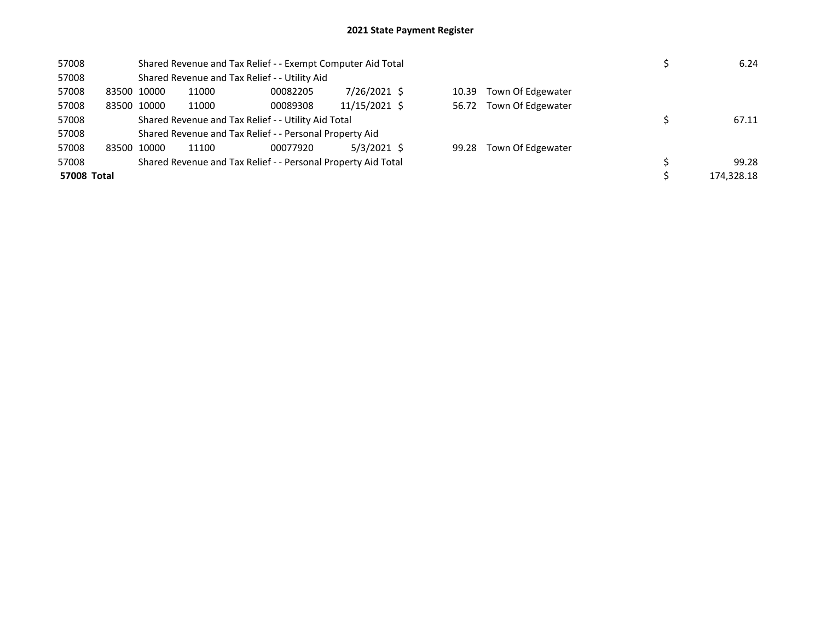| 57008       |             | Shared Revenue and Tax Relief - - Exempt Computer Aid Total   | 6.24     |               |       |                   |            |
|-------------|-------------|---------------------------------------------------------------|----------|---------------|-------|-------------------|------------|
| 57008       |             | Shared Revenue and Tax Relief - - Utility Aid                 |          |               |       |                   |            |
| 57008       | 83500 10000 | 11000                                                         | 00082205 | 7/26/2021 \$  | 10.39 | Town Of Edgewater |            |
| 57008       | 83500 10000 | 11000                                                         | 00089308 | 11/15/2021 \$ | 56.72 | Town Of Edgewater |            |
| 57008       |             | Shared Revenue and Tax Relief - - Utility Aid Total           | 67.11    |               |       |                   |            |
| 57008       |             | Shared Revenue and Tax Relief - - Personal Property Aid       |          |               |       |                   |            |
| 57008       | 83500 10000 | 11100                                                         | 00077920 | $5/3/2021$ \$ | 99.28 | Town Of Edgewater |            |
| 57008       |             | Shared Revenue and Tax Relief - - Personal Property Aid Total |          |               |       |                   | 99.28      |
| 57008 Total |             |                                                               |          |               |       |                   | 174.328.18 |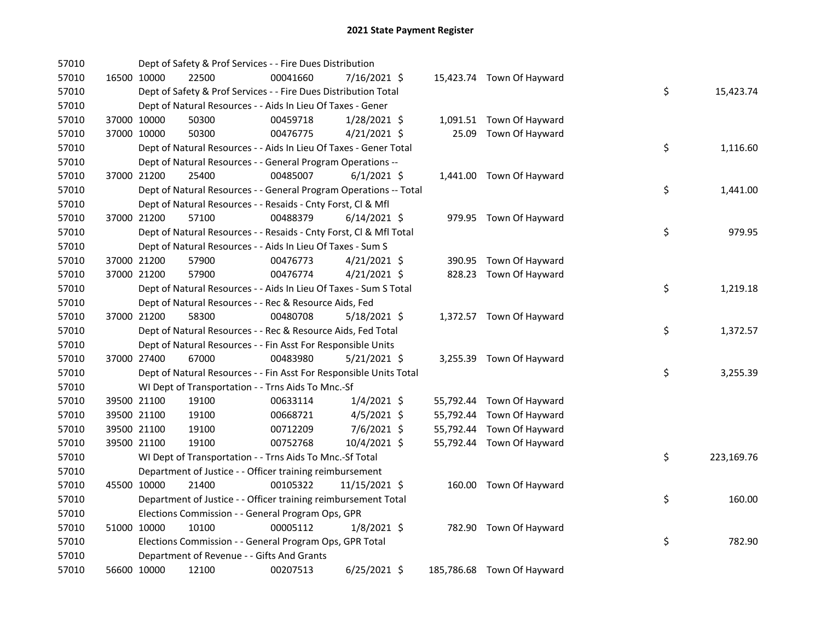| 57010 |             |             | Dept of Safety & Prof Services - - Fire Dues Distribution          |          |                |  |                            |    |            |
|-------|-------------|-------------|--------------------------------------------------------------------|----------|----------------|--|----------------------------|----|------------|
| 57010 |             | 16500 10000 | 22500                                                              | 00041660 | 7/16/2021 \$   |  | 15,423.74 Town Of Hayward  |    |            |
| 57010 |             |             | Dept of Safety & Prof Services - - Fire Dues Distribution Total    |          |                |  |                            | \$ | 15,423.74  |
| 57010 |             |             | Dept of Natural Resources - - Aids In Lieu Of Taxes - Gener        |          |                |  |                            |    |            |
| 57010 |             | 37000 10000 | 50300                                                              | 00459718 | $1/28/2021$ \$ |  | 1,091.51 Town Of Hayward   |    |            |
| 57010 | 37000 10000 |             | 50300                                                              | 00476775 | $4/21/2021$ \$ |  | 25.09 Town Of Hayward      |    |            |
| 57010 |             |             | Dept of Natural Resources - - Aids In Lieu Of Taxes - Gener Total  |          |                |  |                            | \$ | 1,116.60   |
| 57010 |             |             | Dept of Natural Resources - - General Program Operations --        |          |                |  |                            |    |            |
| 57010 | 37000 21200 |             | 25400                                                              | 00485007 | $6/1/2021$ \$  |  | 1,441.00 Town Of Hayward   |    |            |
| 57010 |             |             | Dept of Natural Resources - - General Program Operations -- Total  |          |                |  |                            | \$ | 1,441.00   |
| 57010 |             |             | Dept of Natural Resources - - Resaids - Cnty Forst, Cl & Mfl       |          |                |  |                            |    |            |
| 57010 | 37000 21200 |             | 57100                                                              | 00488379 | $6/14/2021$ \$ |  | 979.95 Town Of Hayward     |    |            |
| 57010 |             |             | Dept of Natural Resources - - Resaids - Cnty Forst, Cl & Mfl Total |          |                |  |                            | \$ | 979.95     |
| 57010 |             |             | Dept of Natural Resources - - Aids In Lieu Of Taxes - Sum S        |          |                |  |                            |    |            |
| 57010 |             | 37000 21200 | 57900                                                              | 00476773 | $4/21/2021$ \$ |  | 390.95 Town Of Hayward     |    |            |
| 57010 | 37000 21200 |             | 57900                                                              | 00476774 | $4/21/2021$ \$ |  | 828.23 Town Of Hayward     |    |            |
| 57010 |             |             | Dept of Natural Resources - - Aids In Lieu Of Taxes - Sum S Total  |          |                |  |                            | \$ | 1,219.18   |
| 57010 |             |             | Dept of Natural Resources - - Rec & Resource Aids, Fed             |          |                |  |                            |    |            |
| 57010 |             | 37000 21200 | 58300                                                              | 00480708 | 5/18/2021 \$   |  | 1,372.57 Town Of Hayward   |    |            |
| 57010 |             |             | Dept of Natural Resources - - Rec & Resource Aids, Fed Total       |          |                |  |                            | \$ | 1,372.57   |
| 57010 |             |             | Dept of Natural Resources - - Fin Asst For Responsible Units       |          |                |  |                            |    |            |
| 57010 |             | 37000 27400 | 67000                                                              | 00483980 | $5/21/2021$ \$ |  | 3,255.39 Town Of Hayward   |    |            |
| 57010 |             |             | Dept of Natural Resources - - Fin Asst For Responsible Units Total |          |                |  |                            | \$ | 3,255.39   |
| 57010 |             |             | WI Dept of Transportation - - Trns Aids To Mnc.-Sf                 |          |                |  |                            |    |            |
| 57010 |             | 39500 21100 | 19100                                                              | 00633114 | $1/4/2021$ \$  |  | 55,792.44 Town Of Hayward  |    |            |
| 57010 |             | 39500 21100 | 19100                                                              | 00668721 | $4/5/2021$ \$  |  | 55,792.44 Town Of Hayward  |    |            |
| 57010 | 39500 21100 |             | 19100                                                              | 00712209 | 7/6/2021 \$    |  | 55,792.44 Town Of Hayward  |    |            |
| 57010 | 39500 21100 |             | 19100                                                              | 00752768 | 10/4/2021 \$   |  | 55,792.44 Town Of Hayward  |    |            |
| 57010 |             |             | WI Dept of Transportation - - Trns Aids To Mnc.-Sf Total           |          |                |  |                            | \$ | 223,169.76 |
| 57010 |             |             | Department of Justice - - Officer training reimbursement           |          |                |  |                            |    |            |
| 57010 |             | 45500 10000 | 21400                                                              | 00105322 | 11/15/2021 \$  |  | 160.00 Town Of Hayward     |    |            |
| 57010 |             |             | Department of Justice - - Officer training reimbursement Total     |          |                |  |                            | \$ | 160.00     |
| 57010 |             |             | Elections Commission - - General Program Ops, GPR                  |          |                |  |                            |    |            |
| 57010 | 51000 10000 |             | 10100                                                              | 00005112 | 1/8/2021 \$    |  | 782.90 Town Of Hayward     |    |            |
| 57010 |             |             | Elections Commission - - General Program Ops, GPR Total            |          |                |  |                            | \$ | 782.90     |
| 57010 |             |             | Department of Revenue - - Gifts And Grants                         |          |                |  |                            |    |            |
| 57010 |             | 56600 10000 | 12100                                                              | 00207513 | $6/25/2021$ \$ |  | 185,786.68 Town Of Hayward |    |            |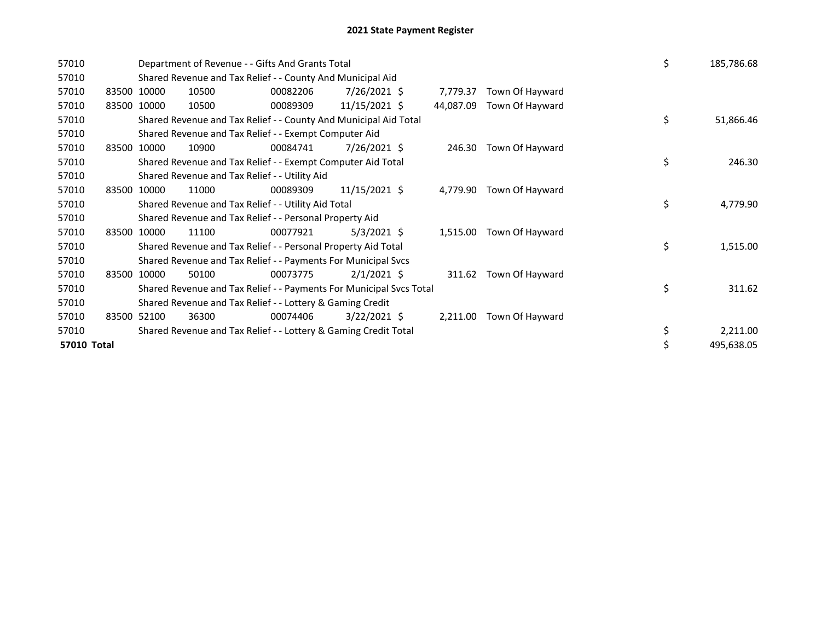| 57010       |             | Department of Revenue - - Gifts And Grants Total                    | \$       | 185,786.68     |           |                 |    |            |
|-------------|-------------|---------------------------------------------------------------------|----------|----------------|-----------|-----------------|----|------------|
| 57010       |             | Shared Revenue and Tax Relief - - County And Municipal Aid          |          |                |           |                 |    |            |
| 57010       | 83500 10000 | 10500                                                               | 00082206 | 7/26/2021 \$   | 7,779.37  | Town Of Hayward |    |            |
| 57010       | 83500 10000 | 10500                                                               | 00089309 | 11/15/2021 \$  | 44,087.09 | Town Of Hayward |    |            |
| 57010       |             | Shared Revenue and Tax Relief - - County And Municipal Aid Total    |          |                |           |                 | \$ | 51,866.46  |
| 57010       |             | Shared Revenue and Tax Relief - - Exempt Computer Aid               |          |                |           |                 |    |            |
| 57010       | 83500 10000 | 10900                                                               | 00084741 | 7/26/2021 \$   | 246.30    | Town Of Hayward |    |            |
| 57010       |             | Shared Revenue and Tax Relief - - Exempt Computer Aid Total         |          |                |           |                 | \$ | 246.30     |
| 57010       |             | Shared Revenue and Tax Relief - - Utility Aid                       |          |                |           |                 |    |            |
| 57010       | 83500 10000 | 11000                                                               | 00089309 | 11/15/2021 \$  | 4,779.90  | Town Of Hayward |    |            |
| 57010       |             | Shared Revenue and Tax Relief - - Utility Aid Total                 |          |                |           |                 | \$ | 4,779.90   |
| 57010       |             | Shared Revenue and Tax Relief - - Personal Property Aid             |          |                |           |                 |    |            |
| 57010       | 83500 10000 | 11100                                                               | 00077921 | $5/3/2021$ \$  | 1,515.00  | Town Of Hayward |    |            |
| 57010       |             | Shared Revenue and Tax Relief - - Personal Property Aid Total       |          |                |           |                 | \$ | 1,515.00   |
| 57010       |             | Shared Revenue and Tax Relief - - Payments For Municipal Svcs       |          |                |           |                 |    |            |
| 57010       | 83500 10000 | 50100                                                               | 00073775 | $2/1/2021$ \$  | 311.62    | Town Of Hayward |    |            |
| 57010       |             | Shared Revenue and Tax Relief - - Payments For Municipal Svcs Total |          |                |           |                 | \$ | 311.62     |
| 57010       |             | Shared Revenue and Tax Relief - - Lottery & Gaming Credit           |          |                |           |                 |    |            |
| 57010       | 83500 52100 | 36300                                                               | 00074406 | $3/22/2021$ \$ | 2,211.00  | Town Of Hayward |    |            |
| 57010       |             | Shared Revenue and Tax Relief - - Lottery & Gaming Credit Total     |          |                |           |                 | \$ | 2,211.00   |
| 57010 Total |             |                                                                     |          |                |           |                 | \$ | 495,638.05 |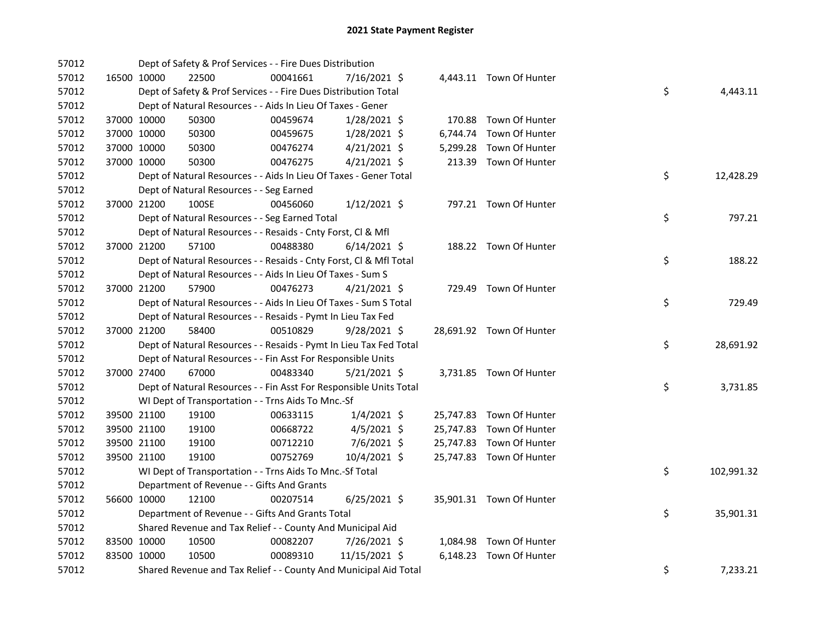| 57012 |             |             | Dept of Safety & Prof Services - - Fire Dues Distribution          |          |                |  |                          |    |            |
|-------|-------------|-------------|--------------------------------------------------------------------|----------|----------------|--|--------------------------|----|------------|
| 57012 | 16500 10000 |             | 22500                                                              | 00041661 | 7/16/2021 \$   |  | 4,443.11 Town Of Hunter  |    |            |
| 57012 |             |             | Dept of Safety & Prof Services - - Fire Dues Distribution Total    |          |                |  |                          | \$ | 4,443.11   |
| 57012 |             |             | Dept of Natural Resources - - Aids In Lieu Of Taxes - Gener        |          |                |  |                          |    |            |
| 57012 |             | 37000 10000 | 50300                                                              | 00459674 | $1/28/2021$ \$ |  | 170.88 Town Of Hunter    |    |            |
| 57012 |             | 37000 10000 | 50300                                                              | 00459675 | $1/28/2021$ \$ |  | 6,744.74 Town Of Hunter  |    |            |
| 57012 |             | 37000 10000 | 50300                                                              | 00476274 | $4/21/2021$ \$ |  | 5,299.28 Town Of Hunter  |    |            |
| 57012 |             | 37000 10000 | 50300                                                              | 00476275 | $4/21/2021$ \$ |  | 213.39 Town Of Hunter    |    |            |
| 57012 |             |             | Dept of Natural Resources - - Aids In Lieu Of Taxes - Gener Total  |          |                |  |                          | \$ | 12,428.29  |
| 57012 |             |             | Dept of Natural Resources - - Seg Earned                           |          |                |  |                          |    |            |
| 57012 |             | 37000 21200 | 100SE                                                              | 00456060 | $1/12/2021$ \$ |  | 797.21 Town Of Hunter    |    |            |
| 57012 |             |             | Dept of Natural Resources - - Seg Earned Total                     |          |                |  |                          | \$ | 797.21     |
| 57012 |             |             | Dept of Natural Resources - - Resaids - Cnty Forst, Cl & Mfl       |          |                |  |                          |    |            |
| 57012 |             | 37000 21200 | 57100                                                              | 00488380 | $6/14/2021$ \$ |  | 188.22 Town Of Hunter    |    |            |
| 57012 |             |             | Dept of Natural Resources - - Resaids - Cnty Forst, Cl & Mfl Total |          |                |  |                          | \$ | 188.22     |
| 57012 |             |             | Dept of Natural Resources - - Aids In Lieu Of Taxes - Sum S        |          |                |  |                          |    |            |
| 57012 |             | 37000 21200 | 57900                                                              | 00476273 | 4/21/2021 \$   |  | 729.49 Town Of Hunter    |    |            |
| 57012 |             |             | Dept of Natural Resources - - Aids In Lieu Of Taxes - Sum S Total  |          |                |  |                          | \$ | 729.49     |
| 57012 |             |             | Dept of Natural Resources - - Resaids - Pymt In Lieu Tax Fed       |          |                |  |                          |    |            |
| 57012 |             | 37000 21200 | 58400                                                              | 00510829 | 9/28/2021 \$   |  | 28,691.92 Town Of Hunter |    |            |
| 57012 |             |             | Dept of Natural Resources - - Resaids - Pymt In Lieu Tax Fed Total |          |                |  |                          | \$ | 28,691.92  |
| 57012 |             |             | Dept of Natural Resources - - Fin Asst For Responsible Units       |          |                |  |                          |    |            |
| 57012 |             | 37000 27400 | 67000                                                              | 00483340 | $5/21/2021$ \$ |  | 3,731.85 Town Of Hunter  |    |            |
| 57012 |             |             | Dept of Natural Resources - - Fin Asst For Responsible Units Total |          |                |  |                          | \$ | 3,731.85   |
| 57012 |             |             | WI Dept of Transportation - - Trns Aids To Mnc.-Sf                 |          |                |  |                          |    |            |
| 57012 |             | 39500 21100 | 19100                                                              | 00633115 | $1/4/2021$ \$  |  | 25,747.83 Town Of Hunter |    |            |
| 57012 |             | 39500 21100 | 19100                                                              | 00668722 | $4/5/2021$ \$  |  | 25,747.83 Town Of Hunter |    |            |
| 57012 |             | 39500 21100 | 19100                                                              | 00712210 | $7/6/2021$ \$  |  | 25,747.83 Town Of Hunter |    |            |
| 57012 |             | 39500 21100 | 19100                                                              | 00752769 | 10/4/2021 \$   |  | 25,747.83 Town Of Hunter |    |            |
| 57012 |             |             | WI Dept of Transportation - - Trns Aids To Mnc.-Sf Total           |          |                |  |                          | \$ | 102,991.32 |
| 57012 |             |             | Department of Revenue - - Gifts And Grants                         |          |                |  |                          |    |            |
| 57012 |             | 56600 10000 | 12100                                                              | 00207514 | $6/25/2021$ \$ |  | 35,901.31 Town Of Hunter |    |            |
| 57012 |             |             | Department of Revenue - - Gifts And Grants Total                   |          |                |  |                          | \$ | 35,901.31  |
| 57012 |             |             | Shared Revenue and Tax Relief - - County And Municipal Aid         |          |                |  |                          |    |            |
| 57012 |             | 83500 10000 | 10500                                                              | 00082207 | 7/26/2021 \$   |  | 1,084.98 Town Of Hunter  |    |            |
| 57012 | 83500 10000 |             | 10500                                                              | 00089310 | 11/15/2021 \$  |  | 6,148.23 Town Of Hunter  |    |            |
| 57012 |             |             | Shared Revenue and Tax Relief - - County And Municipal Aid Total   |          |                |  |                          | \$ | 7,233.21   |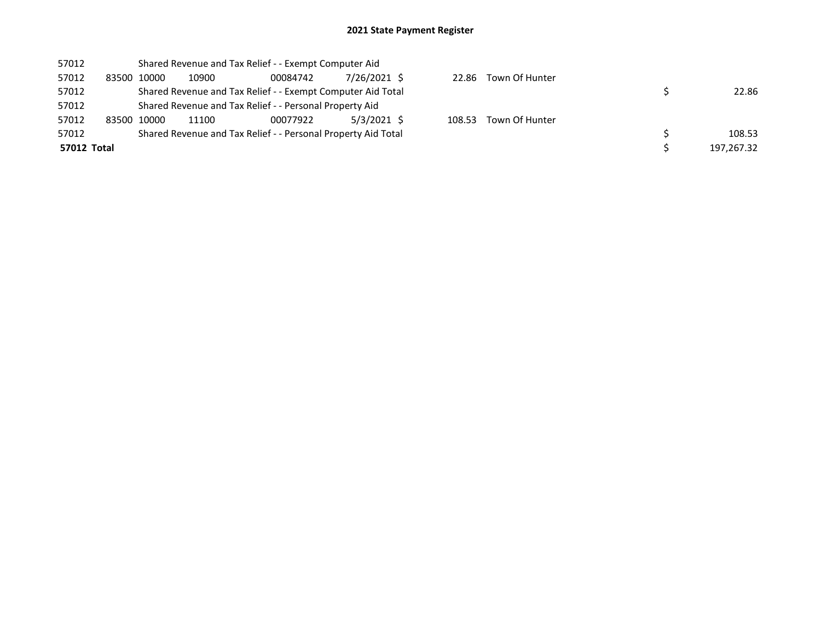| 57012       | Shared Revenue and Tax Relief - - Exempt Computer Aid   |       |                                                               |              |        |                      |  |            |  |  |
|-------------|---------------------------------------------------------|-------|---------------------------------------------------------------|--------------|--------|----------------------|--|------------|--|--|
| 57012       | 83500 10000                                             | 10900 | 00084742                                                      | 7/26/2021 \$ |        | 22.86 Town Of Hunter |  |            |  |  |
| 57012       |                                                         |       | Shared Revenue and Tax Relief - - Exempt Computer Aid Total   |              |        |                      |  | 22.86      |  |  |
| 57012       | Shared Revenue and Tax Relief - - Personal Property Aid |       |                                                               |              |        |                      |  |            |  |  |
| 57012       | 83500 10000                                             | 11100 | 00077922                                                      | 5/3/2021 \$  | 108.53 | Town Of Hunter       |  |            |  |  |
| 57012       |                                                         |       | Shared Revenue and Tax Relief - - Personal Property Aid Total |              |        |                      |  | 108.53     |  |  |
| 57012 Total |                                                         |       |                                                               |              |        |                      |  | 197.267.32 |  |  |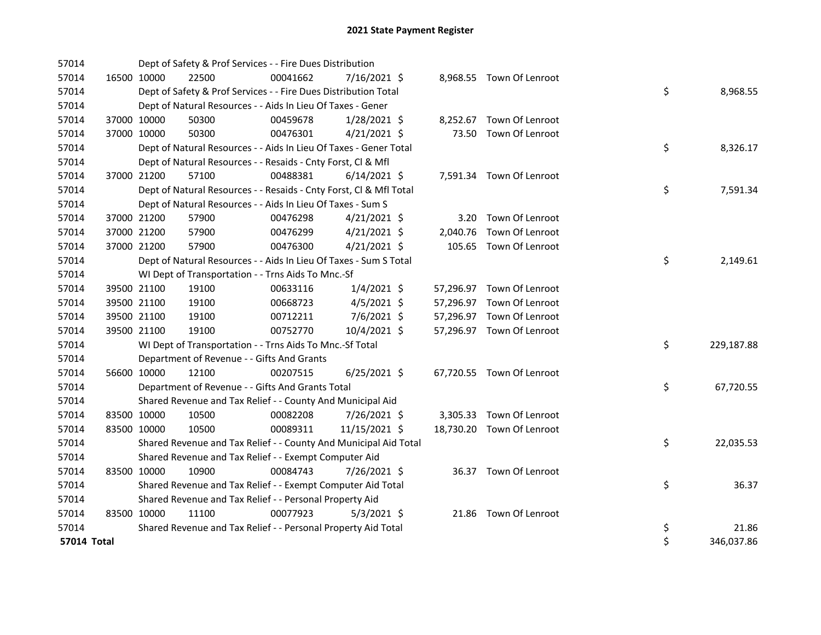| 57014       |             | Dept of Safety & Prof Services - - Fire Dues Distribution          |          |                |  |                           |    |            |
|-------------|-------------|--------------------------------------------------------------------|----------|----------------|--|---------------------------|----|------------|
| 57014       | 16500 10000 | 22500                                                              | 00041662 | $7/16/2021$ \$ |  | 8,968.55 Town Of Lenroot  |    |            |
| 57014       |             | Dept of Safety & Prof Services - - Fire Dues Distribution Total    |          |                |  |                           | \$ | 8,968.55   |
| 57014       |             | Dept of Natural Resources - - Aids In Lieu Of Taxes - Gener        |          |                |  |                           |    |            |
| 57014       | 37000 10000 | 50300                                                              | 00459678 | $1/28/2021$ \$ |  | 8,252.67 Town Of Lenroot  |    |            |
| 57014       | 37000 10000 | 50300                                                              | 00476301 | $4/21/2021$ \$ |  | 73.50 Town Of Lenroot     |    |            |
| 57014       |             | Dept of Natural Resources - - Aids In Lieu Of Taxes - Gener Total  |          |                |  |                           | \$ | 8,326.17   |
| 57014       |             | Dept of Natural Resources - - Resaids - Cnty Forst, Cl & Mfl       |          |                |  |                           |    |            |
| 57014       | 37000 21200 | 57100                                                              | 00488381 | $6/14/2021$ \$ |  | 7,591.34 Town Of Lenroot  |    |            |
| 57014       |             | Dept of Natural Resources - - Resaids - Cnty Forst, Cl & Mfl Total |          |                |  |                           | \$ | 7,591.34   |
| 57014       |             | Dept of Natural Resources - - Aids In Lieu Of Taxes - Sum S        |          |                |  |                           |    |            |
| 57014       | 37000 21200 | 57900                                                              | 00476298 | $4/21/2021$ \$ |  | 3.20 Town Of Lenroot      |    |            |
| 57014       | 37000 21200 | 57900                                                              | 00476299 | $4/21/2021$ \$ |  | 2,040.76 Town Of Lenroot  |    |            |
| 57014       | 37000 21200 | 57900                                                              | 00476300 | $4/21/2021$ \$ |  | 105.65 Town Of Lenroot    |    |            |
| 57014       |             | Dept of Natural Resources - - Aids In Lieu Of Taxes - Sum S Total  |          |                |  |                           | \$ | 2,149.61   |
| 57014       |             | WI Dept of Transportation - - Trns Aids To Mnc.-Sf                 |          |                |  |                           |    |            |
| 57014       | 39500 21100 | 19100                                                              | 00633116 | $1/4/2021$ \$  |  | 57,296.97 Town Of Lenroot |    |            |
| 57014       | 39500 21100 | 19100                                                              | 00668723 | $4/5/2021$ \$  |  | 57,296.97 Town Of Lenroot |    |            |
| 57014       | 39500 21100 | 19100                                                              | 00712211 | 7/6/2021 \$    |  | 57,296.97 Town Of Lenroot |    |            |
| 57014       | 39500 21100 | 19100                                                              | 00752770 | 10/4/2021 \$   |  | 57,296.97 Town Of Lenroot |    |            |
| 57014       |             | WI Dept of Transportation - - Trns Aids To Mnc.-Sf Total           |          |                |  |                           | \$ | 229,187.88 |
| 57014       |             | Department of Revenue - - Gifts And Grants                         |          |                |  |                           |    |            |
| 57014       | 56600 10000 | 12100                                                              | 00207515 | $6/25/2021$ \$ |  | 67,720.55 Town Of Lenroot |    |            |
| 57014       |             | Department of Revenue - - Gifts And Grants Total                   |          |                |  |                           | \$ | 67,720.55  |
| 57014       |             | Shared Revenue and Tax Relief - - County And Municipal Aid         |          |                |  |                           |    |            |
| 57014       | 83500 10000 | 10500                                                              | 00082208 | 7/26/2021 \$   |  | 3,305.33 Town Of Lenroot  |    |            |
| 57014       | 83500 10000 | 10500                                                              | 00089311 | 11/15/2021 \$  |  | 18,730.20 Town Of Lenroot |    |            |
| 57014       |             | Shared Revenue and Tax Relief - - County And Municipal Aid Total   |          |                |  |                           | \$ | 22,035.53  |
| 57014       |             | Shared Revenue and Tax Relief - - Exempt Computer Aid              |          |                |  |                           |    |            |
| 57014       | 83500 10000 | 10900                                                              | 00084743 | 7/26/2021 \$   |  | 36.37 Town Of Lenroot     |    |            |
| 57014       |             | Shared Revenue and Tax Relief - - Exempt Computer Aid Total        |          |                |  |                           | \$ | 36.37      |
| 57014       |             | Shared Revenue and Tax Relief - - Personal Property Aid            |          |                |  |                           |    |            |
| 57014       | 83500 10000 | 11100                                                              | 00077923 | $5/3/2021$ \$  |  | 21.86 Town Of Lenroot     |    |            |
| 57014       |             | Shared Revenue and Tax Relief - - Personal Property Aid Total      |          |                |  |                           | \$ | 21.86      |
| 57014 Total |             |                                                                    |          |                |  |                           | \$ | 346,037.86 |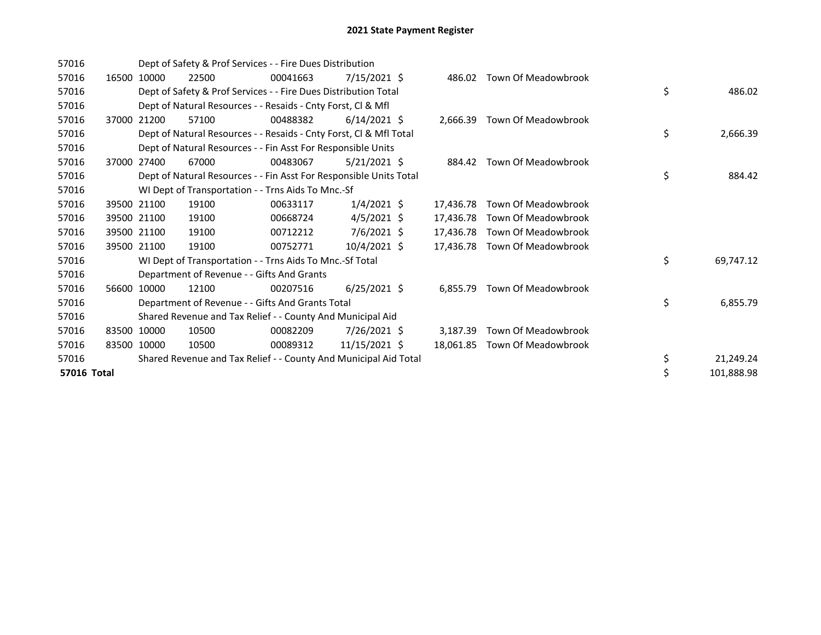| 57016       |       |             | Dept of Safety & Prof Services - - Fire Dues Distribution          |          |                      |           |                               |    |            |
|-------------|-------|-------------|--------------------------------------------------------------------|----------|----------------------|-----------|-------------------------------|----|------------|
| 57016       |       | 16500 10000 | 22500                                                              | 00041663 | 7/15/2021 \$         | 486.02    | Town Of Meadowbrook           |    |            |
| 57016       |       |             | Dept of Safety & Prof Services - - Fire Dues Distribution Total    |          |                      |           |                               | \$ | 486.02     |
| 57016       |       |             | Dept of Natural Resources - - Resaids - Cnty Forst, Cl & Mfl       |          |                      |           |                               |    |            |
| 57016       | 37000 | 21200       | 57100                                                              | 00488382 | $6/14/2021$ \$       |           | 2,666.39 Town Of Meadowbrook  |    |            |
| 57016       |       |             | Dept of Natural Resources - - Resaids - Cnty Forst, Cl & Mfl Total |          |                      |           |                               | \$ | 2,666.39   |
| 57016       |       |             | Dept of Natural Resources - - Fin Asst For Responsible Units       |          |                      |           |                               |    |            |
| 57016       | 37000 | 27400       | 67000                                                              | 00483067 | $5/21/2021$ \$       | 884.42    | Town Of Meadowbrook           |    |            |
| 57016       |       |             | Dept of Natural Resources - - Fin Asst For Responsible Units Total |          |                      |           |                               | \$ | 884.42     |
| 57016       |       |             | WI Dept of Transportation - - Trns Aids To Mnc.-Sf                 |          |                      |           |                               |    |            |
| 57016       |       | 39500 21100 | 19100                                                              | 00633117 | $1/4/2021$ \$        | 17.436.78 | Town Of Meadowbrook           |    |            |
| 57016       |       | 39500 21100 | 19100                                                              | 00668724 | $4/5/2021$ \$        | 17,436.78 | Town Of Meadowbrook           |    |            |
| 57016       |       | 39500 21100 | 19100                                                              | 00712212 | $7/6/2021$ \$        | 17,436.78 | Town Of Meadowbrook           |    |            |
| 57016       |       | 39500 21100 | 19100                                                              | 00752771 | $10/4/2021 \text{ }$ | 17.436.78 | Town Of Meadowbrook           |    |            |
| 57016       |       |             | WI Dept of Transportation - - Trns Aids To Mnc.-Sf Total           |          |                      |           |                               | \$ | 69,747.12  |
| 57016       |       |             | Department of Revenue - - Gifts And Grants                         |          |                      |           |                               |    |            |
| 57016       |       | 56600 10000 | 12100                                                              | 00207516 | $6/25/2021$ \$       | 6,855.79  | Town Of Meadowbrook           |    |            |
| 57016       |       |             | Department of Revenue - - Gifts And Grants Total                   |          |                      |           |                               | \$ | 6,855.79   |
| 57016       |       |             | Shared Revenue and Tax Relief - - County And Municipal Aid         |          |                      |           |                               |    |            |
| 57016       |       | 83500 10000 | 10500                                                              | 00082209 | $7/26/2021$ \$       | 3.187.39  | Town Of Meadowbrook           |    |            |
| 57016       | 83500 | 10000       | 10500                                                              | 00089312 | 11/15/2021 \$        |           | 18,061.85 Town Of Meadowbrook |    |            |
| 57016       |       |             | Shared Revenue and Tax Relief - - County And Municipal Aid Total   |          |                      |           |                               | \$ | 21,249.24  |
| 57016 Total |       |             |                                                                    |          |                      |           |                               | \$ | 101,888.98 |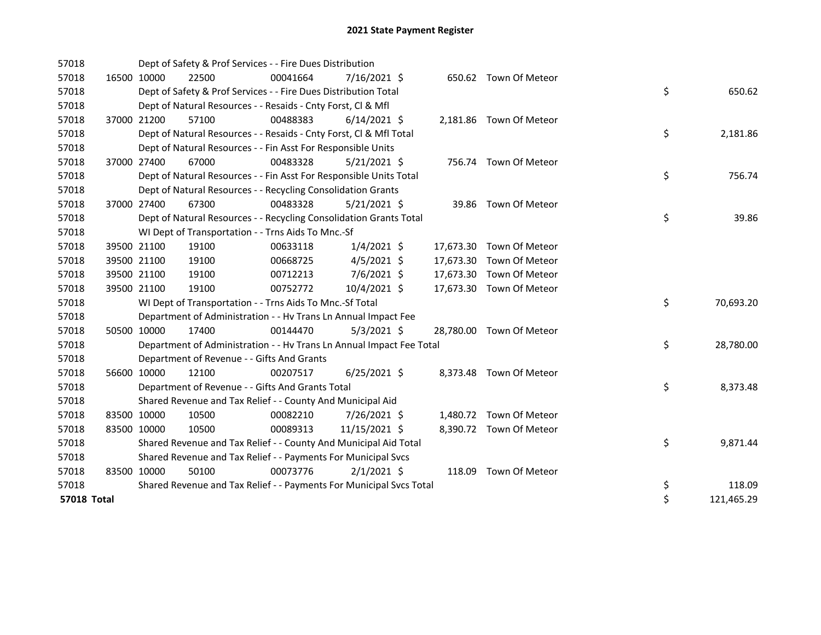| 57018       |             | Dept of Safety & Prof Services - - Fire Dues Distribution            |          |                |           |                          |    |            |
|-------------|-------------|----------------------------------------------------------------------|----------|----------------|-----------|--------------------------|----|------------|
| 57018       | 16500 10000 | 22500                                                                | 00041664 | $7/16/2021$ \$ |           | 650.62 Town Of Meteor    |    |            |
| 57018       |             | Dept of Safety & Prof Services - - Fire Dues Distribution Total      |          |                |           |                          | \$ | 650.62     |
| 57018       |             | Dept of Natural Resources - - Resaids - Cnty Forst, Cl & Mfl         |          |                |           |                          |    |            |
| 57018       | 37000 21200 | 57100                                                                | 00488383 | $6/14/2021$ \$ |           | 2,181.86 Town Of Meteor  |    |            |
| 57018       |             | Dept of Natural Resources - - Resaids - Cnty Forst, CI & Mfl Total   |          |                |           |                          | \$ | 2,181.86   |
| 57018       |             | Dept of Natural Resources - - Fin Asst For Responsible Units         |          |                |           |                          |    |            |
| 57018       | 37000 27400 | 67000                                                                | 00483328 | $5/21/2021$ \$ |           | 756.74 Town Of Meteor    |    |            |
| 57018       |             | Dept of Natural Resources - - Fin Asst For Responsible Units Total   |          |                |           |                          | \$ | 756.74     |
| 57018       |             | Dept of Natural Resources - - Recycling Consolidation Grants         |          |                |           |                          |    |            |
| 57018       | 37000 27400 | 67300                                                                | 00483328 | $5/21/2021$ \$ |           | 39.86 Town Of Meteor     |    |            |
| 57018       |             | Dept of Natural Resources - - Recycling Consolidation Grants Total   |          |                |           |                          | \$ | 39.86      |
| 57018       |             | WI Dept of Transportation - - Trns Aids To Mnc.-Sf                   |          |                |           |                          |    |            |
| 57018       | 39500 21100 | 19100                                                                | 00633118 | $1/4/2021$ \$  |           | 17,673.30 Town Of Meteor |    |            |
| 57018       | 39500 21100 | 19100                                                                | 00668725 | $4/5/2021$ \$  |           | 17,673.30 Town Of Meteor |    |            |
| 57018       | 39500 21100 | 19100                                                                | 00712213 | 7/6/2021 \$    | 17,673.30 | Town Of Meteor           |    |            |
| 57018       | 39500 21100 | 19100                                                                | 00752772 | 10/4/2021 \$   |           | 17,673.30 Town Of Meteor |    |            |
| 57018       |             | WI Dept of Transportation - - Trns Aids To Mnc.-Sf Total             |          |                |           |                          | \$ | 70,693.20  |
| 57018       |             | Department of Administration - - Hv Trans Ln Annual Impact Fee       |          |                |           |                          |    |            |
| 57018       | 50500 10000 | 17400                                                                | 00144470 | $5/3/2021$ \$  |           | 28,780.00 Town Of Meteor |    |            |
| 57018       |             | Department of Administration - - Hv Trans Ln Annual Impact Fee Total |          |                |           |                          | \$ | 28,780.00  |
| 57018       |             | Department of Revenue - - Gifts And Grants                           |          |                |           |                          |    |            |
| 57018       | 56600 10000 | 12100                                                                | 00207517 | $6/25/2021$ \$ |           | 8,373.48 Town Of Meteor  |    |            |
| 57018       |             | Department of Revenue - - Gifts And Grants Total                     |          |                |           |                          | \$ | 8,373.48   |
| 57018       |             | Shared Revenue and Tax Relief - - County And Municipal Aid           |          |                |           |                          |    |            |
| 57018       | 83500 10000 | 10500                                                                | 00082210 | 7/26/2021 \$   |           | 1,480.72 Town Of Meteor  |    |            |
| 57018       | 83500 10000 | 10500                                                                | 00089313 | 11/15/2021 \$  |           | 8,390.72 Town Of Meteor  |    |            |
| 57018       |             | Shared Revenue and Tax Relief - - County And Municipal Aid Total     |          |                |           |                          | \$ | 9,871.44   |
| 57018       |             | Shared Revenue and Tax Relief - - Payments For Municipal Svcs        |          |                |           |                          |    |            |
| 57018       | 83500 10000 | 50100                                                                | 00073776 | $2/1/2021$ \$  |           | 118.09 Town Of Meteor    |    |            |
| 57018       |             | Shared Revenue and Tax Relief - - Payments For Municipal Svcs Total  |          |                |           |                          | \$ | 118.09     |
| 57018 Total |             |                                                                      |          |                |           |                          | \$ | 121,465.29 |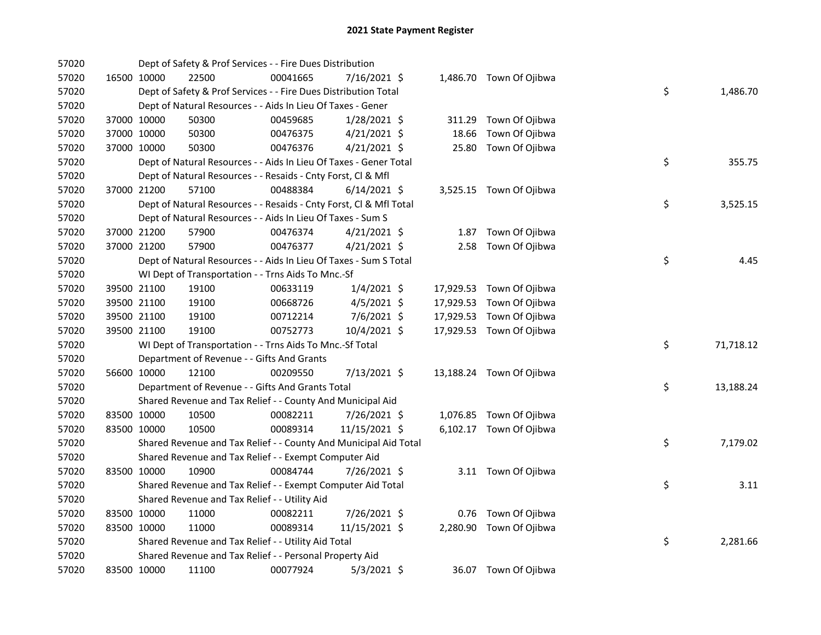| 57020 |             |             | Dept of Safety & Prof Services - - Fire Dues Distribution          |          |                |       |                          |    |           |
|-------|-------------|-------------|--------------------------------------------------------------------|----------|----------------|-------|--------------------------|----|-----------|
| 57020 |             | 16500 10000 | 22500                                                              | 00041665 | 7/16/2021 \$   |       | 1,486.70 Town Of Ojibwa  |    |           |
| 57020 |             |             | Dept of Safety & Prof Services - - Fire Dues Distribution Total    |          |                |       |                          | \$ | 1,486.70  |
| 57020 |             |             | Dept of Natural Resources - - Aids In Lieu Of Taxes - Gener        |          |                |       |                          |    |           |
| 57020 |             | 37000 10000 | 50300                                                              | 00459685 | $1/28/2021$ \$ |       | 311.29 Town Of Ojibwa    |    |           |
| 57020 |             | 37000 10000 | 50300                                                              | 00476375 | $4/21/2021$ \$ | 18.66 | Town Of Ojibwa           |    |           |
| 57020 |             | 37000 10000 | 50300                                                              | 00476376 | $4/21/2021$ \$ |       | 25.80 Town Of Ojibwa     |    |           |
| 57020 |             |             | Dept of Natural Resources - - Aids In Lieu Of Taxes - Gener Total  |          |                |       |                          | \$ | 355.75    |
| 57020 |             |             | Dept of Natural Resources - - Resaids - Cnty Forst, Cl & Mfl       |          |                |       |                          |    |           |
| 57020 |             | 37000 21200 | 57100                                                              | 00488384 | $6/14/2021$ \$ |       | 3,525.15 Town Of Ojibwa  |    |           |
| 57020 |             |             | Dept of Natural Resources - - Resaids - Cnty Forst, CI & Mfl Total |          |                |       |                          | \$ | 3,525.15  |
| 57020 |             |             | Dept of Natural Resources - - Aids In Lieu Of Taxes - Sum S        |          |                |       |                          |    |           |
| 57020 |             | 37000 21200 | 57900                                                              | 00476374 | $4/21/2021$ \$ |       | 1.87 Town Of Ojibwa      |    |           |
| 57020 |             | 37000 21200 | 57900                                                              | 00476377 | $4/21/2021$ \$ |       | 2.58 Town Of Ojibwa      |    |           |
| 57020 |             |             | Dept of Natural Resources - - Aids In Lieu Of Taxes - Sum S Total  |          |                |       |                          | \$ | 4.45      |
| 57020 |             |             | WI Dept of Transportation - - Trns Aids To Mnc.-Sf                 |          |                |       |                          |    |           |
| 57020 |             | 39500 21100 | 19100                                                              | 00633119 | $1/4/2021$ \$  |       | 17,929.53 Town Of Ojibwa |    |           |
| 57020 |             | 39500 21100 | 19100                                                              | 00668726 | $4/5/2021$ \$  |       | 17,929.53 Town Of Ojibwa |    |           |
| 57020 |             | 39500 21100 | 19100                                                              | 00712214 | 7/6/2021 \$    |       | 17,929.53 Town Of Ojibwa |    |           |
| 57020 |             | 39500 21100 | 19100                                                              | 00752773 | 10/4/2021 \$   |       | 17,929.53 Town Of Ojibwa |    |           |
| 57020 |             |             | WI Dept of Transportation - - Trns Aids To Mnc.-Sf Total           |          |                |       |                          | \$ | 71,718.12 |
| 57020 |             |             | Department of Revenue - - Gifts And Grants                         |          |                |       |                          |    |           |
| 57020 |             | 56600 10000 | 12100                                                              | 00209550 | 7/13/2021 \$   |       | 13,188.24 Town Of Ojibwa |    |           |
| 57020 |             |             | Department of Revenue - - Gifts And Grants Total                   |          |                |       |                          | \$ | 13,188.24 |
| 57020 |             |             | Shared Revenue and Tax Relief - - County And Municipal Aid         |          |                |       |                          |    |           |
| 57020 | 83500 10000 |             | 10500                                                              | 00082211 | 7/26/2021 \$   |       | 1,076.85 Town Of Ojibwa  |    |           |
| 57020 |             | 83500 10000 | 10500                                                              | 00089314 | 11/15/2021 \$  |       | 6,102.17 Town Of Ojibwa  |    |           |
| 57020 |             |             | Shared Revenue and Tax Relief - - County And Municipal Aid Total   |          |                |       |                          | \$ | 7,179.02  |
| 57020 |             |             | Shared Revenue and Tax Relief - - Exempt Computer Aid              |          |                |       |                          |    |           |
| 57020 |             | 83500 10000 | 10900                                                              | 00084744 | 7/26/2021 \$   |       | 3.11 Town Of Ojibwa      |    |           |
| 57020 |             |             | Shared Revenue and Tax Relief - - Exempt Computer Aid Total        |          |                |       |                          | \$ | 3.11      |
| 57020 |             |             | Shared Revenue and Tax Relief - - Utility Aid                      |          |                |       |                          |    |           |
| 57020 |             | 83500 10000 | 11000                                                              | 00082211 | 7/26/2021 \$   |       | 0.76 Town Of Ojibwa      |    |           |
| 57020 |             | 83500 10000 | 11000                                                              | 00089314 | 11/15/2021 \$  |       | 2,280.90 Town Of Ojibwa  |    |           |
| 57020 |             |             | Shared Revenue and Tax Relief - - Utility Aid Total                |          |                |       |                          | \$ | 2,281.66  |
| 57020 |             |             | Shared Revenue and Tax Relief - - Personal Property Aid            |          |                |       |                          |    |           |
| 57020 |             | 83500 10000 | 11100                                                              | 00077924 | $5/3/2021$ \$  |       | 36.07 Town Of Ojibwa     |    |           |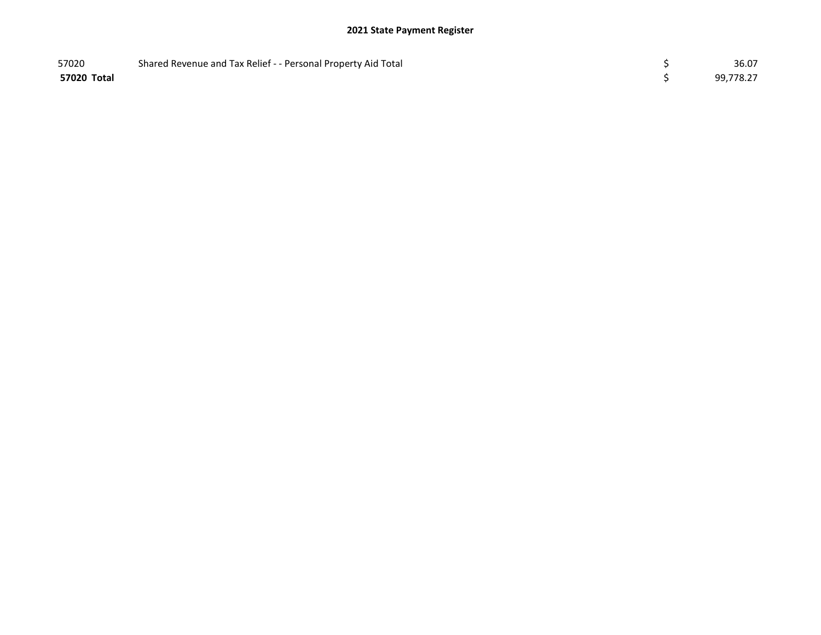| 57020       | Shared Revenue and Tax Relief - - Personal Property Aid Total | 36.07     |
|-------------|---------------------------------------------------------------|-----------|
| 57020 Total |                                                               | 99,778.27 |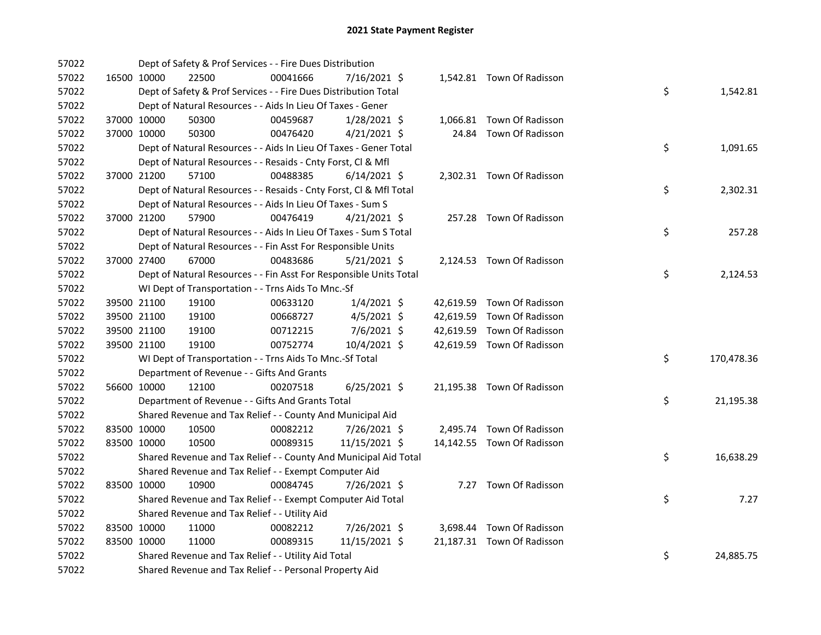| 57022 |             | Dept of Safety & Prof Services - - Fire Dues Distribution          |          |                |  |                            |    |            |
|-------|-------------|--------------------------------------------------------------------|----------|----------------|--|----------------------------|----|------------|
| 57022 | 16500 10000 | 22500                                                              | 00041666 | 7/16/2021 \$   |  | 1,542.81 Town Of Radisson  |    |            |
| 57022 |             | Dept of Safety & Prof Services - - Fire Dues Distribution Total    |          |                |  |                            | \$ | 1,542.81   |
| 57022 |             | Dept of Natural Resources - - Aids In Lieu Of Taxes - Gener        |          |                |  |                            |    |            |
| 57022 | 37000 10000 | 50300                                                              | 00459687 | 1/28/2021 \$   |  | 1,066.81 Town Of Radisson  |    |            |
| 57022 | 37000 10000 | 50300                                                              | 00476420 | $4/21/2021$ \$ |  | 24.84 Town Of Radisson     |    |            |
| 57022 |             | Dept of Natural Resources - - Aids In Lieu Of Taxes - Gener Total  |          |                |  |                            | \$ | 1,091.65   |
| 57022 |             | Dept of Natural Resources - - Resaids - Cnty Forst, Cl & Mfl       |          |                |  |                            |    |            |
| 57022 | 37000 21200 | 57100                                                              | 00488385 | $6/14/2021$ \$ |  | 2,302.31 Town Of Radisson  |    |            |
| 57022 |             | Dept of Natural Resources - - Resaids - Cnty Forst, CI & Mfl Total |          |                |  |                            | \$ | 2,302.31   |
| 57022 |             | Dept of Natural Resources - - Aids In Lieu Of Taxes - Sum S        |          |                |  |                            |    |            |
| 57022 | 37000 21200 | 57900                                                              | 00476419 | $4/21/2021$ \$ |  | 257.28 Town Of Radisson    |    |            |
| 57022 |             | Dept of Natural Resources - - Aids In Lieu Of Taxes - Sum S Total  |          |                |  |                            | \$ | 257.28     |
| 57022 |             | Dept of Natural Resources - - Fin Asst For Responsible Units       |          |                |  |                            |    |            |
| 57022 | 37000 27400 | 67000                                                              | 00483686 | $5/21/2021$ \$ |  | 2,124.53 Town Of Radisson  |    |            |
| 57022 |             | Dept of Natural Resources - - Fin Asst For Responsible Units Total |          |                |  |                            | \$ | 2,124.53   |
| 57022 |             | WI Dept of Transportation - - Trns Aids To Mnc.-Sf                 |          |                |  |                            |    |            |
| 57022 | 39500 21100 | 19100                                                              | 00633120 | $1/4/2021$ \$  |  | 42,619.59 Town Of Radisson |    |            |
| 57022 | 39500 21100 | 19100                                                              | 00668727 | $4/5/2021$ \$  |  | 42,619.59 Town Of Radisson |    |            |
| 57022 | 39500 21100 | 19100                                                              | 00712215 | 7/6/2021 \$    |  | 42,619.59 Town Of Radisson |    |            |
| 57022 | 39500 21100 | 19100                                                              | 00752774 | 10/4/2021 \$   |  | 42,619.59 Town Of Radisson |    |            |
| 57022 |             | WI Dept of Transportation - - Trns Aids To Mnc.-Sf Total           |          |                |  |                            | \$ | 170,478.36 |
| 57022 |             | Department of Revenue - - Gifts And Grants                         |          |                |  |                            |    |            |
| 57022 | 56600 10000 | 12100                                                              | 00207518 | 6/25/2021 \$   |  | 21,195.38 Town Of Radisson |    |            |
| 57022 |             | Department of Revenue - - Gifts And Grants Total                   |          |                |  |                            | \$ | 21,195.38  |
| 57022 |             | Shared Revenue and Tax Relief - - County And Municipal Aid         |          |                |  |                            |    |            |
| 57022 | 83500 10000 | 10500                                                              | 00082212 | 7/26/2021 \$   |  | 2,495.74 Town Of Radisson  |    |            |
| 57022 | 83500 10000 | 10500                                                              | 00089315 | 11/15/2021 \$  |  | 14,142.55 Town Of Radisson |    |            |
| 57022 |             | Shared Revenue and Tax Relief - - County And Municipal Aid Total   |          |                |  |                            | \$ | 16,638.29  |
| 57022 |             | Shared Revenue and Tax Relief - - Exempt Computer Aid              |          |                |  |                            |    |            |
| 57022 | 83500 10000 | 10900                                                              | 00084745 | 7/26/2021 \$   |  | 7.27 Town Of Radisson      |    |            |
| 57022 |             | Shared Revenue and Tax Relief - - Exempt Computer Aid Total        |          |                |  |                            | \$ | 7.27       |
| 57022 |             | Shared Revenue and Tax Relief - - Utility Aid                      |          |                |  |                            |    |            |
| 57022 | 83500 10000 | 11000                                                              | 00082212 | 7/26/2021 \$   |  | 3,698.44 Town Of Radisson  |    |            |
| 57022 | 83500 10000 | 11000                                                              | 00089315 | 11/15/2021 \$  |  | 21,187.31 Town Of Radisson |    |            |
| 57022 |             | Shared Revenue and Tax Relief - - Utility Aid Total                |          |                |  |                            | \$ | 24,885.75  |
| 57022 |             | Shared Revenue and Tax Relief - - Personal Property Aid            |          |                |  |                            |    |            |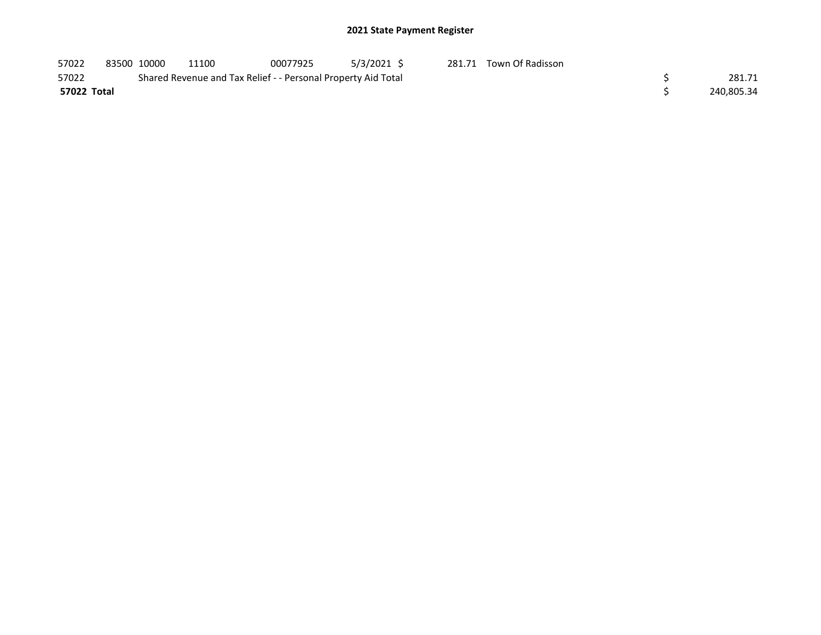| 57022       | 83500 10000 | 11100                                                         | 00077925 | 5/3/2021 \$ | 281.71 Town Of Radisson |            |
|-------------|-------------|---------------------------------------------------------------|----------|-------------|-------------------------|------------|
| 57022       |             | Shared Revenue and Tax Relief - - Personal Property Aid Total |          |             |                         | 281.71     |
| 57022 Total |             |                                                               |          |             |                         | 240,805.34 |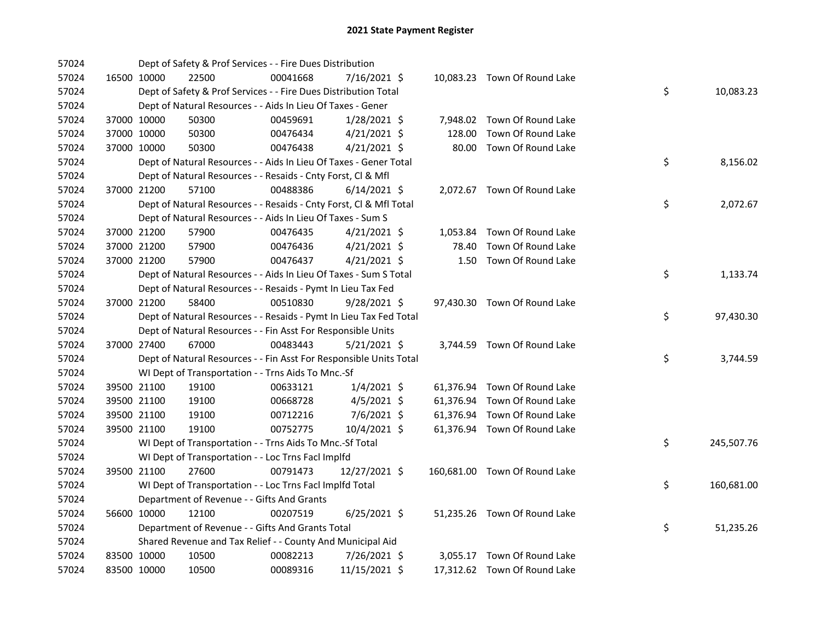| 57024 |             | Dept of Safety & Prof Services - - Fire Dues Distribution          |          |                |       |                               |    |            |
|-------|-------------|--------------------------------------------------------------------|----------|----------------|-------|-------------------------------|----|------------|
| 57024 | 16500 10000 | 22500                                                              | 00041668 | 7/16/2021 \$   |       | 10,083.23 Town Of Round Lake  |    |            |
| 57024 |             | Dept of Safety & Prof Services - - Fire Dues Distribution Total    |          |                |       |                               | \$ | 10,083.23  |
| 57024 |             | Dept of Natural Resources - - Aids In Lieu Of Taxes - Gener        |          |                |       |                               |    |            |
| 57024 | 37000 10000 | 50300                                                              | 00459691 | $1/28/2021$ \$ |       | 7,948.02 Town Of Round Lake   |    |            |
| 57024 | 37000 10000 | 50300                                                              | 00476434 | $4/21/2021$ \$ |       | 128.00 Town Of Round Lake     |    |            |
| 57024 | 37000 10000 | 50300                                                              | 00476438 | $4/21/2021$ \$ |       | 80.00 Town Of Round Lake      |    |            |
| 57024 |             | Dept of Natural Resources - - Aids In Lieu Of Taxes - Gener Total  |          |                |       |                               | \$ | 8,156.02   |
| 57024 |             | Dept of Natural Resources - - Resaids - Cnty Forst, Cl & Mfl       |          |                |       |                               |    |            |
| 57024 | 37000 21200 | 57100                                                              | 00488386 | $6/14/2021$ \$ |       | 2,072.67 Town Of Round Lake   |    |            |
| 57024 |             | Dept of Natural Resources - - Resaids - Cnty Forst, Cl & Mfl Total |          |                |       |                               | \$ | 2,072.67   |
| 57024 |             | Dept of Natural Resources - - Aids In Lieu Of Taxes - Sum S        |          |                |       |                               |    |            |
| 57024 | 37000 21200 | 57900                                                              | 00476435 | $4/21/2021$ \$ |       | 1,053.84 Town Of Round Lake   |    |            |
| 57024 | 37000 21200 | 57900                                                              | 00476436 | $4/21/2021$ \$ | 78.40 | Town Of Round Lake            |    |            |
| 57024 | 37000 21200 | 57900                                                              | 00476437 | $4/21/2021$ \$ |       | 1.50 Town Of Round Lake       |    |            |
| 57024 |             | Dept of Natural Resources - - Aids In Lieu Of Taxes - Sum S Total  |          |                |       |                               | \$ | 1,133.74   |
| 57024 |             | Dept of Natural Resources - - Resaids - Pymt In Lieu Tax Fed       |          |                |       |                               |    |            |
| 57024 | 37000 21200 | 58400                                                              | 00510830 | $9/28/2021$ \$ |       | 97,430.30 Town Of Round Lake  |    |            |
| 57024 |             | Dept of Natural Resources - - Resaids - Pymt In Lieu Tax Fed Total |          |                |       |                               | \$ | 97,430.30  |
| 57024 |             | Dept of Natural Resources - - Fin Asst For Responsible Units       |          |                |       |                               |    |            |
| 57024 | 37000 27400 | 67000                                                              | 00483443 | 5/21/2021 \$   |       | 3,744.59 Town Of Round Lake   |    |            |
| 57024 |             | Dept of Natural Resources - - Fin Asst For Responsible Units Total |          |                |       |                               | \$ | 3,744.59   |
| 57024 |             | WI Dept of Transportation - - Trns Aids To Mnc.-Sf                 |          |                |       |                               |    |            |
| 57024 | 39500 21100 | 19100                                                              | 00633121 | $1/4/2021$ \$  |       | 61,376.94 Town Of Round Lake  |    |            |
| 57024 | 39500 21100 | 19100                                                              | 00668728 | $4/5/2021$ \$  |       | 61,376.94 Town Of Round Lake  |    |            |
| 57024 | 39500 21100 | 19100                                                              | 00712216 | 7/6/2021 \$    |       | 61,376.94 Town Of Round Lake  |    |            |
| 57024 | 39500 21100 | 19100                                                              | 00752775 | 10/4/2021 \$   |       | 61,376.94 Town Of Round Lake  |    |            |
| 57024 |             | WI Dept of Transportation - - Trns Aids To Mnc.-Sf Total           |          |                |       |                               | \$ | 245,507.76 |
| 57024 |             | WI Dept of Transportation - - Loc Trns Facl Implfd                 |          |                |       |                               |    |            |
| 57024 | 39500 21100 | 27600                                                              | 00791473 | 12/27/2021 \$  |       | 160,681.00 Town Of Round Lake |    |            |
| 57024 |             | WI Dept of Transportation - - Loc Trns Facl Implfd Total           |          |                |       |                               | \$ | 160,681.00 |
| 57024 |             | Department of Revenue - - Gifts And Grants                         |          |                |       |                               |    |            |
| 57024 | 56600 10000 | 12100                                                              | 00207519 | 6/25/2021 \$   |       | 51,235.26 Town Of Round Lake  |    |            |
| 57024 |             | Department of Revenue - - Gifts And Grants Total                   |          |                |       |                               | \$ | 51,235.26  |
| 57024 |             | Shared Revenue and Tax Relief - - County And Municipal Aid         |          |                |       |                               |    |            |
| 57024 | 83500 10000 | 10500                                                              | 00082213 | 7/26/2021 \$   |       | 3,055.17 Town Of Round Lake   |    |            |
| 57024 | 83500 10000 | 10500                                                              | 00089316 | 11/15/2021 \$  |       | 17,312.62 Town Of Round Lake  |    |            |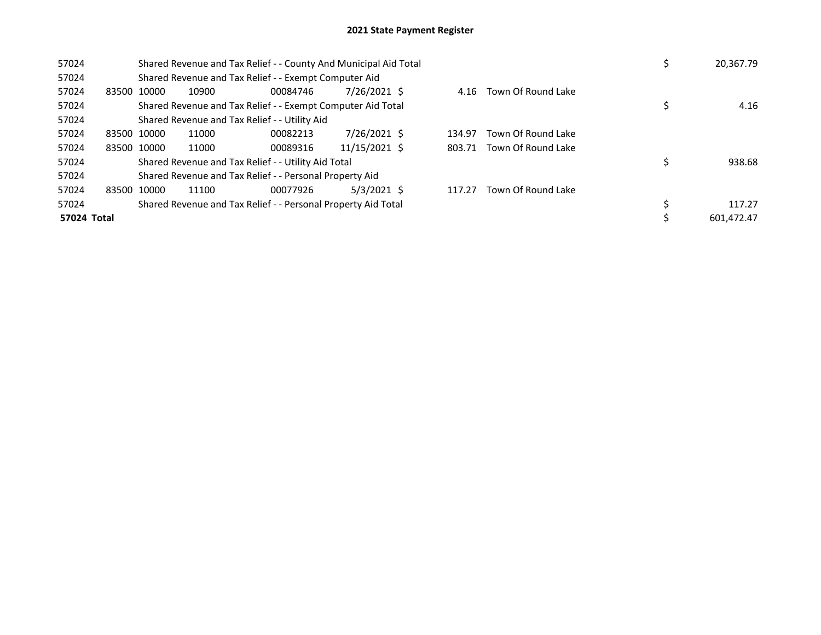| 57024       |             |       | Shared Revenue and Tax Relief - - County And Municipal Aid Total |               |        |                         | 20,367.79  |
|-------------|-------------|-------|------------------------------------------------------------------|---------------|--------|-------------------------|------------|
| 57024       |             |       | Shared Revenue and Tax Relief - - Exempt Computer Aid            |               |        |                         |            |
| 57024       | 83500 10000 | 10900 | 00084746                                                         | 7/26/2021 \$  |        | 4.16 Town Of Round Lake |            |
| 57024       |             |       | Shared Revenue and Tax Relief - - Exempt Computer Aid Total      |               |        |                         | 4.16       |
| 57024       |             |       | Shared Revenue and Tax Relief - - Utility Aid                    |               |        |                         |            |
| 57024       | 83500 10000 | 11000 | 00082213                                                         | 7/26/2021 \$  | 134.97 | Town Of Round Lake      |            |
| 57024       | 83500 10000 | 11000 | 00089316                                                         | 11/15/2021 \$ | 803.71 | Town Of Round Lake      |            |
| 57024       |             |       | Shared Revenue and Tax Relief - - Utility Aid Total              |               |        |                         | 938.68     |
| 57024       |             |       | Shared Revenue and Tax Relief - - Personal Property Aid          |               |        |                         |            |
| 57024       | 83500 10000 | 11100 | 00077926                                                         | $5/3/2021$ \$ | 117.27 | Town Of Round Lake      |            |
| 57024       |             |       | Shared Revenue and Tax Relief - - Personal Property Aid Total    |               |        |                         | 117.27     |
| 57024 Total |             |       |                                                                  |               |        |                         | 601.472.47 |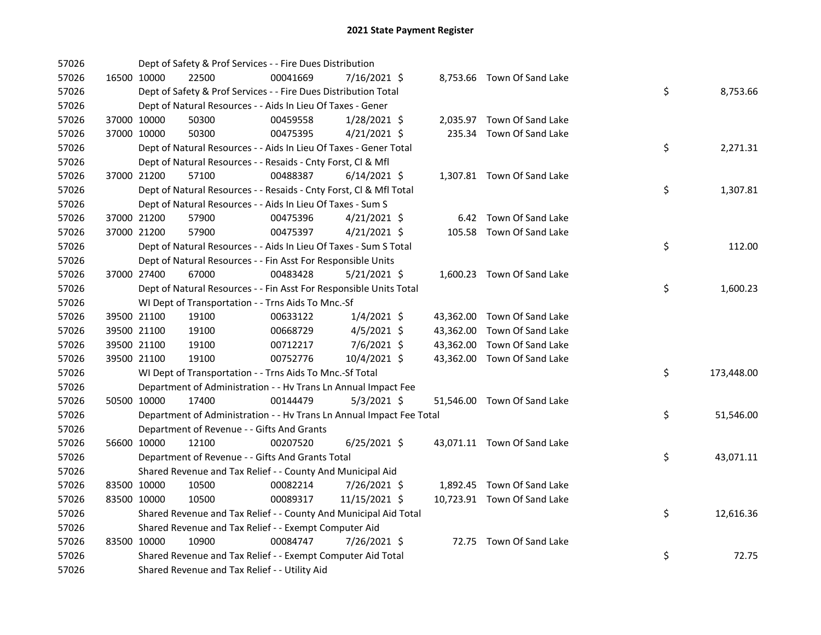| 57026 |             |             | Dept of Safety & Prof Services - - Fire Dues Distribution            |          |                |  |                             |    |            |
|-------|-------------|-------------|----------------------------------------------------------------------|----------|----------------|--|-----------------------------|----|------------|
| 57026 |             | 16500 10000 | 22500                                                                | 00041669 | 7/16/2021 \$   |  | 8,753.66 Town Of Sand Lake  |    |            |
| 57026 |             |             | Dept of Safety & Prof Services - - Fire Dues Distribution Total      |          |                |  |                             | \$ | 8,753.66   |
| 57026 |             |             | Dept of Natural Resources - - Aids In Lieu Of Taxes - Gener          |          |                |  |                             |    |            |
| 57026 |             | 37000 10000 | 50300                                                                | 00459558 | 1/28/2021 \$   |  | 2,035.97 Town Of Sand Lake  |    |            |
| 57026 |             | 37000 10000 | 50300                                                                | 00475395 | $4/21/2021$ \$ |  | 235.34 Town Of Sand Lake    |    |            |
| 57026 |             |             | Dept of Natural Resources - - Aids In Lieu Of Taxes - Gener Total    |          |                |  |                             | \$ | 2,271.31   |
| 57026 |             |             | Dept of Natural Resources - - Resaids - Cnty Forst, Cl & Mfl         |          |                |  |                             |    |            |
| 57026 | 37000 21200 |             | 57100                                                                | 00488387 | $6/14/2021$ \$ |  | 1,307.81 Town Of Sand Lake  |    |            |
| 57026 |             |             | Dept of Natural Resources - - Resaids - Cnty Forst, CI & Mfl Total   |          |                |  |                             | \$ | 1,307.81   |
| 57026 |             |             | Dept of Natural Resources - - Aids In Lieu Of Taxes - Sum S          |          |                |  |                             |    |            |
| 57026 |             | 37000 21200 | 57900                                                                | 00475396 | $4/21/2021$ \$ |  | 6.42 Town Of Sand Lake      |    |            |
| 57026 |             | 37000 21200 | 57900                                                                | 00475397 | $4/21/2021$ \$ |  | 105.58 Town Of Sand Lake    |    |            |
| 57026 |             |             | Dept of Natural Resources - - Aids In Lieu Of Taxes - Sum S Total    |          |                |  |                             | \$ | 112.00     |
| 57026 |             |             | Dept of Natural Resources - - Fin Asst For Responsible Units         |          |                |  |                             |    |            |
| 57026 |             | 37000 27400 | 67000                                                                | 00483428 | $5/21/2021$ \$ |  | 1,600.23 Town Of Sand Lake  |    |            |
| 57026 |             |             | Dept of Natural Resources - - Fin Asst For Responsible Units Total   |          |                |  |                             | \$ | 1,600.23   |
| 57026 |             |             | WI Dept of Transportation - - Trns Aids To Mnc.-Sf                   |          |                |  |                             |    |            |
| 57026 |             | 39500 21100 | 19100                                                                | 00633122 | $1/4/2021$ \$  |  | 43,362.00 Town Of Sand Lake |    |            |
| 57026 |             | 39500 21100 | 19100                                                                | 00668729 | $4/5/2021$ \$  |  | 43,362.00 Town Of Sand Lake |    |            |
| 57026 |             | 39500 21100 | 19100                                                                | 00712217 | $7/6/2021$ \$  |  | 43,362.00 Town Of Sand Lake |    |            |
| 57026 |             | 39500 21100 | 19100                                                                | 00752776 | 10/4/2021 \$   |  | 43,362.00 Town Of Sand Lake |    |            |
| 57026 |             |             | WI Dept of Transportation - - Trns Aids To Mnc.-Sf Total             |          |                |  |                             | \$ | 173,448.00 |
| 57026 |             |             | Department of Administration - - Hv Trans Ln Annual Impact Fee       |          |                |  |                             |    |            |
| 57026 |             | 50500 10000 | 17400                                                                | 00144479 | $5/3/2021$ \$  |  | 51,546.00 Town Of Sand Lake |    |            |
| 57026 |             |             | Department of Administration - - Hv Trans Ln Annual Impact Fee Total |          |                |  |                             | \$ | 51,546.00  |
| 57026 |             |             | Department of Revenue - - Gifts And Grants                           |          |                |  |                             |    |            |
| 57026 |             | 56600 10000 | 12100                                                                | 00207520 | $6/25/2021$ \$ |  | 43,071.11 Town Of Sand Lake |    |            |
| 57026 |             |             | Department of Revenue - - Gifts And Grants Total                     |          |                |  |                             | \$ | 43,071.11  |
| 57026 |             |             | Shared Revenue and Tax Relief - - County And Municipal Aid           |          |                |  |                             |    |            |
| 57026 |             | 83500 10000 | 10500                                                                | 00082214 | 7/26/2021 \$   |  | 1,892.45 Town Of Sand Lake  |    |            |
| 57026 |             | 83500 10000 | 10500                                                                | 00089317 | 11/15/2021 \$  |  | 10,723.91 Town Of Sand Lake |    |            |
| 57026 |             |             | Shared Revenue and Tax Relief - - County And Municipal Aid Total     |          |                |  |                             | \$ | 12,616.36  |
| 57026 |             |             | Shared Revenue and Tax Relief - - Exempt Computer Aid                |          |                |  |                             |    |            |
| 57026 |             | 83500 10000 | 10900                                                                | 00084747 | 7/26/2021 \$   |  | 72.75 Town Of Sand Lake     |    |            |
| 57026 |             |             | Shared Revenue and Tax Relief - - Exempt Computer Aid Total          |          |                |  |                             | \$ | 72.75      |
| 57026 |             |             | Shared Revenue and Tax Relief - - Utility Aid                        |          |                |  |                             |    |            |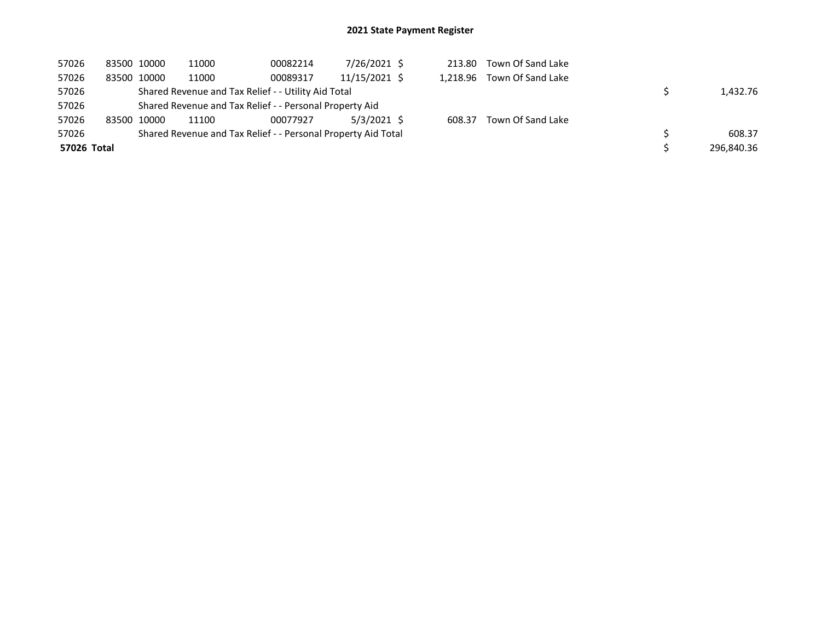| 57026       | 83500 10000 | 11000                                                         | 00082214 | 7/26/2021 \$  | 213.80 | Town Of Sand Lake          |            |
|-------------|-------------|---------------------------------------------------------------|----------|---------------|--------|----------------------------|------------|
| 57026       | 83500 10000 | 11000                                                         | 00089317 | 11/15/2021 \$ |        | 1,218.96 Town Of Sand Lake |            |
| 57026       |             | Shared Revenue and Tax Relief - - Utility Aid Total           |          |               |        |                            | 1,432.76   |
| 57026       |             | Shared Revenue and Tax Relief - - Personal Property Aid       |          |               |        |                            |            |
| 57026       | 83500 10000 | 11100                                                         | 00077927 | 5/3/2021 \$   | 608.37 | Town Of Sand Lake          |            |
| 57026       |             | Shared Revenue and Tax Relief - - Personal Property Aid Total |          |               |        |                            | 608.37     |
| 57026 Total |             |                                                               |          |               |        |                            | 296,840.36 |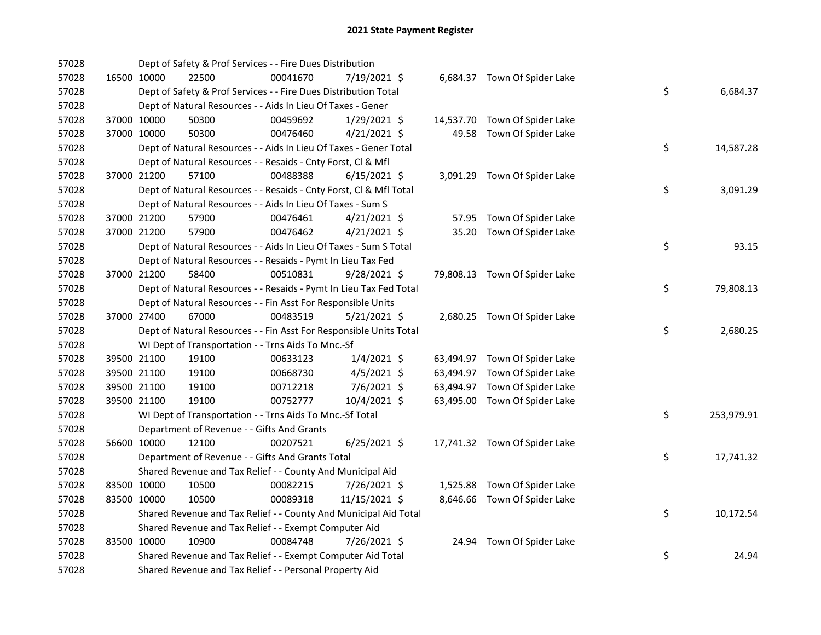| 57028 |             | Dept of Safety & Prof Services - - Fire Dues Distribution          |          |                |  |                               |    |            |
|-------|-------------|--------------------------------------------------------------------|----------|----------------|--|-------------------------------|----|------------|
| 57028 | 16500 10000 | 22500                                                              | 00041670 | 7/19/2021 \$   |  | 6,684.37 Town Of Spider Lake  |    |            |
| 57028 |             | Dept of Safety & Prof Services - - Fire Dues Distribution Total    |          |                |  |                               | \$ | 6,684.37   |
| 57028 |             | Dept of Natural Resources - - Aids In Lieu Of Taxes - Gener        |          |                |  |                               |    |            |
| 57028 | 37000 10000 | 50300                                                              | 00459692 | $1/29/2021$ \$ |  | 14,537.70 Town Of Spider Lake |    |            |
| 57028 | 37000 10000 | 50300                                                              | 00476460 | $4/21/2021$ \$ |  | 49.58 Town Of Spider Lake     |    |            |
| 57028 |             | Dept of Natural Resources - - Aids In Lieu Of Taxes - Gener Total  |          |                |  |                               | \$ | 14,587.28  |
| 57028 |             | Dept of Natural Resources - - Resaids - Cnty Forst, Cl & Mfl       |          |                |  |                               |    |            |
| 57028 | 37000 21200 | 57100                                                              | 00488388 | $6/15/2021$ \$ |  | 3,091.29 Town Of Spider Lake  |    |            |
| 57028 |             | Dept of Natural Resources - - Resaids - Cnty Forst, Cl & Mfl Total |          |                |  |                               | \$ | 3,091.29   |
| 57028 |             | Dept of Natural Resources - - Aids In Lieu Of Taxes - Sum S        |          |                |  |                               |    |            |
| 57028 | 37000 21200 | 57900                                                              | 00476461 | $4/21/2021$ \$ |  | 57.95 Town Of Spider Lake     |    |            |
| 57028 | 37000 21200 | 57900                                                              | 00476462 | $4/21/2021$ \$ |  | 35.20 Town Of Spider Lake     |    |            |
| 57028 |             | Dept of Natural Resources - - Aids In Lieu Of Taxes - Sum S Total  |          |                |  |                               | \$ | 93.15      |
| 57028 |             | Dept of Natural Resources - - Resaids - Pymt In Lieu Tax Fed       |          |                |  |                               |    |            |
| 57028 | 37000 21200 | 58400                                                              | 00510831 | 9/28/2021 \$   |  | 79,808.13 Town Of Spider Lake |    |            |
| 57028 |             | Dept of Natural Resources - - Resaids - Pymt In Lieu Tax Fed Total |          |                |  |                               | \$ | 79,808.13  |
| 57028 |             | Dept of Natural Resources - - Fin Asst For Responsible Units       |          |                |  |                               |    |            |
| 57028 | 37000 27400 | 67000                                                              | 00483519 | $5/21/2021$ \$ |  | 2,680.25 Town Of Spider Lake  |    |            |
| 57028 |             | Dept of Natural Resources - - Fin Asst For Responsible Units Total |          |                |  |                               | \$ | 2,680.25   |
| 57028 |             | WI Dept of Transportation - - Trns Aids To Mnc.-Sf                 |          |                |  |                               |    |            |
| 57028 | 39500 21100 | 19100                                                              | 00633123 | $1/4/2021$ \$  |  | 63,494.97 Town Of Spider Lake |    |            |
| 57028 | 39500 21100 | 19100                                                              | 00668730 | $4/5/2021$ \$  |  | 63,494.97 Town Of Spider Lake |    |            |
| 57028 | 39500 21100 | 19100                                                              | 00712218 | 7/6/2021 \$    |  | 63,494.97 Town Of Spider Lake |    |            |
| 57028 | 39500 21100 | 19100                                                              | 00752777 | 10/4/2021 \$   |  | 63,495.00 Town Of Spider Lake |    |            |
| 57028 |             | WI Dept of Transportation - - Trns Aids To Mnc.-Sf Total           |          |                |  |                               | \$ | 253,979.91 |
| 57028 |             | Department of Revenue - - Gifts And Grants                         |          |                |  |                               |    |            |
| 57028 | 56600 10000 | 12100                                                              | 00207521 | $6/25/2021$ \$ |  | 17,741.32 Town Of Spider Lake |    |            |
| 57028 |             | Department of Revenue - - Gifts And Grants Total                   |          |                |  |                               | \$ | 17,741.32  |
| 57028 |             | Shared Revenue and Tax Relief - - County And Municipal Aid         |          |                |  |                               |    |            |
| 57028 | 83500 10000 | 10500                                                              | 00082215 | 7/26/2021 \$   |  | 1,525.88 Town Of Spider Lake  |    |            |
| 57028 | 83500 10000 | 10500                                                              | 00089318 | 11/15/2021 \$  |  | 8,646.66 Town Of Spider Lake  |    |            |
| 57028 |             | Shared Revenue and Tax Relief - - County And Municipal Aid Total   |          |                |  |                               | \$ | 10,172.54  |
| 57028 |             | Shared Revenue and Tax Relief - - Exempt Computer Aid              |          |                |  |                               |    |            |
| 57028 | 83500 10000 | 10900                                                              | 00084748 | 7/26/2021 \$   |  | 24.94 Town Of Spider Lake     |    |            |
| 57028 |             | Shared Revenue and Tax Relief - - Exempt Computer Aid Total        |          |                |  |                               | \$ | 24.94      |
| 57028 |             | Shared Revenue and Tax Relief - - Personal Property Aid            |          |                |  |                               |    |            |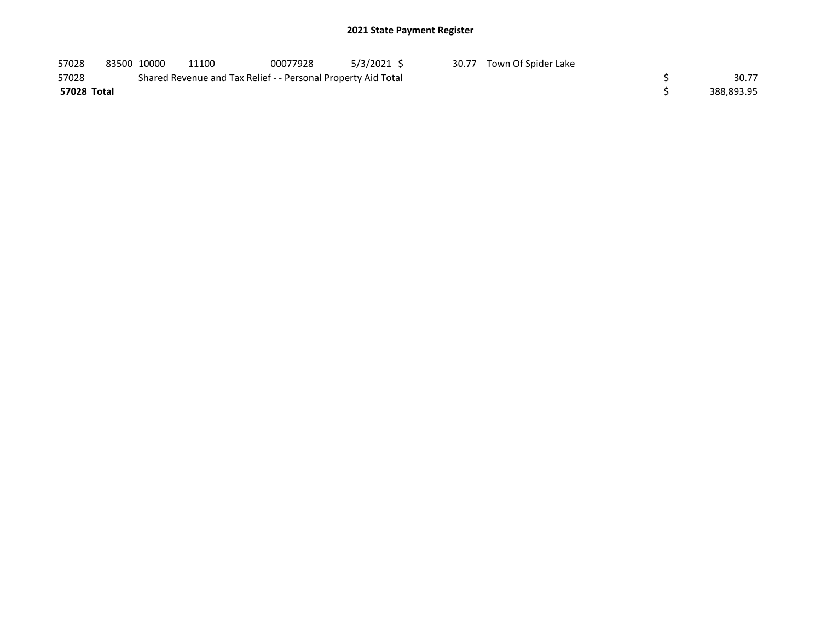| 57028       | 83500 10000 | 11100                                                         | 00077928 | 5/3/2021 \$ | 30.77 | Town Of Spider Lake |            |
|-------------|-------------|---------------------------------------------------------------|----------|-------------|-------|---------------------|------------|
| 57028       |             | Shared Revenue and Tax Relief - - Personal Property Aid Total |          |             |       |                     | 30.77      |
| 57028 Total |             |                                                               |          |             |       |                     | 388,893.95 |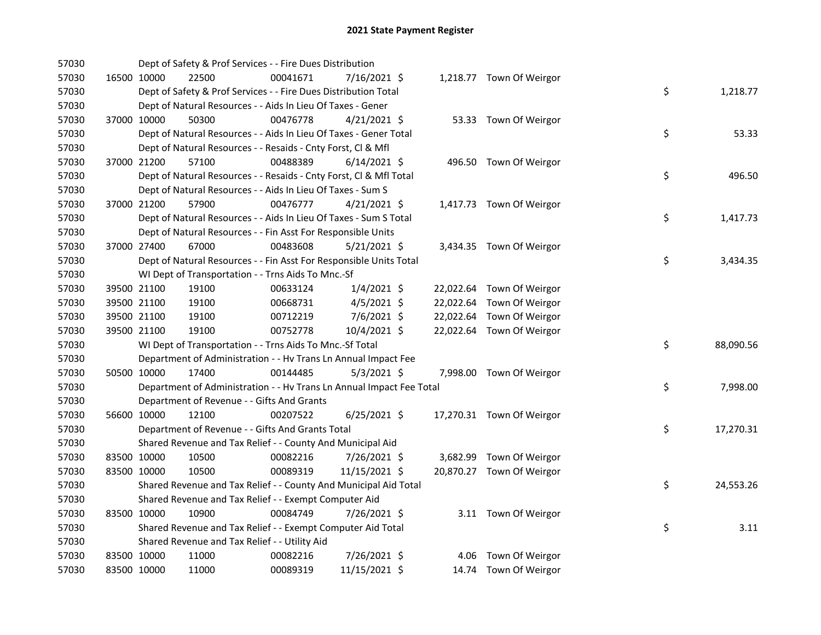| 57030 |             | Dept of Safety & Prof Services - - Fire Dues Distribution            |          |                |  |                           |    |           |
|-------|-------------|----------------------------------------------------------------------|----------|----------------|--|---------------------------|----|-----------|
| 57030 | 16500 10000 | 22500                                                                | 00041671 | 7/16/2021 \$   |  | 1,218.77 Town Of Weirgor  |    |           |
| 57030 |             | Dept of Safety & Prof Services - - Fire Dues Distribution Total      |          |                |  |                           | \$ | 1,218.77  |
| 57030 |             | Dept of Natural Resources - - Aids In Lieu Of Taxes - Gener          |          |                |  |                           |    |           |
| 57030 | 37000 10000 | 50300                                                                | 00476778 | $4/21/2021$ \$ |  | 53.33 Town Of Weirgor     |    |           |
| 57030 |             | Dept of Natural Resources - - Aids In Lieu Of Taxes - Gener Total    |          |                |  |                           | \$ | 53.33     |
| 57030 |             | Dept of Natural Resources - - Resaids - Cnty Forst, Cl & Mfl         |          |                |  |                           |    |           |
| 57030 | 37000 21200 | 57100                                                                | 00488389 | $6/14/2021$ \$ |  | 496.50 Town Of Weirgor    |    |           |
| 57030 |             | Dept of Natural Resources - - Resaids - Cnty Forst, CI & Mfl Total   |          |                |  |                           | \$ | 496.50    |
| 57030 |             | Dept of Natural Resources - - Aids In Lieu Of Taxes - Sum S          |          |                |  |                           |    |           |
| 57030 | 37000 21200 | 57900                                                                | 00476777 | $4/21/2021$ \$ |  | 1,417.73 Town Of Weirgor  |    |           |
| 57030 |             | Dept of Natural Resources - - Aids In Lieu Of Taxes - Sum S Total    |          |                |  |                           | \$ | 1,417.73  |
| 57030 |             | Dept of Natural Resources - - Fin Asst For Responsible Units         |          |                |  |                           |    |           |
| 57030 | 37000 27400 | 67000                                                                | 00483608 | $5/21/2021$ \$ |  | 3,434.35 Town Of Weirgor  |    |           |
| 57030 |             | Dept of Natural Resources - - Fin Asst For Responsible Units Total   |          |                |  |                           | \$ | 3,434.35  |
| 57030 |             | WI Dept of Transportation - - Trns Aids To Mnc.-Sf                   |          |                |  |                           |    |           |
| 57030 | 39500 21100 | 19100                                                                | 00633124 | $1/4/2021$ \$  |  | 22,022.64 Town Of Weirgor |    |           |
| 57030 | 39500 21100 | 19100                                                                | 00668731 | $4/5/2021$ \$  |  | 22,022.64 Town Of Weirgor |    |           |
| 57030 | 39500 21100 | 19100                                                                | 00712219 | 7/6/2021 \$    |  | 22,022.64 Town Of Weirgor |    |           |
| 57030 | 39500 21100 | 19100                                                                | 00752778 | 10/4/2021 \$   |  | 22,022.64 Town Of Weirgor |    |           |
| 57030 |             | WI Dept of Transportation - - Trns Aids To Mnc.-Sf Total             |          |                |  |                           | \$ | 88,090.56 |
| 57030 |             | Department of Administration - - Hv Trans Ln Annual Impact Fee       |          |                |  |                           |    |           |
| 57030 | 50500 10000 | 17400                                                                | 00144485 | $5/3/2021$ \$  |  | 7,998.00 Town Of Weirgor  |    |           |
| 57030 |             | Department of Administration - - Hv Trans Ln Annual Impact Fee Total |          |                |  |                           | \$ | 7,998.00  |
| 57030 |             | Department of Revenue - - Gifts And Grants                           |          |                |  |                           |    |           |
| 57030 | 56600 10000 | 12100                                                                | 00207522 | $6/25/2021$ \$ |  | 17,270.31 Town Of Weirgor |    |           |
| 57030 |             | Department of Revenue - - Gifts And Grants Total                     |          |                |  |                           | \$ | 17,270.31 |
| 57030 |             | Shared Revenue and Tax Relief - - County And Municipal Aid           |          |                |  |                           |    |           |
| 57030 | 83500 10000 | 10500                                                                | 00082216 | 7/26/2021 \$   |  | 3,682.99 Town Of Weirgor  |    |           |
| 57030 | 83500 10000 | 10500                                                                | 00089319 | 11/15/2021 \$  |  | 20,870.27 Town Of Weirgor |    |           |
| 57030 |             | Shared Revenue and Tax Relief - - County And Municipal Aid Total     |          |                |  |                           | \$ | 24,553.26 |
| 57030 |             | Shared Revenue and Tax Relief - - Exempt Computer Aid                |          |                |  |                           |    |           |
| 57030 | 83500 10000 | 10900                                                                | 00084749 | 7/26/2021 \$   |  | 3.11 Town Of Weirgor      |    |           |
| 57030 |             | Shared Revenue and Tax Relief - - Exempt Computer Aid Total          |          |                |  |                           | \$ | 3.11      |
| 57030 |             | Shared Revenue and Tax Relief - - Utility Aid                        |          |                |  |                           |    |           |
| 57030 | 83500 10000 | 11000                                                                | 00082216 | 7/26/2021 \$   |  | 4.06 Town Of Weirgor      |    |           |
| 57030 | 83500 10000 | 11000                                                                | 00089319 | 11/15/2021 \$  |  | 14.74 Town Of Weirgor     |    |           |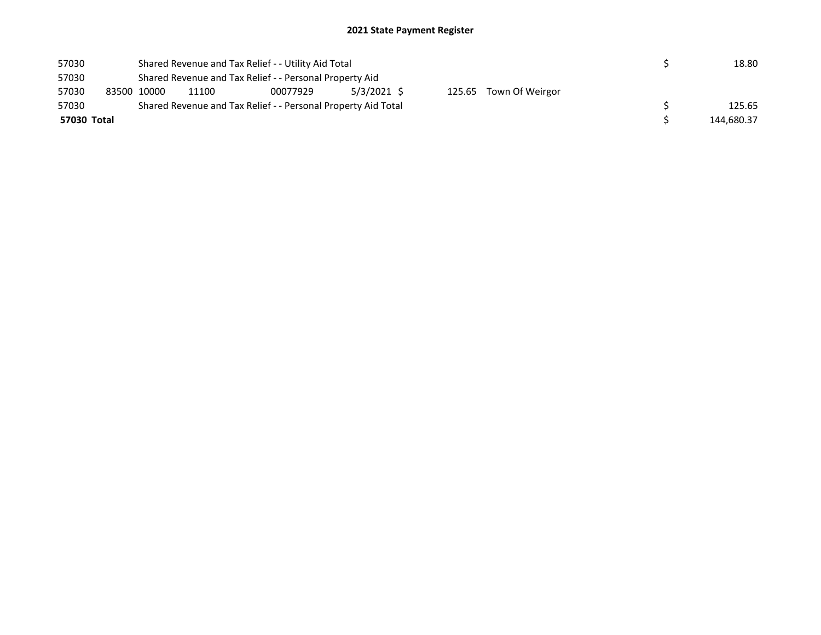| 57030       |             | Shared Revenue and Tax Relief - - Utility Aid Total           |            | 18.80 |  |  |  |  |  |  |  |
|-------------|-------------|---------------------------------------------------------------|------------|-------|--|--|--|--|--|--|--|
| 57030       |             | Shared Revenue and Tax Relief - - Personal Property Aid       |            |       |  |  |  |  |  |  |  |
| 57030       | 83500 10000 | 5/3/2021 \$<br>125.65 Town Of Weirgor<br>11100<br>00077929    |            |       |  |  |  |  |  |  |  |
| 57030       |             | Shared Revenue and Tax Relief - - Personal Property Aid Total |            |       |  |  |  |  |  |  |  |
| 57030 Total |             |                                                               | 144,680.37 |       |  |  |  |  |  |  |  |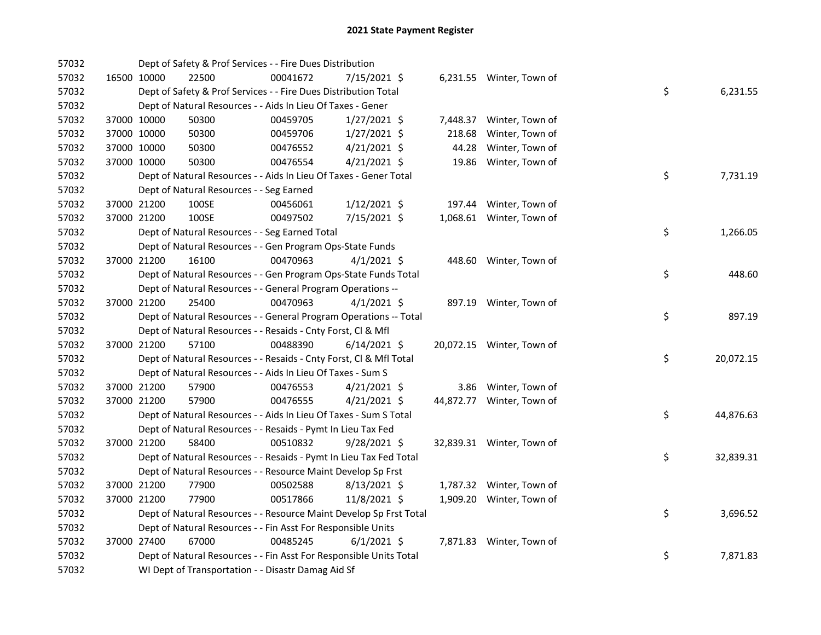|  | 22500                                                                                                                                                                                                                                        | 00041672 |                                                                                            |                                                                                                                                                                                                                                                                                                                                                                               |                                                                                                                                                                                                                                                                                                                                                                                                                                                                                                                                                                                                                                                                                                                                                                                                                                                                                                                                                                                                                                                                                                                                                                                              |  |                                                                                                                                                                                                                                                                                                                                                                                                                            |           |
|--|----------------------------------------------------------------------------------------------------------------------------------------------------------------------------------------------------------------------------------------------|----------|--------------------------------------------------------------------------------------------|-------------------------------------------------------------------------------------------------------------------------------------------------------------------------------------------------------------------------------------------------------------------------------------------------------------------------------------------------------------------------------|----------------------------------------------------------------------------------------------------------------------------------------------------------------------------------------------------------------------------------------------------------------------------------------------------------------------------------------------------------------------------------------------------------------------------------------------------------------------------------------------------------------------------------------------------------------------------------------------------------------------------------------------------------------------------------------------------------------------------------------------------------------------------------------------------------------------------------------------------------------------------------------------------------------------------------------------------------------------------------------------------------------------------------------------------------------------------------------------------------------------------------------------------------------------------------------------|--|----------------------------------------------------------------------------------------------------------------------------------------------------------------------------------------------------------------------------------------------------------------------------------------------------------------------------------------------------------------------------------------------------------------------------|-----------|
|  |                                                                                                                                                                                                                                              |          |                                                                                            |                                                                                                                                                                                                                                                                                                                                                                               |                                                                                                                                                                                                                                                                                                                                                                                                                                                                                                                                                                                                                                                                                                                                                                                                                                                                                                                                                                                                                                                                                                                                                                                              |  | \$                                                                                                                                                                                                                                                                                                                                                                                                                         | 6,231.55  |
|  |                                                                                                                                                                                                                                              |          |                                                                                            |                                                                                                                                                                                                                                                                                                                                                                               |                                                                                                                                                                                                                                                                                                                                                                                                                                                                                                                                                                                                                                                                                                                                                                                                                                                                                                                                                                                                                                                                                                                                                                                              |  |                                                                                                                                                                                                                                                                                                                                                                                                                            |           |
|  | 50300                                                                                                                                                                                                                                        | 00459705 |                                                                                            |                                                                                                                                                                                                                                                                                                                                                                               |                                                                                                                                                                                                                                                                                                                                                                                                                                                                                                                                                                                                                                                                                                                                                                                                                                                                                                                                                                                                                                                                                                                                                                                              |  |                                                                                                                                                                                                                                                                                                                                                                                                                            |           |
|  | 50300                                                                                                                                                                                                                                        | 00459706 |                                                                                            |                                                                                                                                                                                                                                                                                                                                                                               | 218.68                                                                                                                                                                                                                                                                                                                                                                                                                                                                                                                                                                                                                                                                                                                                                                                                                                                                                                                                                                                                                                                                                                                                                                                       |  |                                                                                                                                                                                                                                                                                                                                                                                                                            |           |
|  | 50300                                                                                                                                                                                                                                        | 00476552 |                                                                                            |                                                                                                                                                                                                                                                                                                                                                                               | 44.28                                                                                                                                                                                                                                                                                                                                                                                                                                                                                                                                                                                                                                                                                                                                                                                                                                                                                                                                                                                                                                                                                                                                                                                        |  |                                                                                                                                                                                                                                                                                                                                                                                                                            |           |
|  | 50300                                                                                                                                                                                                                                        | 00476554 |                                                                                            |                                                                                                                                                                                                                                                                                                                                                                               | 19.86                                                                                                                                                                                                                                                                                                                                                                                                                                                                                                                                                                                                                                                                                                                                                                                                                                                                                                                                                                                                                                                                                                                                                                                        |  |                                                                                                                                                                                                                                                                                                                                                                                                                            |           |
|  |                                                                                                                                                                                                                                              |          |                                                                                            |                                                                                                                                                                                                                                                                                                                                                                               |                                                                                                                                                                                                                                                                                                                                                                                                                                                                                                                                                                                                                                                                                                                                                                                                                                                                                                                                                                                                                                                                                                                                                                                              |  | \$                                                                                                                                                                                                                                                                                                                                                                                                                         | 7,731.19  |
|  |                                                                                                                                                                                                                                              |          |                                                                                            |                                                                                                                                                                                                                                                                                                                                                                               |                                                                                                                                                                                                                                                                                                                                                                                                                                                                                                                                                                                                                                                                                                                                                                                                                                                                                                                                                                                                                                                                                                                                                                                              |  |                                                                                                                                                                                                                                                                                                                                                                                                                            |           |
|  | 100SE                                                                                                                                                                                                                                        | 00456061 |                                                                                            |                                                                                                                                                                                                                                                                                                                                                                               |                                                                                                                                                                                                                                                                                                                                                                                                                                                                                                                                                                                                                                                                                                                                                                                                                                                                                                                                                                                                                                                                                                                                                                                              |  |                                                                                                                                                                                                                                                                                                                                                                                                                            |           |
|  | 100SE                                                                                                                                                                                                                                        | 00497502 |                                                                                            |                                                                                                                                                                                                                                                                                                                                                                               |                                                                                                                                                                                                                                                                                                                                                                                                                                                                                                                                                                                                                                                                                                                                                                                                                                                                                                                                                                                                                                                                                                                                                                                              |  |                                                                                                                                                                                                                                                                                                                                                                                                                            |           |
|  |                                                                                                                                                                                                                                              |          |                                                                                            |                                                                                                                                                                                                                                                                                                                                                                               |                                                                                                                                                                                                                                                                                                                                                                                                                                                                                                                                                                                                                                                                                                                                                                                                                                                                                                                                                                                                                                                                                                                                                                                              |  | \$                                                                                                                                                                                                                                                                                                                                                                                                                         | 1,266.05  |
|  |                                                                                                                                                                                                                                              |          |                                                                                            |                                                                                                                                                                                                                                                                                                                                                                               |                                                                                                                                                                                                                                                                                                                                                                                                                                                                                                                                                                                                                                                                                                                                                                                                                                                                                                                                                                                                                                                                                                                                                                                              |  |                                                                                                                                                                                                                                                                                                                                                                                                                            |           |
|  | 16100                                                                                                                                                                                                                                        | 00470963 |                                                                                            |                                                                                                                                                                                                                                                                                                                                                                               |                                                                                                                                                                                                                                                                                                                                                                                                                                                                                                                                                                                                                                                                                                                                                                                                                                                                                                                                                                                                                                                                                                                                                                                              |  |                                                                                                                                                                                                                                                                                                                                                                                                                            |           |
|  |                                                                                                                                                                                                                                              |          |                                                                                            |                                                                                                                                                                                                                                                                                                                                                                               |                                                                                                                                                                                                                                                                                                                                                                                                                                                                                                                                                                                                                                                                                                                                                                                                                                                                                                                                                                                                                                                                                                                                                                                              |  | \$                                                                                                                                                                                                                                                                                                                                                                                                                         | 448.60    |
|  |                                                                                                                                                                                                                                              |          |                                                                                            |                                                                                                                                                                                                                                                                                                                                                                               |                                                                                                                                                                                                                                                                                                                                                                                                                                                                                                                                                                                                                                                                                                                                                                                                                                                                                                                                                                                                                                                                                                                                                                                              |  |                                                                                                                                                                                                                                                                                                                                                                                                                            |           |
|  | 25400                                                                                                                                                                                                                                        | 00470963 |                                                                                            |                                                                                                                                                                                                                                                                                                                                                                               |                                                                                                                                                                                                                                                                                                                                                                                                                                                                                                                                                                                                                                                                                                                                                                                                                                                                                                                                                                                                                                                                                                                                                                                              |  |                                                                                                                                                                                                                                                                                                                                                                                                                            |           |
|  |                                                                                                                                                                                                                                              |          |                                                                                            |                                                                                                                                                                                                                                                                                                                                                                               |                                                                                                                                                                                                                                                                                                                                                                                                                                                                                                                                                                                                                                                                                                                                                                                                                                                                                                                                                                                                                                                                                                                                                                                              |  | \$                                                                                                                                                                                                                                                                                                                                                                                                                         | 897.19    |
|  |                                                                                                                                                                                                                                              |          |                                                                                            |                                                                                                                                                                                                                                                                                                                                                                               |                                                                                                                                                                                                                                                                                                                                                                                                                                                                                                                                                                                                                                                                                                                                                                                                                                                                                                                                                                                                                                                                                                                                                                                              |  |                                                                                                                                                                                                                                                                                                                                                                                                                            |           |
|  | 57100                                                                                                                                                                                                                                        | 00488390 |                                                                                            |                                                                                                                                                                                                                                                                                                                                                                               |                                                                                                                                                                                                                                                                                                                                                                                                                                                                                                                                                                                                                                                                                                                                                                                                                                                                                                                                                                                                                                                                                                                                                                                              |  |                                                                                                                                                                                                                                                                                                                                                                                                                            |           |
|  |                                                                                                                                                                                                                                              |          |                                                                                            |                                                                                                                                                                                                                                                                                                                                                                               |                                                                                                                                                                                                                                                                                                                                                                                                                                                                                                                                                                                                                                                                                                                                                                                                                                                                                                                                                                                                                                                                                                                                                                                              |  | \$                                                                                                                                                                                                                                                                                                                                                                                                                         | 20,072.15 |
|  |                                                                                                                                                                                                                                              |          |                                                                                            |                                                                                                                                                                                                                                                                                                                                                                               |                                                                                                                                                                                                                                                                                                                                                                                                                                                                                                                                                                                                                                                                                                                                                                                                                                                                                                                                                                                                                                                                                                                                                                                              |  |                                                                                                                                                                                                                                                                                                                                                                                                                            |           |
|  | 57900                                                                                                                                                                                                                                        | 00476553 |                                                                                            |                                                                                                                                                                                                                                                                                                                                                                               |                                                                                                                                                                                                                                                                                                                                                                                                                                                                                                                                                                                                                                                                                                                                                                                                                                                                                                                                                                                                                                                                                                                                                                                              |  |                                                                                                                                                                                                                                                                                                                                                                                                                            |           |
|  | 57900                                                                                                                                                                                                                                        | 00476555 |                                                                                            |                                                                                                                                                                                                                                                                                                                                                                               |                                                                                                                                                                                                                                                                                                                                                                                                                                                                                                                                                                                                                                                                                                                                                                                                                                                                                                                                                                                                                                                                                                                                                                                              |  |                                                                                                                                                                                                                                                                                                                                                                                                                            |           |
|  |                                                                                                                                                                                                                                              |          |                                                                                            |                                                                                                                                                                                                                                                                                                                                                                               |                                                                                                                                                                                                                                                                                                                                                                                                                                                                                                                                                                                                                                                                                                                                                                                                                                                                                                                                                                                                                                                                                                                                                                                              |  | \$                                                                                                                                                                                                                                                                                                                                                                                                                         | 44,876.63 |
|  |                                                                                                                                                                                                                                              |          |                                                                                            |                                                                                                                                                                                                                                                                                                                                                                               |                                                                                                                                                                                                                                                                                                                                                                                                                                                                                                                                                                                                                                                                                                                                                                                                                                                                                                                                                                                                                                                                                                                                                                                              |  |                                                                                                                                                                                                                                                                                                                                                                                                                            |           |
|  | 58400                                                                                                                                                                                                                                        | 00510832 |                                                                                            |                                                                                                                                                                                                                                                                                                                                                                               |                                                                                                                                                                                                                                                                                                                                                                                                                                                                                                                                                                                                                                                                                                                                                                                                                                                                                                                                                                                                                                                                                                                                                                                              |  |                                                                                                                                                                                                                                                                                                                                                                                                                            |           |
|  |                                                                                                                                                                                                                                              |          |                                                                                            |                                                                                                                                                                                                                                                                                                                                                                               |                                                                                                                                                                                                                                                                                                                                                                                                                                                                                                                                                                                                                                                                                                                                                                                                                                                                                                                                                                                                                                                                                                                                                                                              |  | \$                                                                                                                                                                                                                                                                                                                                                                                                                         | 32,839.31 |
|  |                                                                                                                                                                                                                                              |          |                                                                                            |                                                                                                                                                                                                                                                                                                                                                                               |                                                                                                                                                                                                                                                                                                                                                                                                                                                                                                                                                                                                                                                                                                                                                                                                                                                                                                                                                                                                                                                                                                                                                                                              |  |                                                                                                                                                                                                                                                                                                                                                                                                                            |           |
|  | 77900                                                                                                                                                                                                                                        | 00502588 |                                                                                            |                                                                                                                                                                                                                                                                                                                                                                               |                                                                                                                                                                                                                                                                                                                                                                                                                                                                                                                                                                                                                                                                                                                                                                                                                                                                                                                                                                                                                                                                                                                                                                                              |  |                                                                                                                                                                                                                                                                                                                                                                                                                            |           |
|  | 77900                                                                                                                                                                                                                                        | 00517866 |                                                                                            |                                                                                                                                                                                                                                                                                                                                                                               |                                                                                                                                                                                                                                                                                                                                                                                                                                                                                                                                                                                                                                                                                                                                                                                                                                                                                                                                                                                                                                                                                                                                                                                              |  |                                                                                                                                                                                                                                                                                                                                                                                                                            |           |
|  |                                                                                                                                                                                                                                              |          |                                                                                            |                                                                                                                                                                                                                                                                                                                                                                               |                                                                                                                                                                                                                                                                                                                                                                                                                                                                                                                                                                                                                                                                                                                                                                                                                                                                                                                                                                                                                                                                                                                                                                                              |  | \$                                                                                                                                                                                                                                                                                                                                                                                                                         | 3,696.52  |
|  |                                                                                                                                                                                                                                              |          |                                                                                            |                                                                                                                                                                                                                                                                                                                                                                               |                                                                                                                                                                                                                                                                                                                                                                                                                                                                                                                                                                                                                                                                                                                                                                                                                                                                                                                                                                                                                                                                                                                                                                                              |  |                                                                                                                                                                                                                                                                                                                                                                                                                            |           |
|  | 67000                                                                                                                                                                                                                                        | 00485245 |                                                                                            |                                                                                                                                                                                                                                                                                                                                                                               |                                                                                                                                                                                                                                                                                                                                                                                                                                                                                                                                                                                                                                                                                                                                                                                                                                                                                                                                                                                                                                                                                                                                                                                              |  |                                                                                                                                                                                                                                                                                                                                                                                                                            |           |
|  |                                                                                                                                                                                                                                              |          |                                                                                            |                                                                                                                                                                                                                                                                                                                                                                               |                                                                                                                                                                                                                                                                                                                                                                                                                                                                                                                                                                                                                                                                                                                                                                                                                                                                                                                                                                                                                                                                                                                                                                                              |  | \$                                                                                                                                                                                                                                                                                                                                                                                                                         | 7,871.83  |
|  |                                                                                                                                                                                                                                              |          |                                                                                            |                                                                                                                                                                                                                                                                                                                                                                               |                                                                                                                                                                                                                                                                                                                                                                                                                                                                                                                                                                                                                                                                                                                                                                                                                                                                                                                                                                                                                                                                                                                                                                                              |  |                                                                                                                                                                                                                                                                                                                                                                                                                            |           |
|  | 16500 10000<br>37000 10000<br>37000 10000<br>37000 10000<br>37000 10000<br>37000 21200<br>37000 21200<br>37000 21200<br>37000 21200<br>37000 21200<br>37000 21200<br>37000 21200<br>37000 21200<br>37000 21200<br>37000 21200<br>37000 27400 |          | Dept of Natural Resources - - Seg Earned<br>Dept of Natural Resources - - Seg Earned Total | Dept of Safety & Prof Services - - Fire Dues Distribution<br>Dept of Natural Resources - - Aids In Lieu Of Taxes - Gener<br>Dept of Natural Resources - - Resaids - Cnty Forst, Cl & Mfl<br>Dept of Natural Resources - - Aids In Lieu Of Taxes - Sum S<br>Dept of Natural Resources - - Resaids - Pymt In Lieu Tax Fed<br>WI Dept of Transportation - - Disastr Damag Aid Sf | 7/15/2021 \$<br>Dept of Safety & Prof Services - - Fire Dues Distribution Total<br>$1/27/2021$ \$<br>$1/27/2021$ \$<br>$4/21/2021$ \$<br>$4/21/2021$ \$<br>Dept of Natural Resources - - Aids In Lieu Of Taxes - Gener Total<br>$1/12/2021$ \$<br>7/15/2021 \$<br>Dept of Natural Resources - - Gen Program Ops-State Funds<br>$4/1/2021$ \$<br>Dept of Natural Resources - - Gen Program Ops-State Funds Total<br>Dept of Natural Resources - - General Program Operations --<br>$4/1/2021$ \$<br>Dept of Natural Resources - - General Program Operations -- Total<br>$6/14/2021$ \$<br>Dept of Natural Resources - - Resaids - Cnty Forst, Cl & Mfl Total<br>$4/21/2021$ \$<br>$4/21/2021$ \$<br>Dept of Natural Resources - - Aids In Lieu Of Taxes - Sum S Total<br>$9/28/2021$ \$<br>Dept of Natural Resources - - Resaids - Pymt In Lieu Tax Fed Total<br>Dept of Natural Resources - - Resource Maint Develop Sp Frst<br>$8/13/2021$ \$<br>11/8/2021 \$<br>Dept of Natural Resources - - Resource Maint Develop Sp Frst Total<br>Dept of Natural Resources - - Fin Asst For Responsible Units<br>$6/1/2021$ \$<br>Dept of Natural Resources - - Fin Asst For Responsible Units Total |  | 6,231.55 Winter, Town of<br>7,448.37 Winter, Town of<br>Winter, Town of<br>Winter, Town of<br>Winter, Town of<br>197.44 Winter, Town of<br>1,068.61 Winter, Town of<br>448.60 Winter, Town of<br>897.19 Winter, Town of<br>20,072.15 Winter, Town of<br>3.86 Winter, Town of<br>44,872.77 Winter, Town of<br>32,839.31 Winter, Town of<br>1,787.32 Winter, Town of<br>1,909.20 Winter, Town of<br>7,871.83 Winter, Town of |           |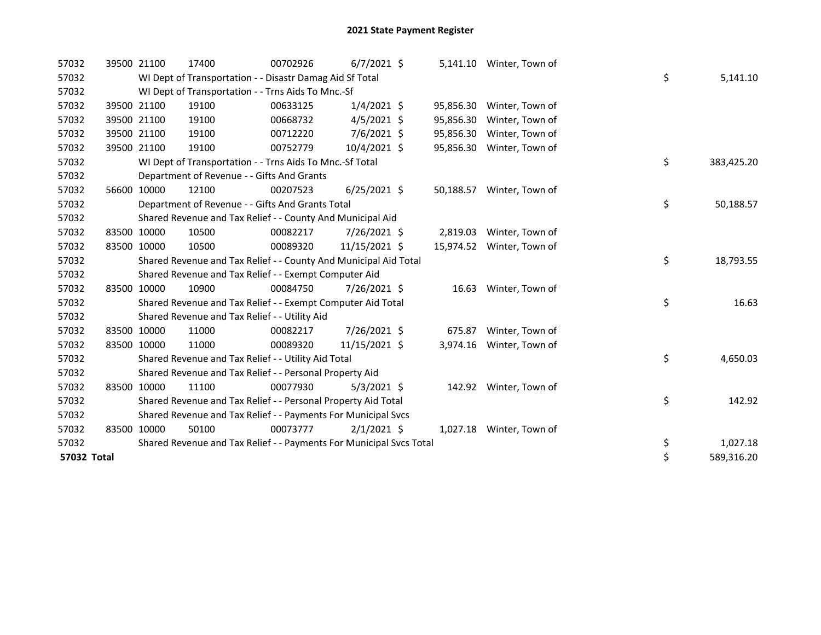| 57032       |             | 39500 21100 | 17400                                                               | 00702926 | $6/7/2021$ \$  |           | 5,141.10 Winter, Town of  |    |            |
|-------------|-------------|-------------|---------------------------------------------------------------------|----------|----------------|-----------|---------------------------|----|------------|
| 57032       |             |             | WI Dept of Transportation - - Disastr Damag Aid Sf Total            |          |                |           |                           | \$ | 5,141.10   |
| 57032       |             |             | WI Dept of Transportation - - Trns Aids To Mnc.-Sf                  |          |                |           |                           |    |            |
| 57032       |             | 39500 21100 | 19100                                                               | 00633125 | $1/4/2021$ \$  | 95,856.30 | Winter, Town of           |    |            |
| 57032       |             | 39500 21100 | 19100                                                               | 00668732 | $4/5/2021$ \$  | 95,856.30 | Winter, Town of           |    |            |
| 57032       |             | 39500 21100 | 19100                                                               | 00712220 | 7/6/2021 \$    | 95,856.30 | Winter, Town of           |    |            |
| 57032       | 39500       | 21100       | 19100                                                               | 00752779 | 10/4/2021 \$   | 95,856.30 | Winter, Town of           |    |            |
| 57032       |             |             | WI Dept of Transportation - - Trns Aids To Mnc.-Sf Total            |          |                |           |                           | \$ | 383,425.20 |
| 57032       |             |             | Department of Revenue - - Gifts And Grants                          |          |                |           |                           |    |            |
| 57032       |             | 56600 10000 | 12100                                                               | 00207523 | $6/25/2021$ \$ | 50,188.57 | Winter, Town of           |    |            |
| 57032       |             |             | Department of Revenue - - Gifts And Grants Total                    |          |                |           |                           | \$ | 50,188.57  |
| 57032       |             |             | Shared Revenue and Tax Relief - - County And Municipal Aid          |          |                |           |                           |    |            |
| 57032       |             | 83500 10000 | 10500                                                               | 00082217 | 7/26/2021 \$   | 2,819.03  | Winter, Town of           |    |            |
| 57032       | 83500 10000 |             | 10500                                                               | 00089320 | 11/15/2021 \$  |           | 15,974.52 Winter, Town of |    |            |
| 57032       |             |             | Shared Revenue and Tax Relief - - County And Municipal Aid Total    |          |                |           |                           | \$ | 18,793.55  |
| 57032       |             |             | Shared Revenue and Tax Relief - - Exempt Computer Aid               |          |                |           |                           |    |            |
| 57032       |             | 83500 10000 | 10900                                                               | 00084750 | 7/26/2021 \$   | 16.63     | Winter, Town of           |    |            |
| 57032       |             |             | Shared Revenue and Tax Relief - - Exempt Computer Aid Total         |          |                |           |                           | \$ | 16.63      |
| 57032       |             |             | Shared Revenue and Tax Relief - - Utility Aid                       |          |                |           |                           |    |            |
| 57032       |             | 83500 10000 | 11000                                                               | 00082217 | 7/26/2021 \$   | 675.87    | Winter, Town of           |    |            |
| 57032       | 83500 10000 |             | 11000                                                               | 00089320 | 11/15/2021 \$  | 3,974.16  | Winter, Town of           |    |            |
| 57032       |             |             | Shared Revenue and Tax Relief - - Utility Aid Total                 |          |                |           |                           | \$ | 4,650.03   |
| 57032       |             |             | Shared Revenue and Tax Relief - - Personal Property Aid             |          |                |           |                           |    |            |
| 57032       |             | 83500 10000 | 11100                                                               | 00077930 | $5/3/2021$ \$  |           | 142.92 Winter, Town of    |    |            |
| 57032       |             |             | Shared Revenue and Tax Relief - - Personal Property Aid Total       |          |                |           |                           | \$ | 142.92     |
| 57032       |             |             | Shared Revenue and Tax Relief - - Payments For Municipal Svcs       |          |                |           |                           |    |            |
| 57032       | 83500 10000 |             | 50100                                                               | 00073777 | $2/1/2021$ \$  | 1,027.18  | Winter, Town of           |    |            |
| 57032       |             |             | Shared Revenue and Tax Relief - - Payments For Municipal Svcs Total |          |                |           |                           | \$ | 1,027.18   |
| 57032 Total |             |             |                                                                     |          |                | \$        | 589,316.20                |    |            |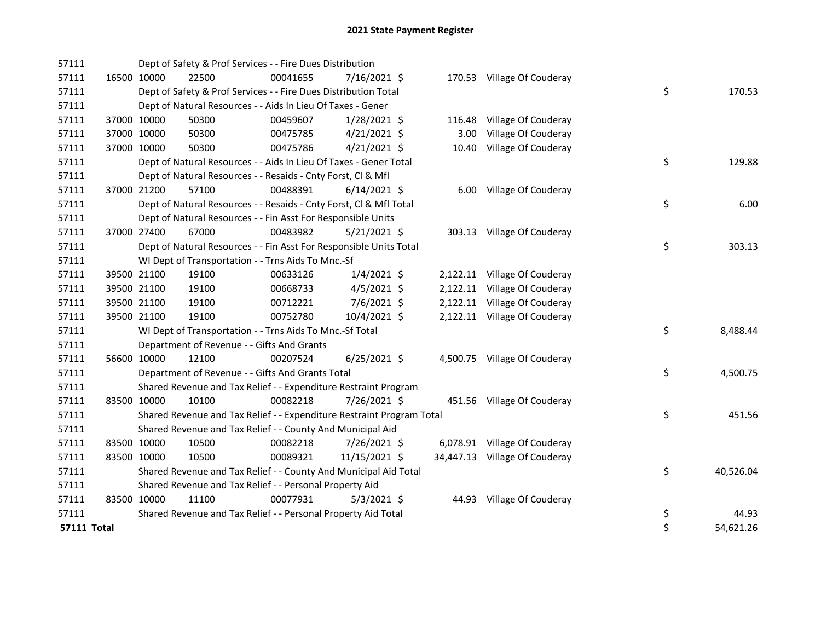| 57111              |             |             | Dept of Safety & Prof Services - - Fire Dues Distribution             |          |                |       |                               |    |           |
|--------------------|-------------|-------------|-----------------------------------------------------------------------|----------|----------------|-------|-------------------------------|----|-----------|
| 57111              | 16500 10000 |             | 22500                                                                 | 00041655 | 7/16/2021 \$   |       | 170.53 Village Of Couderay    |    |           |
| 57111              |             |             | Dept of Safety & Prof Services - - Fire Dues Distribution Total       |          |                |       |                               | \$ | 170.53    |
| 57111              |             |             | Dept of Natural Resources - - Aids In Lieu Of Taxes - Gener           |          |                |       |                               |    |           |
| 57111              |             | 37000 10000 | 50300                                                                 | 00459607 | $1/28/2021$ \$ |       | 116.48 Village Of Couderay    |    |           |
| 57111              |             | 37000 10000 | 50300                                                                 | 00475785 | $4/21/2021$ \$ | 3.00  | Village Of Couderay           |    |           |
| 57111              |             | 37000 10000 | 50300                                                                 | 00475786 | $4/21/2021$ \$ | 10.40 | Village Of Couderay           |    |           |
| 57111              |             |             | Dept of Natural Resources - - Aids In Lieu Of Taxes - Gener Total     |          |                |       |                               | \$ | 129.88    |
| 57111              |             |             | Dept of Natural Resources - - Resaids - Cnty Forst, Cl & Mfl          |          |                |       |                               |    |           |
| 57111              |             | 37000 21200 | 57100                                                                 | 00488391 | $6/14/2021$ \$ |       | 6.00 Village Of Couderay      |    |           |
| 57111              |             |             | Dept of Natural Resources - - Resaids - Cnty Forst, Cl & Mfl Total    |          |                |       |                               | \$ | 6.00      |
| 57111              |             |             | Dept of Natural Resources - - Fin Asst For Responsible Units          |          |                |       |                               |    |           |
| 57111              |             | 37000 27400 | 67000                                                                 | 00483982 | $5/21/2021$ \$ |       | 303.13 Village Of Couderay    |    |           |
| 57111              |             |             | Dept of Natural Resources - - Fin Asst For Responsible Units Total    |          |                |       |                               | \$ | 303.13    |
| 57111              |             |             | WI Dept of Transportation - - Trns Aids To Mnc.-Sf                    |          |                |       |                               |    |           |
| 57111              |             | 39500 21100 | 19100                                                                 | 00633126 | $1/4/2021$ \$  |       | 2,122.11 Village Of Couderay  |    |           |
| 57111              |             | 39500 21100 | 19100                                                                 | 00668733 | $4/5/2021$ \$  |       | 2,122.11 Village Of Couderay  |    |           |
| 57111              |             | 39500 21100 | 19100                                                                 | 00712221 | 7/6/2021 \$    |       | 2,122.11 Village Of Couderay  |    |           |
| 57111              |             | 39500 21100 | 19100                                                                 | 00752780 | 10/4/2021 \$   |       | 2,122.11 Village Of Couderay  |    |           |
| 57111              |             |             | WI Dept of Transportation - - Trns Aids To Mnc.-Sf Total              |          |                |       |                               | \$ | 8,488.44  |
| 57111              |             |             | Department of Revenue - - Gifts And Grants                            |          |                |       |                               |    |           |
| 57111              |             | 56600 10000 | 12100                                                                 | 00207524 | $6/25/2021$ \$ |       | 4,500.75 Village Of Couderay  |    |           |
| 57111              |             |             | Department of Revenue - - Gifts And Grants Total                      |          |                |       |                               | \$ | 4,500.75  |
| 57111              |             |             | Shared Revenue and Tax Relief - - Expenditure Restraint Program       |          |                |       |                               |    |           |
| 57111              |             | 83500 10000 | 10100                                                                 | 00082218 | 7/26/2021 \$   |       | 451.56 Village Of Couderay    |    |           |
| 57111              |             |             | Shared Revenue and Tax Relief - - Expenditure Restraint Program Total |          |                |       |                               | \$ | 451.56    |
| 57111              |             |             | Shared Revenue and Tax Relief - - County And Municipal Aid            |          |                |       |                               |    |           |
| 57111              | 83500 10000 |             | 10500                                                                 | 00082218 | 7/26/2021 \$   |       | 6,078.91 Village Of Couderay  |    |           |
| 57111              | 83500 10000 |             | 10500                                                                 | 00089321 | 11/15/2021 \$  |       | 34,447.13 Village Of Couderay |    |           |
| 57111              |             |             | Shared Revenue and Tax Relief - - County And Municipal Aid Total      |          |                |       |                               | \$ | 40,526.04 |
| 57111              |             |             | Shared Revenue and Tax Relief - - Personal Property Aid               |          |                |       |                               |    |           |
| 57111              | 83500 10000 |             | 11100                                                                 | 00077931 | $5/3/2021$ \$  |       | 44.93 Village Of Couderay     |    |           |
| 57111              |             |             | Shared Revenue and Tax Relief - - Personal Property Aid Total         |          |                |       |                               | \$ | 44.93     |
| <b>57111 Total</b> |             |             |                                                                       |          |                |       |                               | \$ | 54,621.26 |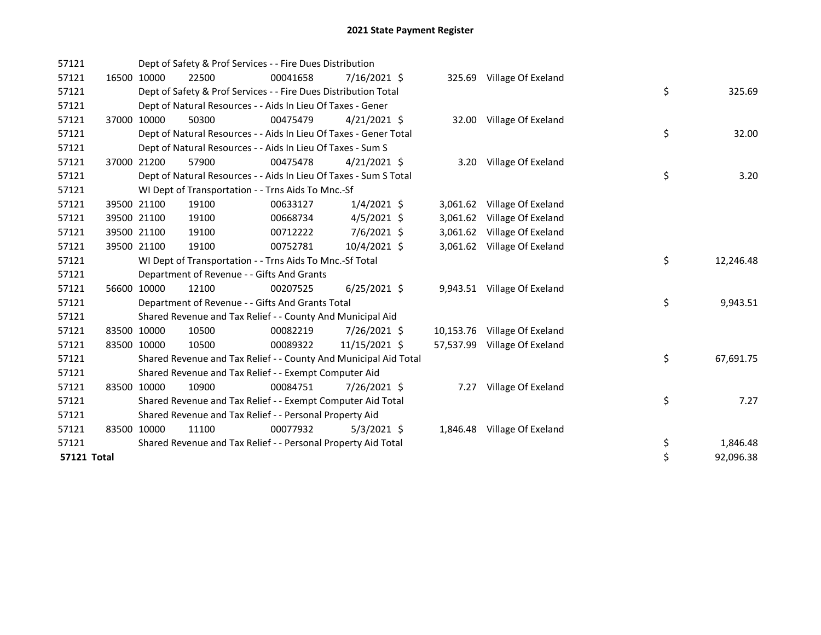| 57121       |             | Dept of Safety & Prof Services - - Fire Dues Distribution         |          |                |          |                              |    |           |
|-------------|-------------|-------------------------------------------------------------------|----------|----------------|----------|------------------------------|----|-----------|
| 57121       | 16500 10000 | 22500                                                             | 00041658 | 7/16/2021 \$   |          | 325.69 Village Of Exeland    |    |           |
| 57121       |             | Dept of Safety & Prof Services - - Fire Dues Distribution Total   |          |                |          |                              | \$ | 325.69    |
| 57121       |             | Dept of Natural Resources - - Aids In Lieu Of Taxes - Gener       |          |                |          |                              |    |           |
| 57121       | 37000 10000 | 50300                                                             | 00475479 | $4/21/2021$ \$ |          | 32.00 Village Of Exeland     |    |           |
| 57121       |             | Dept of Natural Resources - - Aids In Lieu Of Taxes - Gener Total |          |                |          |                              | \$ | 32.00     |
| 57121       |             | Dept of Natural Resources - - Aids In Lieu Of Taxes - Sum S       |          |                |          |                              |    |           |
| 57121       | 37000 21200 | 57900                                                             | 00475478 | $4/21/2021$ \$ |          | 3.20 Village Of Exeland      |    |           |
| 57121       |             | Dept of Natural Resources - - Aids In Lieu Of Taxes - Sum S Total |          |                |          |                              | \$ | 3.20      |
| 57121       |             | WI Dept of Transportation - - Trns Aids To Mnc.-Sf                |          |                |          |                              |    |           |
| 57121       | 39500 21100 | 19100                                                             | 00633127 | $1/4/2021$ \$  |          | 3,061.62 Village Of Exeland  |    |           |
| 57121       | 39500 21100 | 19100                                                             | 00668734 | $4/5/2021$ \$  |          | 3,061.62 Village Of Exeland  |    |           |
| 57121       | 39500 21100 | 19100                                                             | 00712222 | 7/6/2021 \$    |          | 3,061.62 Village Of Exeland  |    |           |
| 57121       | 39500 21100 | 19100                                                             | 00752781 | 10/4/2021 \$   |          | 3,061.62 Village Of Exeland  |    |           |
| 57121       |             | WI Dept of Transportation - - Trns Aids To Mnc.-Sf Total          |          |                |          |                              | \$ | 12,246.48 |
| 57121       |             | Department of Revenue - - Gifts And Grants                        |          |                |          |                              |    |           |
| 57121       | 56600 10000 | 12100                                                             | 00207525 | $6/25/2021$ \$ |          | 9,943.51 Village Of Exeland  |    |           |
| 57121       |             | Department of Revenue - - Gifts And Grants Total                  |          |                |          |                              | \$ | 9,943.51  |
| 57121       |             | Shared Revenue and Tax Relief - - County And Municipal Aid        |          |                |          |                              |    |           |
| 57121       | 83500 10000 | 10500                                                             | 00082219 | 7/26/2021 \$   |          | 10,153.76 Village Of Exeland |    |           |
| 57121       | 83500 10000 | 10500                                                             | 00089322 | 11/15/2021 \$  |          | 57,537.99 Village Of Exeland |    |           |
| 57121       |             | Shared Revenue and Tax Relief - - County And Municipal Aid Total  |          |                |          |                              | \$ | 67,691.75 |
| 57121       |             | Shared Revenue and Tax Relief - - Exempt Computer Aid             |          |                |          |                              |    |           |
| 57121       | 83500 10000 | 10900                                                             | 00084751 | 7/26/2021 \$   | 7.27     | Village Of Exeland           |    |           |
| 57121       |             | Shared Revenue and Tax Relief - - Exempt Computer Aid Total       |          |                |          |                              | \$ | 7.27      |
| 57121       |             | Shared Revenue and Tax Relief - - Personal Property Aid           |          |                |          |                              |    |           |
| 57121       | 83500 10000 | 11100                                                             | 00077932 | $5/3/2021$ \$  | 1,846.48 | Village Of Exeland           |    |           |
| 57121       |             | Shared Revenue and Tax Relief - - Personal Property Aid Total     |          |                |          |                              | \$ | 1,846.48  |
| 57121 Total |             |                                                                   |          |                |          |                              | \$ | 92,096.38 |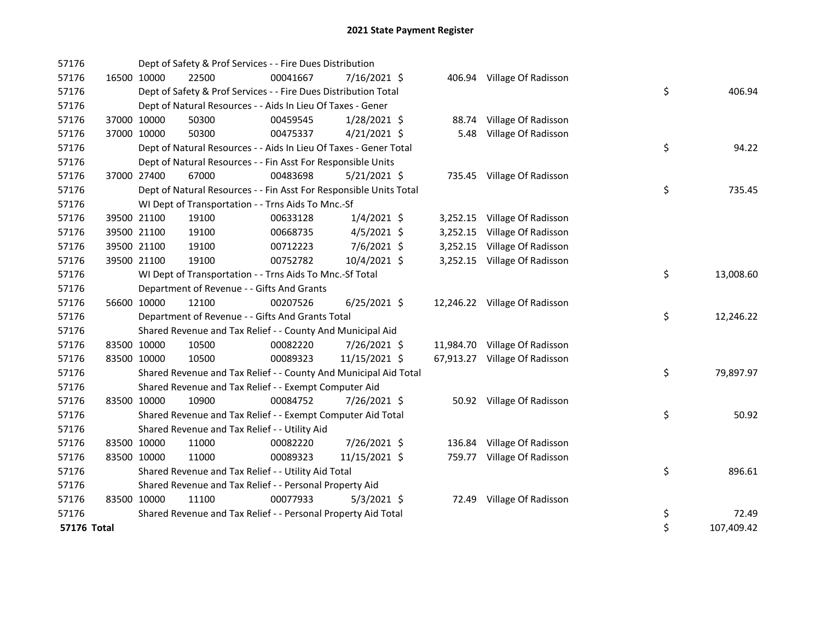| 57176              |             |             | Dept of Safety & Prof Services - - Fire Dues Distribution          |          |                |          |                               |    |            |
|--------------------|-------------|-------------|--------------------------------------------------------------------|----------|----------------|----------|-------------------------------|----|------------|
| 57176              | 16500 10000 |             | 22500                                                              | 00041667 | $7/16/2021$ \$ |          | 406.94 Village Of Radisson    |    |            |
| 57176              |             |             | Dept of Safety & Prof Services - - Fire Dues Distribution Total    |          |                |          |                               | \$ | 406.94     |
| 57176              |             |             | Dept of Natural Resources - - Aids In Lieu Of Taxes - Gener        |          |                |          |                               |    |            |
| 57176              |             | 37000 10000 | 50300                                                              | 00459545 | 1/28/2021 \$   |          | 88.74 Village Of Radisson     |    |            |
| 57176              |             | 37000 10000 | 50300                                                              | 00475337 | $4/21/2021$ \$ | 5.48     | Village Of Radisson           |    |            |
| 57176              |             |             | Dept of Natural Resources - - Aids In Lieu Of Taxes - Gener Total  |          |                |          |                               | \$ | 94.22      |
| 57176              |             |             | Dept of Natural Resources - - Fin Asst For Responsible Units       |          |                |          |                               |    |            |
| 57176              |             | 37000 27400 | 67000                                                              | 00483698 | $5/21/2021$ \$ |          | 735.45 Village Of Radisson    |    |            |
| 57176              |             |             | Dept of Natural Resources - - Fin Asst For Responsible Units Total |          |                |          |                               | \$ | 735.45     |
| 57176              |             |             | WI Dept of Transportation - - Trns Aids To Mnc.-Sf                 |          |                |          |                               |    |            |
| 57176              |             | 39500 21100 | 19100                                                              | 00633128 | $1/4/2021$ \$  |          | 3,252.15 Village Of Radisson  |    |            |
| 57176              |             | 39500 21100 | 19100                                                              | 00668735 | $4/5/2021$ \$  | 3,252.15 | Village Of Radisson           |    |            |
| 57176              |             | 39500 21100 | 19100                                                              | 00712223 | 7/6/2021 \$    | 3,252.15 | Village Of Radisson           |    |            |
| 57176              | 39500 21100 |             | 19100                                                              | 00752782 | 10/4/2021 \$   |          | 3,252.15 Village Of Radisson  |    |            |
| 57176              |             |             | WI Dept of Transportation - - Trns Aids To Mnc.-Sf Total           |          |                |          |                               | \$ | 13,008.60  |
| 57176              |             |             | Department of Revenue - - Gifts And Grants                         |          |                |          |                               |    |            |
| 57176              |             | 56600 10000 | 12100                                                              | 00207526 | $6/25/2021$ \$ |          | 12,246.22 Village Of Radisson |    |            |
| 57176              |             |             | Department of Revenue - - Gifts And Grants Total                   |          |                |          |                               | \$ | 12,246.22  |
| 57176              |             |             | Shared Revenue and Tax Relief - - County And Municipal Aid         |          |                |          |                               |    |            |
| 57176              | 83500 10000 |             | 10500                                                              | 00082220 | 7/26/2021 \$   |          | 11,984.70 Village Of Radisson |    |            |
| 57176              | 83500 10000 |             | 10500                                                              | 00089323 | 11/15/2021 \$  |          | 67,913.27 Village Of Radisson |    |            |
| 57176              |             |             | Shared Revenue and Tax Relief - - County And Municipal Aid Total   |          |                |          |                               | \$ | 79,897.97  |
| 57176              |             |             | Shared Revenue and Tax Relief - - Exempt Computer Aid              |          |                |          |                               |    |            |
| 57176              | 83500 10000 |             | 10900                                                              | 00084752 | 7/26/2021 \$   |          | 50.92 Village Of Radisson     |    |            |
| 57176              |             |             | Shared Revenue and Tax Relief - - Exempt Computer Aid Total        |          |                |          |                               | \$ | 50.92      |
| 57176              |             |             | Shared Revenue and Tax Relief - - Utility Aid                      |          |                |          |                               |    |            |
| 57176              | 83500 10000 |             | 11000                                                              | 00082220 | 7/26/2021 \$   |          | 136.84 Village Of Radisson    |    |            |
| 57176              | 83500 10000 |             | 11000                                                              | 00089323 | 11/15/2021 \$  |          | 759.77 Village Of Radisson    |    |            |
| 57176              |             |             | Shared Revenue and Tax Relief - - Utility Aid Total                |          |                |          |                               | \$ | 896.61     |
| 57176              |             |             | Shared Revenue and Tax Relief - - Personal Property Aid            |          |                |          |                               |    |            |
| 57176              | 83500 10000 |             | 11100                                                              | 00077933 | $5/3/2021$ \$  | 72.49    | Village Of Radisson           |    |            |
| 57176              |             |             | Shared Revenue and Tax Relief - - Personal Property Aid Total      |          |                |          |                               | \$ | 72.49      |
| <b>57176 Total</b> |             |             |                                                                    |          |                |          |                               | \$ | 107,409.42 |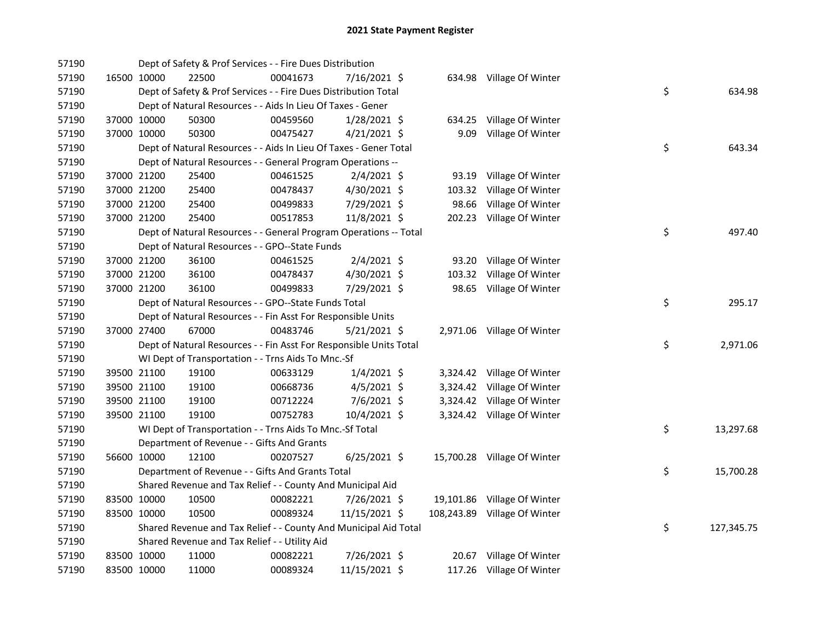| 57190 |             | Dept of Safety & Prof Services - - Fire Dues Distribution          |          |                |        |                              |    |            |
|-------|-------------|--------------------------------------------------------------------|----------|----------------|--------|------------------------------|----|------------|
| 57190 | 16500 10000 | 22500                                                              | 00041673 | 7/16/2021 \$   |        | 634.98 Village Of Winter     |    |            |
| 57190 |             | Dept of Safety & Prof Services - - Fire Dues Distribution Total    |          |                |        |                              | \$ | 634.98     |
| 57190 |             | Dept of Natural Resources - - Aids In Lieu Of Taxes - Gener        |          |                |        |                              |    |            |
| 57190 | 37000 10000 | 50300                                                              | 00459560 | 1/28/2021 \$   | 634.25 | Village Of Winter            |    |            |
| 57190 | 37000 10000 | 50300                                                              | 00475427 | $4/21/2021$ \$ | 9.09   | Village Of Winter            |    |            |
| 57190 |             | Dept of Natural Resources - - Aids In Lieu Of Taxes - Gener Total  |          |                |        |                              | \$ | 643.34     |
| 57190 |             | Dept of Natural Resources - - General Program Operations --        |          |                |        |                              |    |            |
| 57190 | 37000 21200 | 25400                                                              | 00461525 | $2/4/2021$ \$  |        | 93.19 Village Of Winter      |    |            |
| 57190 | 37000 21200 | 25400                                                              | 00478437 | 4/30/2021 \$   | 103.32 | Village Of Winter            |    |            |
| 57190 | 37000 21200 | 25400                                                              | 00499833 | 7/29/2021 \$   | 98.66  | Village Of Winter            |    |            |
| 57190 | 37000 21200 | 25400                                                              | 00517853 | 11/8/2021 \$   |        | 202.23 Village Of Winter     |    |            |
| 57190 |             | Dept of Natural Resources - - General Program Operations -- Total  |          |                |        |                              | \$ | 497.40     |
| 57190 |             | Dept of Natural Resources - - GPO--State Funds                     |          |                |        |                              |    |            |
| 57190 | 37000 21200 | 36100                                                              | 00461525 | $2/4/2021$ \$  |        | 93.20 Village Of Winter      |    |            |
| 57190 | 37000 21200 | 36100                                                              | 00478437 | 4/30/2021 \$   |        | 103.32 Village Of Winter     |    |            |
| 57190 | 37000 21200 | 36100                                                              | 00499833 | 7/29/2021 \$   |        | 98.65 Village Of Winter      |    |            |
| 57190 |             | Dept of Natural Resources - - GPO--State Funds Total               |          |                |        |                              | \$ | 295.17     |
| 57190 |             | Dept of Natural Resources - - Fin Asst For Responsible Units       |          |                |        |                              |    |            |
| 57190 | 37000 27400 | 67000                                                              | 00483746 | $5/21/2021$ \$ |        | 2,971.06 Village Of Winter   |    |            |
| 57190 |             | Dept of Natural Resources - - Fin Asst For Responsible Units Total |          |                |        |                              | \$ | 2,971.06   |
| 57190 |             | WI Dept of Transportation - - Trns Aids To Mnc.-Sf                 |          |                |        |                              |    |            |
| 57190 | 39500 21100 | 19100                                                              | 00633129 | $1/4/2021$ \$  |        | 3,324.42 Village Of Winter   |    |            |
| 57190 | 39500 21100 | 19100                                                              | 00668736 | $4/5/2021$ \$  |        | 3,324.42 Village Of Winter   |    |            |
| 57190 | 39500 21100 | 19100                                                              | 00712224 | 7/6/2021 \$    |        | 3,324.42 Village Of Winter   |    |            |
| 57190 | 39500 21100 | 19100                                                              | 00752783 | 10/4/2021 \$   |        | 3,324.42 Village Of Winter   |    |            |
| 57190 |             | WI Dept of Transportation - - Trns Aids To Mnc.-Sf Total           |          |                |        |                              | \$ | 13,297.68  |
| 57190 |             | Department of Revenue - - Gifts And Grants                         |          |                |        |                              |    |            |
| 57190 | 56600 10000 | 12100                                                              | 00207527 | $6/25/2021$ \$ |        | 15,700.28 Village Of Winter  |    |            |
| 57190 |             | Department of Revenue - - Gifts And Grants Total                   |          |                |        |                              | \$ | 15,700.28  |
| 57190 |             | Shared Revenue and Tax Relief - - County And Municipal Aid         |          |                |        |                              |    |            |
| 57190 | 83500 10000 | 10500                                                              | 00082221 | $7/26/2021$ \$ |        | 19,101.86 Village Of Winter  |    |            |
| 57190 | 83500 10000 | 10500                                                              | 00089324 | 11/15/2021 \$  |        | 108,243.89 Village Of Winter |    |            |
| 57190 |             | Shared Revenue and Tax Relief - - County And Municipal Aid Total   |          |                |        |                              | \$ | 127,345.75 |
| 57190 |             | Shared Revenue and Tax Relief - - Utility Aid                      |          |                |        |                              |    |            |
| 57190 | 83500 10000 | 11000                                                              | 00082221 | 7/26/2021 \$   |        | 20.67 Village Of Winter      |    |            |
| 57190 | 83500 10000 | 11000                                                              | 00089324 | 11/15/2021 \$  |        | 117.26 Village Of Winter     |    |            |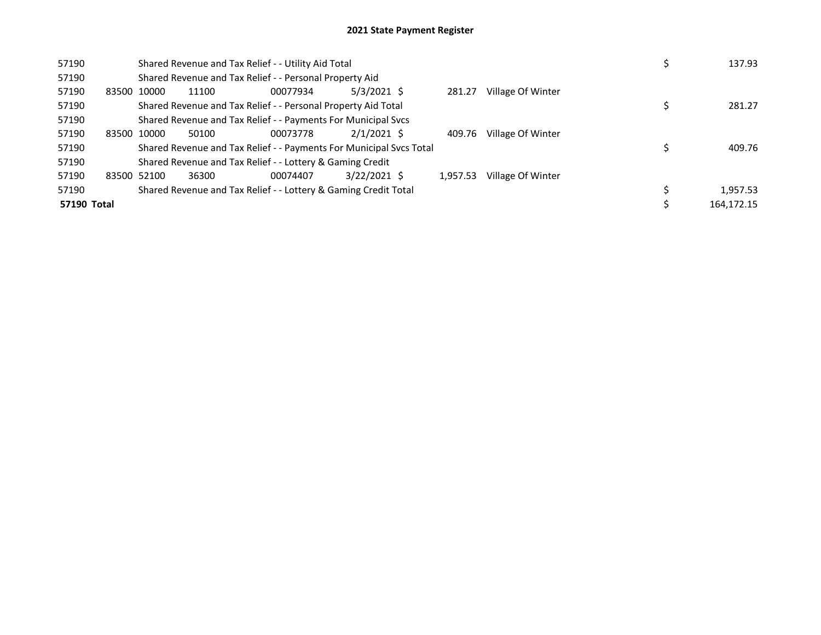| 57190       |             |             | Shared Revenue and Tax Relief - - Utility Aid Total                 |          | 137.93         |          |                   |  |            |
|-------------|-------------|-------------|---------------------------------------------------------------------|----------|----------------|----------|-------------------|--|------------|
| 57190       |             |             | Shared Revenue and Tax Relief - - Personal Property Aid             |          |                |          |                   |  |            |
| 57190       |             | 83500 10000 | 11100                                                               | 00077934 | $5/3/2021$ \$  | 281.27   | Village Of Winter |  |            |
| 57190       |             |             | Shared Revenue and Tax Relief - - Personal Property Aid Total       |          |                |          |                   |  | 281.27     |
| 57190       |             |             | Shared Revenue and Tax Relief - - Payments For Municipal Svcs       |          |                |          |                   |  |            |
| 57190       | 83500 10000 |             | 50100                                                               |          |                |          |                   |  |            |
| 57190       |             |             | Shared Revenue and Tax Relief - - Payments For Municipal Svcs Total |          |                |          |                   |  | 409.76     |
| 57190       |             |             | Shared Revenue and Tax Relief - - Lottery & Gaming Credit           |          |                |          |                   |  |            |
| 57190       |             | 83500 52100 | 36300                                                               | 00074407 | $3/22/2021$ \$ | 1.957.53 | Village Of Winter |  |            |
| 57190       |             |             | Shared Revenue and Tax Relief - - Lottery & Gaming Credit Total     |          |                |          |                   |  | 1,957.53   |
| 57190 Total |             |             |                                                                     |          |                |          |                   |  | 164,172.15 |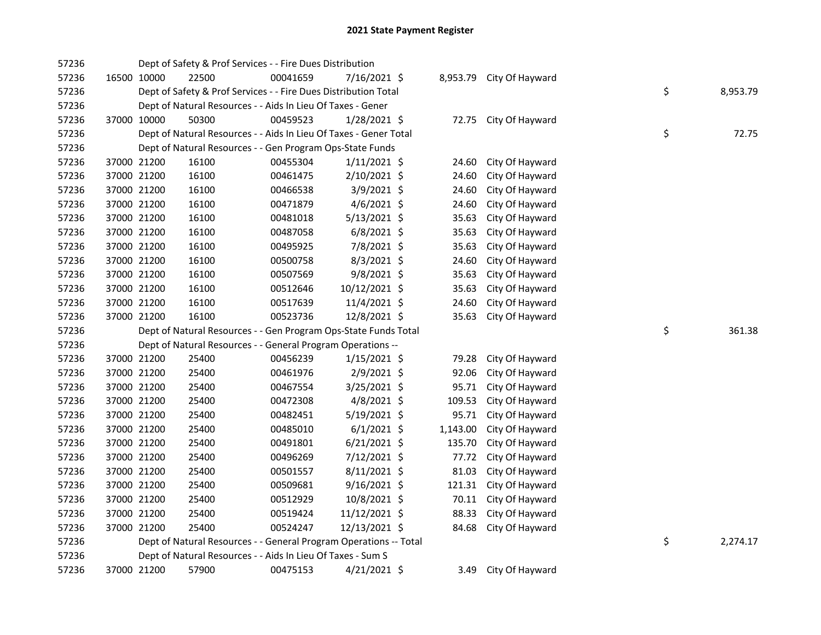| 57236 |             | Dept of Safety & Prof Services - - Fire Dues Distribution         |          |                |          |                 |    |          |
|-------|-------------|-------------------------------------------------------------------|----------|----------------|----------|-----------------|----|----------|
| 57236 | 16500 10000 | 22500                                                             | 00041659 | 7/16/2021 \$   | 8,953.79 | City Of Hayward |    |          |
| 57236 |             | Dept of Safety & Prof Services - - Fire Dues Distribution Total   |          |                |          |                 | \$ | 8,953.79 |
| 57236 |             | Dept of Natural Resources - - Aids In Lieu Of Taxes - Gener       |          |                |          |                 |    |          |
| 57236 | 37000 10000 | 50300                                                             | 00459523 | 1/28/2021 \$   | 72.75    | City Of Hayward |    |          |
| 57236 |             | Dept of Natural Resources - - Aids In Lieu Of Taxes - Gener Total |          |                |          |                 | \$ | 72.75    |
| 57236 |             | Dept of Natural Resources - - Gen Program Ops-State Funds         |          |                |          |                 |    |          |
| 57236 | 37000 21200 | 16100                                                             | 00455304 | $1/11/2021$ \$ | 24.60    | City Of Hayward |    |          |
| 57236 | 37000 21200 | 16100                                                             | 00461475 | 2/10/2021 \$   | 24.60    | City Of Hayward |    |          |
| 57236 | 37000 21200 | 16100                                                             | 00466538 | $3/9/2021$ \$  | 24.60    | City Of Hayward |    |          |
| 57236 | 37000 21200 | 16100                                                             | 00471879 | $4/6/2021$ \$  | 24.60    | City Of Hayward |    |          |
| 57236 | 37000 21200 | 16100                                                             | 00481018 | 5/13/2021 \$   | 35.63    | City Of Hayward |    |          |
| 57236 | 37000 21200 | 16100                                                             | 00487058 | $6/8/2021$ \$  | 35.63    | City Of Hayward |    |          |
| 57236 | 37000 21200 | 16100                                                             | 00495925 | 7/8/2021 \$    | 35.63    | City Of Hayward |    |          |
| 57236 | 37000 21200 | 16100                                                             | 00500758 | 8/3/2021 \$    | 24.60    | City Of Hayward |    |          |
| 57236 | 37000 21200 | 16100                                                             | 00507569 | 9/8/2021 \$    | 35.63    | City Of Hayward |    |          |
| 57236 | 37000 21200 | 16100                                                             | 00512646 | 10/12/2021 \$  | 35.63    | City Of Hayward |    |          |
| 57236 | 37000 21200 | 16100                                                             | 00517639 | 11/4/2021 \$   | 24.60    | City Of Hayward |    |          |
| 57236 | 37000 21200 | 16100                                                             | 00523736 | 12/8/2021 \$   | 35.63    | City Of Hayward |    |          |
| 57236 |             | Dept of Natural Resources - - Gen Program Ops-State Funds Total   |          |                |          |                 | \$ | 361.38   |
| 57236 |             | Dept of Natural Resources - - General Program Operations --       |          |                |          |                 |    |          |
| 57236 | 37000 21200 | 25400                                                             | 00456239 | 1/15/2021 \$   | 79.28    | City Of Hayward |    |          |
| 57236 | 37000 21200 | 25400                                                             | 00461976 | 2/9/2021 \$    | 92.06    | City Of Hayward |    |          |
| 57236 | 37000 21200 | 25400                                                             | 00467554 | 3/25/2021 \$   | 95.71    | City Of Hayward |    |          |
| 57236 | 37000 21200 | 25400                                                             | 00472308 | 4/8/2021 \$    | 109.53   | City Of Hayward |    |          |
| 57236 | 37000 21200 | 25400                                                             | 00482451 | 5/19/2021 \$   | 95.71    | City Of Hayward |    |          |
| 57236 | 37000 21200 | 25400                                                             | 00485010 | $6/1/2021$ \$  | 1,143.00 | City Of Hayward |    |          |
| 57236 | 37000 21200 | 25400                                                             | 00491801 | $6/21/2021$ \$ | 135.70   | City Of Hayward |    |          |
| 57236 | 37000 21200 | 25400                                                             | 00496269 | 7/12/2021 \$   | 77.72    | City Of Hayward |    |          |
| 57236 | 37000 21200 | 25400                                                             | 00501557 | $8/11/2021$ \$ | 81.03    | City Of Hayward |    |          |
| 57236 | 37000 21200 | 25400                                                             | 00509681 | $9/16/2021$ \$ | 121.31   | City Of Hayward |    |          |
| 57236 | 37000 21200 | 25400                                                             | 00512929 | 10/8/2021 \$   | 70.11    | City Of Hayward |    |          |
| 57236 | 37000 21200 | 25400                                                             | 00519424 | 11/12/2021 \$  | 88.33    | City Of Hayward |    |          |
| 57236 | 37000 21200 | 25400                                                             | 00524247 | 12/13/2021 \$  | 84.68    | City Of Hayward |    |          |
| 57236 |             | Dept of Natural Resources - - General Program Operations -- Total |          |                |          |                 | \$ | 2,274.17 |
| 57236 |             | Dept of Natural Resources - - Aids In Lieu Of Taxes - Sum S       |          |                |          |                 |    |          |
| 57236 | 37000 21200 | 57900                                                             | 00475153 | $4/21/2021$ \$ | 3.49     | City Of Hayward |    |          |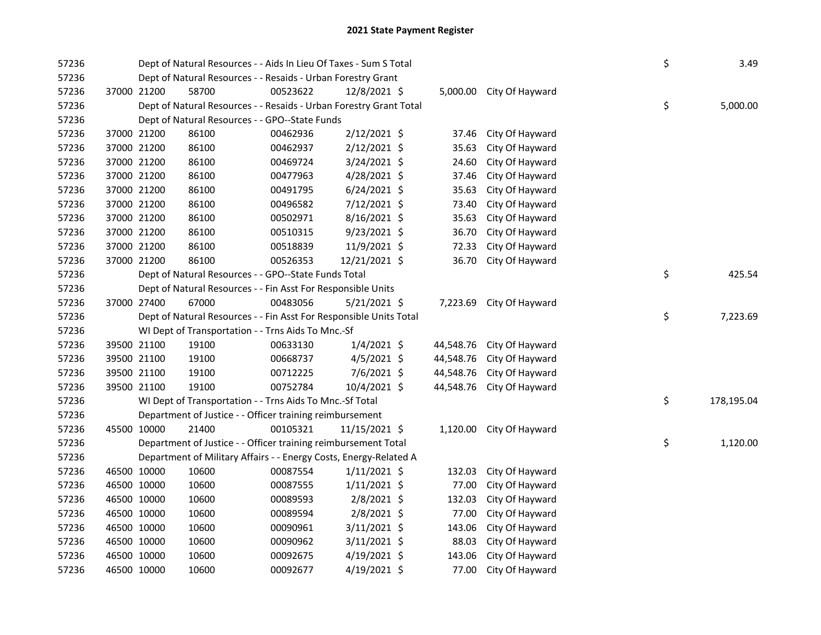| 57236 |             | Dept of Natural Resources - - Aids In Lieu Of Taxes - Sum S Total  |                                                                    |          |                |  |           |                          |  | \$ | 3.49       |
|-------|-------------|--------------------------------------------------------------------|--------------------------------------------------------------------|----------|----------------|--|-----------|--------------------------|--|----|------------|
| 57236 |             | Dept of Natural Resources - - Resaids - Urban Forestry Grant       |                                                                    |          |                |  |           |                          |  |    |            |
| 57236 | 37000 21200 |                                                                    | 58700                                                              | 00523622 | 12/8/2021 \$   |  |           | 5,000.00 City Of Hayward |  |    |            |
| 57236 |             | Dept of Natural Resources - - Resaids - Urban Forestry Grant Total |                                                                    |          |                |  |           |                          |  |    | 5,000.00   |
| 57236 |             | Dept of Natural Resources - - GPO--State Funds                     |                                                                    |          |                |  |           |                          |  |    |            |
| 57236 | 37000 21200 |                                                                    | 86100                                                              | 00462936 | $2/12/2021$ \$ |  | 37.46     | City Of Hayward          |  |    |            |
| 57236 | 37000 21200 |                                                                    | 86100                                                              | 00462937 | $2/12/2021$ \$ |  | 35.63     | City Of Hayward          |  |    |            |
| 57236 | 37000 21200 |                                                                    | 86100                                                              | 00469724 | 3/24/2021 \$   |  | 24.60     | City Of Hayward          |  |    |            |
| 57236 | 37000 21200 |                                                                    | 86100                                                              | 00477963 | 4/28/2021 \$   |  | 37.46     | City Of Hayward          |  |    |            |
| 57236 | 37000 21200 |                                                                    | 86100                                                              | 00491795 | $6/24/2021$ \$ |  | 35.63     | City Of Hayward          |  |    |            |
| 57236 | 37000 21200 |                                                                    | 86100                                                              | 00496582 | 7/12/2021 \$   |  | 73.40     | City Of Hayward          |  |    |            |
| 57236 | 37000 21200 |                                                                    | 86100                                                              | 00502971 | 8/16/2021 \$   |  | 35.63     | City Of Hayward          |  |    |            |
| 57236 | 37000 21200 |                                                                    | 86100                                                              | 00510315 | 9/23/2021 \$   |  | 36.70     | City Of Hayward          |  |    |            |
| 57236 | 37000 21200 |                                                                    | 86100                                                              | 00518839 | 11/9/2021 \$   |  | 72.33     | City Of Hayward          |  |    |            |
| 57236 | 37000 21200 |                                                                    | 86100                                                              | 00526353 | 12/21/2021 \$  |  | 36.70     | City Of Hayward          |  |    |            |
| 57236 |             |                                                                    | Dept of Natural Resources - - GPO--State Funds Total               |          |                |  |           |                          |  | \$ | 425.54     |
| 57236 |             |                                                                    | Dept of Natural Resources - - Fin Asst For Responsible Units       |          |                |  |           |                          |  |    |            |
| 57236 | 37000 27400 |                                                                    | 67000                                                              | 00483056 | $5/21/2021$ \$ |  | 7,223.69  | City Of Hayward          |  |    |            |
| 57236 |             |                                                                    | Dept of Natural Resources - - Fin Asst For Responsible Units Total |          |                |  |           |                          |  | \$ | 7,223.69   |
| 57236 |             |                                                                    | WI Dept of Transportation - - Trns Aids To Mnc.-Sf                 |          |                |  |           |                          |  |    |            |
| 57236 |             | 39500 21100                                                        | 19100                                                              | 00633130 | $1/4/2021$ \$  |  | 44,548.76 | City Of Hayward          |  |    |            |
| 57236 | 39500 21100 |                                                                    | 19100                                                              | 00668737 | $4/5/2021$ \$  |  | 44,548.76 | City Of Hayward          |  |    |            |
| 57236 | 39500 21100 |                                                                    | 19100                                                              | 00712225 | 7/6/2021 \$    |  | 44,548.76 | City Of Hayward          |  |    |            |
| 57236 | 39500 21100 |                                                                    | 19100                                                              | 00752784 | 10/4/2021 \$   |  | 44,548.76 | City Of Hayward          |  |    |            |
| 57236 |             |                                                                    | WI Dept of Transportation - - Trns Aids To Mnc.-Sf Total           |          |                |  |           |                          |  | \$ | 178,195.04 |
| 57236 |             |                                                                    | Department of Justice - - Officer training reimbursement           |          |                |  |           |                          |  |    |            |
| 57236 |             | 45500 10000                                                        | 21400                                                              | 00105321 | 11/15/2021 \$  |  |           | 1,120.00 City Of Hayward |  |    |            |
| 57236 |             |                                                                    | Department of Justice - - Officer training reimbursement Total     |          |                |  |           |                          |  | \$ | 1,120.00   |
| 57236 |             |                                                                    | Department of Military Affairs - - Energy Costs, Energy-Related A  |          |                |  |           |                          |  |    |            |
| 57236 |             | 46500 10000                                                        | 10600                                                              | 00087554 | $1/11/2021$ \$ |  | 132.03    | City Of Hayward          |  |    |            |
| 57236 | 46500 10000 |                                                                    | 10600                                                              | 00087555 | $1/11/2021$ \$ |  | 77.00     | City Of Hayward          |  |    |            |
| 57236 | 46500 10000 |                                                                    | 10600                                                              | 00089593 | $2/8/2021$ \$  |  | 132.03    | City Of Hayward          |  |    |            |
| 57236 | 46500 10000 |                                                                    | 10600                                                              | 00089594 | 2/8/2021 \$    |  | 77.00     | City Of Hayward          |  |    |            |
| 57236 | 46500 10000 |                                                                    | 10600                                                              | 00090961 | $3/11/2021$ \$ |  | 143.06    | City Of Hayward          |  |    |            |
| 57236 | 46500 10000 |                                                                    | 10600                                                              | 00090962 | $3/11/2021$ \$ |  | 88.03     | City Of Hayward          |  |    |            |
| 57236 | 46500 10000 |                                                                    | 10600                                                              | 00092675 | $4/19/2021$ \$ |  | 143.06    | City Of Hayward          |  |    |            |
| 57236 | 46500 10000 |                                                                    | 10600                                                              | 00092677 | $4/19/2021$ \$ |  | 77.00     | City Of Hayward          |  |    |            |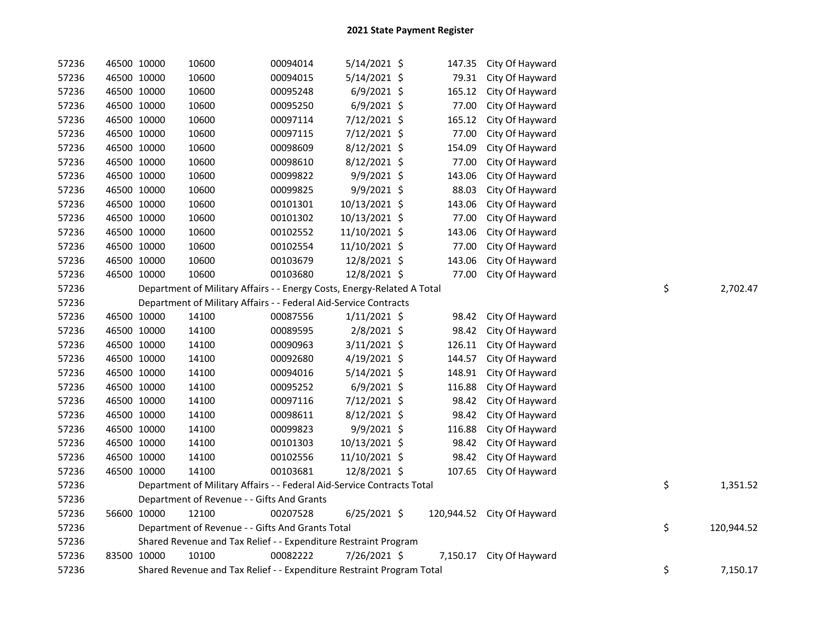| 57236 | 46500 10000 |                                                                       | 10600                                                                   | 00094014 | 5/14/2021 \$   |    | 147.35   | City Of Hayward            |  |    |            |
|-------|-------------|-----------------------------------------------------------------------|-------------------------------------------------------------------------|----------|----------------|----|----------|----------------------------|--|----|------------|
| 57236 | 46500 10000 |                                                                       | 10600                                                                   | 00094015 | $5/14/2021$ \$ |    | 79.31    | City Of Hayward            |  |    |            |
| 57236 | 46500 10000 |                                                                       | 10600                                                                   | 00095248 | $6/9/2021$ \$  |    | 165.12   | City Of Hayward            |  |    |            |
| 57236 | 46500 10000 |                                                                       | 10600                                                                   | 00095250 | $6/9/2021$ \$  |    | 77.00    | City Of Hayward            |  |    |            |
| 57236 | 46500 10000 |                                                                       | 10600                                                                   | 00097114 | 7/12/2021 \$   |    | 165.12   | City Of Hayward            |  |    |            |
| 57236 | 46500 10000 |                                                                       | 10600                                                                   | 00097115 | 7/12/2021 \$   |    | 77.00    | City Of Hayward            |  |    |            |
| 57236 | 46500 10000 |                                                                       | 10600                                                                   | 00098609 | 8/12/2021 \$   |    | 154.09   | City Of Hayward            |  |    |            |
| 57236 | 46500 10000 |                                                                       | 10600                                                                   | 00098610 | 8/12/2021 \$   |    | 77.00    | City Of Hayward            |  |    |            |
| 57236 | 46500 10000 |                                                                       | 10600                                                                   | 00099822 | 9/9/2021 \$    |    | 143.06   | City Of Hayward            |  |    |            |
| 57236 | 46500 10000 |                                                                       | 10600                                                                   | 00099825 | 9/9/2021 \$    |    | 88.03    | City Of Hayward            |  |    |            |
| 57236 | 46500 10000 |                                                                       | 10600                                                                   | 00101301 | 10/13/2021 \$  |    | 143.06   | City Of Hayward            |  |    |            |
| 57236 | 46500 10000 |                                                                       | 10600                                                                   | 00101302 | 10/13/2021 \$  |    | 77.00    | City Of Hayward            |  |    |            |
| 57236 | 46500 10000 |                                                                       | 10600                                                                   | 00102552 | 11/10/2021 \$  |    | 143.06   | City Of Hayward            |  |    |            |
| 57236 | 46500 10000 |                                                                       | 10600                                                                   | 00102554 | 11/10/2021 \$  |    | 77.00    | City Of Hayward            |  |    |            |
| 57236 | 46500 10000 |                                                                       | 10600                                                                   | 00103679 | 12/8/2021 \$   |    | 143.06   | City Of Hayward            |  |    |            |
| 57236 | 46500 10000 |                                                                       | 10600                                                                   | 00103680 | 12/8/2021 \$   |    | 77.00    | City Of Hayward            |  |    |            |
| 57236 |             |                                                                       | Department of Military Affairs - - Energy Costs, Energy-Related A Total |          |                | \$ | 2,702.47 |                            |  |    |            |
| 57236 |             |                                                                       | Department of Military Affairs - - Federal Aid-Service Contracts        |          |                |    |          |                            |  |    |            |
| 57236 | 46500 10000 |                                                                       | 14100                                                                   | 00087556 | $1/11/2021$ \$ |    | 98.42    | City Of Hayward            |  |    |            |
| 57236 | 46500 10000 |                                                                       | 14100                                                                   | 00089595 | 2/8/2021 \$    |    | 98.42    | City Of Hayward            |  |    |            |
| 57236 | 46500 10000 |                                                                       | 14100                                                                   | 00090963 | 3/11/2021 \$   |    | 126.11   | City Of Hayward            |  |    |            |
| 57236 | 46500 10000 |                                                                       | 14100                                                                   | 00092680 | 4/19/2021 \$   |    | 144.57   | City Of Hayward            |  |    |            |
| 57236 | 46500 10000 |                                                                       | 14100                                                                   | 00094016 | $5/14/2021$ \$ |    | 148.91   | City Of Hayward            |  |    |            |
| 57236 | 46500 10000 |                                                                       | 14100                                                                   | 00095252 | $6/9/2021$ \$  |    | 116.88   | City Of Hayward            |  |    |            |
| 57236 | 46500 10000 |                                                                       | 14100                                                                   | 00097116 | 7/12/2021 \$   |    | 98.42    | City Of Hayward            |  |    |            |
| 57236 | 46500 10000 |                                                                       | 14100                                                                   | 00098611 | $8/12/2021$ \$ |    | 98.42    | City Of Hayward            |  |    |            |
| 57236 | 46500 10000 |                                                                       | 14100                                                                   | 00099823 | 9/9/2021 \$    |    | 116.88   | City Of Hayward            |  |    |            |
| 57236 | 46500 10000 |                                                                       | 14100                                                                   | 00101303 | 10/13/2021 \$  |    | 98.42    | City Of Hayward            |  |    |            |
| 57236 | 46500 10000 |                                                                       | 14100                                                                   | 00102556 | 11/10/2021 \$  |    | 98.42    | City Of Hayward            |  |    |            |
| 57236 | 46500 10000 |                                                                       | 14100                                                                   | 00103681 | 12/8/2021 \$   |    | 107.65   | City Of Hayward            |  |    |            |
| 57236 |             |                                                                       | Department of Military Affairs - - Federal Aid-Service Contracts Total  |          |                |    |          |                            |  | \$ | 1,351.52   |
| 57236 |             |                                                                       | Department of Revenue - - Gifts And Grants                              |          |                |    |          |                            |  |    |            |
| 57236 | 56600 10000 |                                                                       | 12100                                                                   | 00207528 | $6/25/2021$ \$ |    |          | 120,944.52 City Of Hayward |  |    |            |
| 57236 |             | \$<br>Department of Revenue - - Gifts And Grants Total                |                                                                         |          |                |    |          |                            |  |    | 120,944.52 |
| 57236 |             |                                                                       | Shared Revenue and Tax Relief - - Expenditure Restraint Program         |          |                |    |          |                            |  |    |            |
| 57236 | 83500 10000 |                                                                       | 10100                                                                   | 00082222 | 7/26/2021 \$   |    | 7,150.17 | City Of Hayward            |  |    |            |
| 57236 |             | Shared Revenue and Tax Relief - - Expenditure Restraint Program Total |                                                                         |          |                |    |          |                            |  | \$ | 7,150.17   |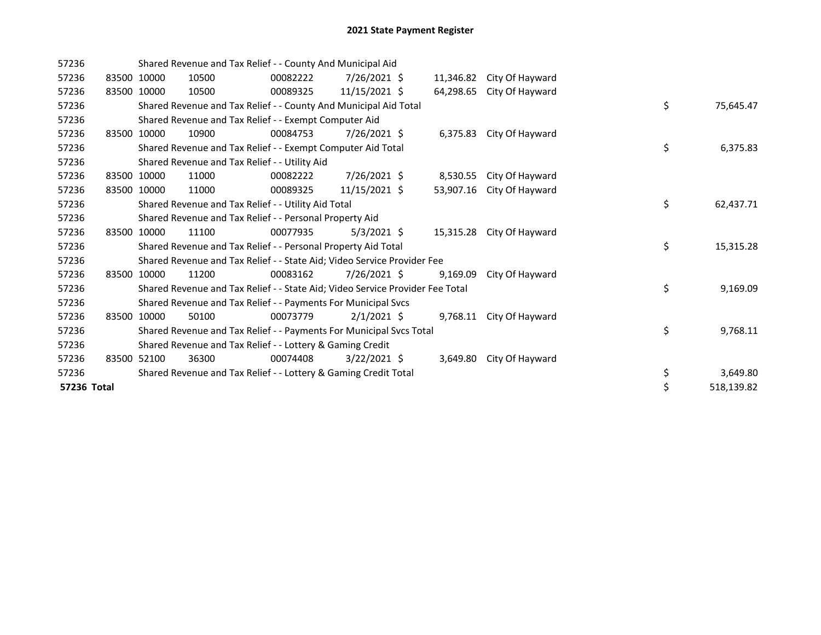| 57236       |       | Shared Revenue and Tax Relief - - County And Municipal Aid              |                                                                               |          |                |  |           |                 |  |    |            |
|-------------|-------|-------------------------------------------------------------------------|-------------------------------------------------------------------------------|----------|----------------|--|-----------|-----------------|--|----|------------|
| 57236       |       | 83500 10000                                                             | 10500                                                                         | 00082222 | $7/26/2021$ \$ |  | 11,346.82 | City Of Hayward |  |    |            |
| 57236       |       | 83500 10000                                                             | 10500                                                                         | 00089325 | 11/15/2021 \$  |  | 64,298.65 | City Of Hayward |  |    |            |
| 57236       |       |                                                                         | Shared Revenue and Tax Relief - - County And Municipal Aid Total              |          |                |  |           |                 |  | \$ | 75,645.47  |
| 57236       |       |                                                                         | Shared Revenue and Tax Relief - - Exempt Computer Aid                         |          |                |  |           |                 |  |    |            |
| 57236       |       | 83500 10000                                                             | 10900                                                                         | 00084753 | 7/26/2021 \$   |  | 6,375.83  | City Of Hayward |  |    |            |
| 57236       |       |                                                                         | Shared Revenue and Tax Relief - - Exempt Computer Aid Total                   |          |                |  |           |                 |  | \$ | 6,375.83   |
| 57236       |       |                                                                         | Shared Revenue and Tax Relief - - Utility Aid                                 |          |                |  |           |                 |  |    |            |
| 57236       |       | 83500 10000                                                             | 11000                                                                         | 00082222 | 7/26/2021 \$   |  | 8,530.55  | City Of Hayward |  |    |            |
| 57236       |       | 83500 10000                                                             | 11000                                                                         | 00089325 | 11/15/2021 \$  |  | 53,907.16 | City Of Hayward |  |    |            |
| 57236       |       |                                                                         | Shared Revenue and Tax Relief - - Utility Aid Total                           |          |                |  |           |                 |  | \$ | 62,437.71  |
| 57236       |       |                                                                         | Shared Revenue and Tax Relief - - Personal Property Aid                       |          |                |  |           |                 |  |    |            |
| 57236       | 83500 | 10000                                                                   | 11100                                                                         | 00077935 | $5/3/2021$ \$  |  | 15,315.28 | City Of Hayward |  |    |            |
| 57236       |       | Shared Revenue and Tax Relief - - Personal Property Aid Total           |                                                                               |          |                |  |           |                 |  | \$ | 15,315.28  |
| 57236       |       | Shared Revenue and Tax Relief - - State Aid; Video Service Provider Fee |                                                                               |          |                |  |           |                 |  |    |            |
| 57236       | 83500 | 10000                                                                   | 11200                                                                         | 00083162 | 7/26/2021 \$   |  | 9,169.09  | City Of Hayward |  |    |            |
| 57236       |       |                                                                         | Shared Revenue and Tax Relief - - State Aid; Video Service Provider Fee Total |          |                |  |           |                 |  | \$ | 9,169.09   |
| 57236       |       |                                                                         | Shared Revenue and Tax Relief - - Payments For Municipal Svcs                 |          |                |  |           |                 |  |    |            |
| 57236       |       | 83500 10000                                                             | 50100                                                                         | 00073779 | $2/1/2021$ \$  |  | 9,768.11  | City Of Hayward |  |    |            |
| 57236       |       |                                                                         | Shared Revenue and Tax Relief - - Payments For Municipal Svcs Total           |          |                |  |           |                 |  | \$ | 9,768.11   |
| 57236       |       |                                                                         | Shared Revenue and Tax Relief - - Lottery & Gaming Credit                     |          |                |  |           |                 |  |    |            |
| 57236       |       | 83500 52100                                                             | 36300                                                                         | 00074408 | $3/22/2021$ \$ |  | 3,649.80  | City Of Hayward |  |    |            |
| 57236       |       |                                                                         | Shared Revenue and Tax Relief - - Lottery & Gaming Credit Total               |          |                |  |           |                 |  | \$ | 3,649.80   |
| 57236 Total |       |                                                                         |                                                                               |          |                |  |           |                 |  | \$ | 518,139.82 |